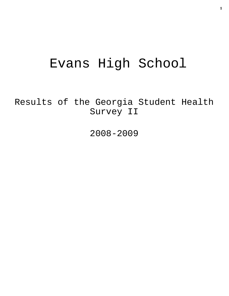# Evans High School

Results of the Georgia Student Health Survey II

2008-2009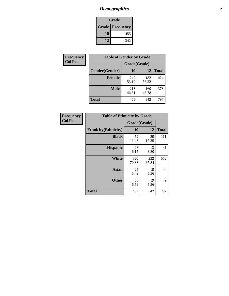## *Demographics* **2**

| Grade                    |     |  |  |  |
|--------------------------|-----|--|--|--|
| <b>Grade   Frequency</b> |     |  |  |  |
| 10                       | 455 |  |  |  |
| 12                       | 342 |  |  |  |

| <b>Frequency</b> | <b>Table of Gender by Grade</b> |              |              |              |  |  |
|------------------|---------------------------------|--------------|--------------|--------------|--|--|
| <b>Col Pct</b>   |                                 | Grade(Grade) |              |              |  |  |
|                  | Gender(Gender)                  | 10           | 12           | <b>Total</b> |  |  |
|                  | <b>Female</b>                   | 242<br>53.19 | 182<br>53.22 | 424          |  |  |
|                  | <b>Male</b>                     | 213<br>46.81 | 160<br>46.78 | 373          |  |  |
|                  | <b>Total</b>                    | 455          | 342          | 797          |  |  |

| <b>Frequency</b><br>Col Pct |
|-----------------------------|
|                             |

| <b>Table of Ethnicity by Grade</b> |              |              |              |  |  |  |
|------------------------------------|--------------|--------------|--------------|--|--|--|
|                                    | Grade(Grade) |              |              |  |  |  |
| <b>Ethnicity</b> (Ethnicity)       | 10           | 12           | <b>Total</b> |  |  |  |
| <b>Black</b>                       | 52<br>11.43  | 59<br>17.25  | 111          |  |  |  |
| <b>Hispanic</b>                    | 28<br>6.15   | 13<br>3.80   | 41           |  |  |  |
| White                              | 320<br>70.33 | 232<br>67.84 | 552          |  |  |  |
| <b>Asian</b>                       | 25<br>5.49   | 19<br>5.56   | 44           |  |  |  |
| <b>Other</b>                       | 30<br>6.59   | 19<br>5.56   | 49           |  |  |  |
| <b>Total</b>                       | 455          | 342          | 797          |  |  |  |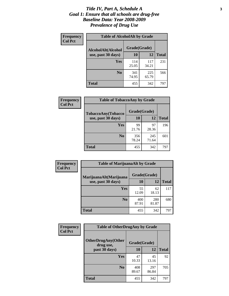#### *Title IV, Part A, Schedule A* **3** *Goal 1: Ensure that all schools are drug-free Baseline Data: Year 2008-2009 Prevalence of Drug Use*

| Frequency<br><b>Col Pct</b> | <b>Table of AlcoholAlt by Grade</b> |              |              |              |  |  |
|-----------------------------|-------------------------------------|--------------|--------------|--------------|--|--|
|                             | AlcoholAlt(Alcohol                  | Grade(Grade) |              |              |  |  |
|                             | use, past 30 days)                  | 10           | 12           | <b>Total</b> |  |  |
|                             | <b>Yes</b>                          | 114<br>25.05 | 117<br>34.21 | 231          |  |  |
|                             | N <sub>0</sub>                      | 341<br>74.95 | 225<br>65.79 | 566          |  |  |
|                             | Total                               | 455          | 342          | 797          |  |  |

| Frequency      | <b>Table of TobaccoAny by Grade</b> |              |              |              |  |
|----------------|-------------------------------------|--------------|--------------|--------------|--|
| <b>Col Pct</b> | TobaccoAny(Tobacco                  | Grade(Grade) |              |              |  |
|                | use, past 30 days)                  | 10           | 12           | <b>Total</b> |  |
|                | Yes                                 | 99<br>21.76  | 97<br>28.36  | 196          |  |
|                | N <sub>0</sub>                      | 356<br>78.24 | 245<br>71.64 | 601          |  |
|                | Total                               | 455          | 342          | 797          |  |

| Frequency<br><b>Col Pct</b> | <b>Table of MarijuanaAlt by Grade</b> |              |              |              |  |  |
|-----------------------------|---------------------------------------|--------------|--------------|--------------|--|--|
|                             | MarijuanaAlt(Marijuana                | Grade(Grade) |              |              |  |  |
|                             | use, past 30 days)                    | <b>10</b>    | 12           | <b>Total</b> |  |  |
|                             | <b>Yes</b>                            | 55<br>12.09  | 62<br>18.13  | 117          |  |  |
|                             | N <sub>0</sub>                        | 400<br>87.91 | 280<br>81.87 | 680          |  |  |
|                             | <b>Total</b>                          | 455          | 342          | 797          |  |  |

| <b>Frequency</b> | <b>Table of OtherDrugAny by Grade</b>  |              |              |              |  |  |
|------------------|----------------------------------------|--------------|--------------|--------------|--|--|
| <b>Col Pct</b>   | <b>OtherDrugAny(Other</b><br>drug use, | Grade(Grade) |              |              |  |  |
|                  | past 30 days)                          | 10           | 12           | <b>Total</b> |  |  |
|                  | Yes                                    | 47<br>10.33  | 45<br>13.16  | 92           |  |  |
|                  | N <sub>0</sub>                         | 408<br>89.67 | 297<br>86.84 | 705          |  |  |
|                  | <b>Total</b>                           | 455          | 342          | 797          |  |  |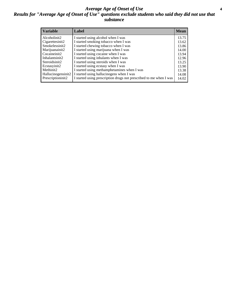### *Average Age of Onset of Use* **4** *Results for "Average Age of Onset of Use" questions exclude students who said they did not use that substance*

| <b>Variable</b>    | Label                                                              | <b>Mean</b> |
|--------------------|--------------------------------------------------------------------|-------------|
| Alcoholinit2       | I started using alcohol when I was                                 | 13.75       |
| Cigarettesinit2    | I started smoking tobacco when I was                               | 13.62       |
| Smokelessinit2     | I started chewing tobacco when I was                               | 13.86       |
| Marijuanainit2     | I started using marijuana when I was                               | 14.00       |
| Cocaineinit2       | I started using cocaine when I was                                 | 13.94       |
| Inhalantsinit2     | I started using inhalants when I was                               | 12.96       |
| Steroidsinit2      | I started using steroids when I was                                | 13.25       |
| Ecstasyinit2       | I started using ecstasy when I was                                 | 13.90       |
| Methinit2          | I started using methamphetamines when I was                        | 13.38       |
| Hallucinogensinit2 | I started using hallucinogens when I was                           | 14.08       |
| Prescriptioninit2  | I started using prescription drugs not prescribed to me when I was | 14.02       |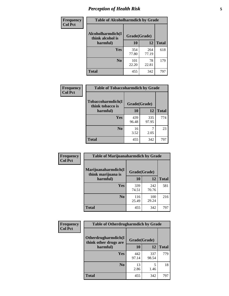## *Perception of Health Risk* **5**

| Frequency      | <b>Table of Alcoholharmdich by Grade</b> |              |              |              |  |
|----------------|------------------------------------------|--------------|--------------|--------------|--|
| <b>Col Pct</b> | Alcoholharmdich(I<br>think alcohol is    | Grade(Grade) |              |              |  |
|                | harmful)                                 | 10           | 12           | <b>Total</b> |  |
|                | <b>Yes</b>                               | 354<br>77.80 | 264<br>77.19 | 618          |  |
|                | N <sub>0</sub>                           | 101<br>22.20 | 78<br>22.81  | 179          |  |
|                | <b>Total</b>                             | 455          | 342          | 797          |  |

| Frequency      | <b>Table of Tobaccoharmdich by Grade</b> |              |              |              |  |
|----------------|------------------------------------------|--------------|--------------|--------------|--|
| <b>Col Pct</b> | Tobaccoharmdich(I<br>think tobacco is    | Grade(Grade) |              |              |  |
|                | harmful)                                 | 10           | 12           | <b>Total</b> |  |
|                | Yes                                      | 439<br>96.48 | 335<br>97.95 | 774          |  |
|                | N <sub>0</sub>                           | 16<br>3.52   | 2.05         | 23           |  |
|                | Total                                    | 455          | 342          | 797          |  |

| <b>Frequency</b> | <b>Table of Marijuanaharmdich by Grade</b> |              |              |              |  |  |
|------------------|--------------------------------------------|--------------|--------------|--------------|--|--|
| <b>Col Pct</b>   | Marijuanaharmdich(I<br>think marijuana is  | Grade(Grade) |              |              |  |  |
|                  | harmful)                                   | 10           | 12           | <b>Total</b> |  |  |
|                  | Yes                                        | 339<br>74.51 | 242<br>70.76 | 581          |  |  |
|                  | N <sub>0</sub>                             | 116<br>25.49 | 100<br>29.24 | 216          |  |  |
|                  | <b>Total</b>                               | 455          | 342          | 797          |  |  |

| <b>Frequency</b> | <b>Table of Otherdrugharmdich by Grade</b>   |              |              |              |  |  |
|------------------|----------------------------------------------|--------------|--------------|--------------|--|--|
| <b>Col Pct</b>   | Otherdrugharmdich(I<br>think other drugs are | Grade(Grade) |              |              |  |  |
|                  | harmful)                                     | 10           | 12           | <b>Total</b> |  |  |
|                  | <b>Yes</b>                                   | 442<br>97.14 | 337<br>98.54 | 779          |  |  |
|                  | N <sub>0</sub>                               | 13<br>2.86   | 5<br>1.46    | 18           |  |  |
|                  | <b>Total</b>                                 | 455          | 342          | 797          |  |  |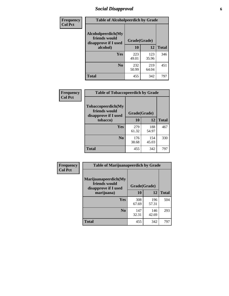### *Social Disapproval* **6**

| Frequency      | <b>Table of Alcoholpeerdich by Grade</b>                    |              |              |              |  |  |
|----------------|-------------------------------------------------------------|--------------|--------------|--------------|--|--|
| <b>Col Pct</b> | Alcoholpeerdich(My<br>friends would<br>disapprove if I used | Grade(Grade) |              |              |  |  |
|                | alcohol)                                                    | 10           | 12           | <b>Total</b> |  |  |
|                | <b>Yes</b>                                                  | 223<br>49.01 | 123<br>35.96 | 346          |  |  |
|                | N <sub>0</sub>                                              | 232<br>50.99 | 219<br>64.04 | 451          |  |  |
|                | <b>Total</b>                                                | 455          | 342          | 797          |  |  |

| <b>Frequency</b> |
|------------------|
| <b>Col Pct</b>   |

| <b>Table of Tobaccopeerdich by Grade</b>                           |              |              |     |  |  |
|--------------------------------------------------------------------|--------------|--------------|-----|--|--|
| <b>Tobaccopeerdich(My</b><br>friends would<br>disapprove if I used | Grade(Grade) |              |     |  |  |
| tobacco)                                                           | 10           | <b>Total</b> |     |  |  |
| Yes                                                                | 279<br>61.32 | 188<br>54.97 | 467 |  |  |
| N <sub>0</sub>                                                     | 176<br>38.68 | 154<br>45.03 | 330 |  |  |
| <b>Total</b>                                                       | 455          | 342          | 797 |  |  |

| <b>Frequency</b> | <b>Table of Marijuanapeerdich by Grade</b>                    |              |              |              |  |
|------------------|---------------------------------------------------------------|--------------|--------------|--------------|--|
| <b>Col Pct</b>   | Marijuanapeerdich(My<br>friends would<br>disapprove if I used | Grade(Grade) |              |              |  |
|                  | marijuana)                                                    | 10           | 12           | <b>Total</b> |  |
|                  | <b>Yes</b>                                                    | 308<br>67.69 | 196<br>57.31 | 504          |  |
|                  | N <sub>0</sub>                                                | 147<br>32.31 | 146<br>42.69 | 293          |  |
|                  | <b>Total</b>                                                  | 455          | 342          | 797          |  |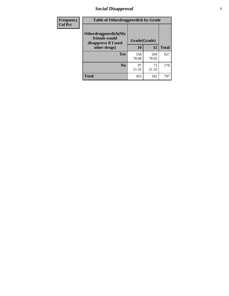### *Social Disapproval* **7**

| Frequency      | <b>Table of Otherdrugpeerdich by Grade</b>                    |              |              |              |  |  |
|----------------|---------------------------------------------------------------|--------------|--------------|--------------|--|--|
| <b>Col Pct</b> | Otherdrugpeerdich(My<br>friends would<br>disapprove if I used | Grade(Grade) |              |              |  |  |
|                | other drugs)                                                  | 10           | 12           | <b>Total</b> |  |  |
|                | <b>Yes</b>                                                    | 358<br>78.68 | 269<br>78.65 | 627          |  |  |
|                | N <sub>0</sub>                                                | 97<br>21.32  | 73<br>21.35  | 170          |  |  |
|                | <b>Total</b>                                                  | 455          | 342          | 797          |  |  |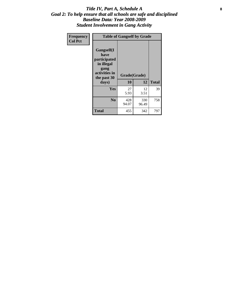### Title IV, Part A, Schedule A **8** *Goal 2: To help ensure that all schools are safe and disciplined Baseline Data: Year 2008-2009 Student Involvement in Gang Activity*

| Frequency      | <b>Table of Gangself by Grade</b>                                                                         |                    |              |              |  |
|----------------|-----------------------------------------------------------------------------------------------------------|--------------------|--------------|--------------|--|
| <b>Col Pct</b> | <b>Gangself</b> (I<br>have<br>participated<br>in illegal<br>gang<br>activities in<br>the past 30<br>days) | Grade(Grade)<br>10 | 12           | <b>Total</b> |  |
|                | Yes                                                                                                       | 27<br>5.93         | 12<br>3.51   | 39           |  |
|                | N <sub>0</sub>                                                                                            | 428<br>94.07       | 330<br>96.49 | 758          |  |
|                | <b>Total</b>                                                                                              | 455                | 342          | 797          |  |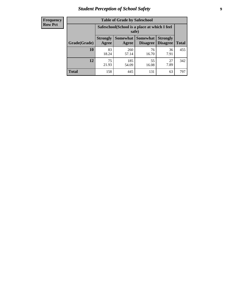### *Student Perception of School Safety* **9**

| <b>Frequency</b><br>Row Pct |
|-----------------------------|
|                             |

| <b>Table of Grade by Safeschool</b> |                                                                                                                                                  |                                                        |             |            |     |  |
|-------------------------------------|--------------------------------------------------------------------------------------------------------------------------------------------------|--------------------------------------------------------|-------------|------------|-----|--|
|                                     |                                                                                                                                                  | Safeschool (School is a place at which I feel<br>safe) |             |            |     |  |
| Grade(Grade)                        | <b>Somewhat</b><br><b>Somewhat</b><br><b>Strongly</b><br><b>Strongly</b><br><b>Disagree</b><br>Agree<br><b>Disagree</b><br><b>Total</b><br>Agree |                                                        |             |            |     |  |
| <b>10</b>                           | 83<br>18.24                                                                                                                                      | 260<br>57.14                                           | 76<br>16.70 | 36<br>7.91 | 455 |  |
| 12                                  | 75<br>21.93                                                                                                                                      | 185<br>54.09                                           | 55<br>16.08 | 27<br>7.89 | 342 |  |
| <b>Total</b>                        | 158                                                                                                                                              | 445                                                    | 131         | 63         | 797 |  |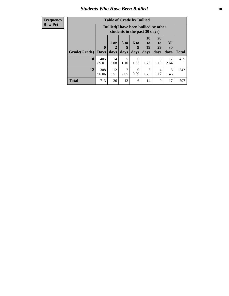### *Students Who Have Been Bullied* **10**

#### **Frequency Row Pct**

| <b>Table of Grade by Bullied</b> |                            |                                                                               |                              |                   |                        |                        |                   |              |
|----------------------------------|----------------------------|-------------------------------------------------------------------------------|------------------------------|-------------------|------------------------|------------------------|-------------------|--------------|
|                                  |                            | <b>Bullied</b> (I have been bullied by other<br>students in the past 30 days) |                              |                   |                        |                        |                   |              |
| Grade(Grade)                     | $\mathbf 0$<br><b>Days</b> | 1 or<br>2<br>days                                                             | 3 <sub>to</sub><br>5<br>days | 6 to<br>9<br>days | 10<br>to<br>19<br>days | 20<br>to<br>29<br>days | All<br>30<br>days | <b>Total</b> |
| 10                               | 405<br>89.01               | 14<br>3.08                                                                    | 5<br>1.10                    | 6<br>1.32         | 8<br>1.76              | 5<br>1.10              | 12<br>2.64        | 455          |
| 12                               | 308<br>90.06               | 12<br>3.51                                                                    | 2.05                         | $\Omega$<br>0.00  | 6<br>1.75              | 4<br>1.17              | 5<br>1.46         | 342          |
| <b>Total</b>                     | 713                        | 26                                                                            | 12                           | 6                 | 14                     | 9                      | 17                | 797          |

 $\blacksquare$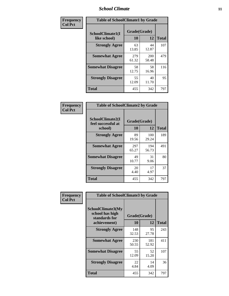### *School Climate* **11**

| Frequency      | <b>Table of SchoolClimate1 by Grade</b> |                    |                     |              |  |
|----------------|-----------------------------------------|--------------------|---------------------|--------------|--|
| <b>Col Pct</b> | SchoolClimate1(I<br>like school)        | Grade(Grade)<br>10 | 12                  | <b>Total</b> |  |
|                | <b>Strongly Agree</b>                   | 63<br>13.85        | 44<br>12.87         | 107          |  |
|                | <b>Somewhat Agree</b>                   | 279<br>61.32       | <b>200</b><br>58.48 | 479          |  |
|                | <b>Somewhat Disagree</b>                | 58<br>12.75        | 58<br>16.96         | 116          |  |
|                | <b>Strongly Disagree</b>                | 55<br>12.09        | 40<br>11.70         | 95           |  |
|                | <b>Total</b>                            | 455                | 342                 | 797          |  |

| Frequency<br>Col Pct |
|----------------------|

|                                                   | <b>Table of SchoolClimate2 by Grade</b> |              |              |  |  |
|---------------------------------------------------|-----------------------------------------|--------------|--------------|--|--|
| SchoolClimate2(I<br>feel successful at<br>school) | Grade(Grade)<br>10                      | 12           | <b>Total</b> |  |  |
| <b>Strongly Agree</b>                             | 89<br>19.56                             | 100<br>29.24 | 189          |  |  |
| <b>Somewhat Agree</b>                             | 297<br>65.27                            | 194<br>56.73 | 491          |  |  |
| <b>Somewhat Disagree</b>                          | 49<br>10.77                             | 31<br>9.06   | 80           |  |  |
| <b>Strongly Disagree</b>                          | 20<br>4.40                              | 17<br>4.97   | 37           |  |  |
| <b>Total</b>                                      | 455                                     | 342          | 797          |  |  |

| Frequency      | <b>Table of SchoolClimate3 by Grade</b>                      |              |              |              |  |
|----------------|--------------------------------------------------------------|--------------|--------------|--------------|--|
| <b>Col Pct</b> | <b>SchoolClimate3(My</b><br>school has high<br>standards for | Grade(Grade) |              |              |  |
|                | achievement)                                                 | 10           | 12           | <b>Total</b> |  |
|                | <b>Strongly Agree</b>                                        | 148<br>32.53 | 95<br>27.78  | 243          |  |
|                | <b>Somewhat Agree</b>                                        | 230<br>50.55 | 181<br>52.92 | 411          |  |
|                | <b>Somewhat Disagree</b>                                     | 55<br>12.09  | 52<br>15.20  | 107          |  |
|                | <b>Strongly Disagree</b>                                     | 22<br>4.84   | 14<br>4.09   | 36           |  |
|                | Total                                                        | 455          | 342          | 797          |  |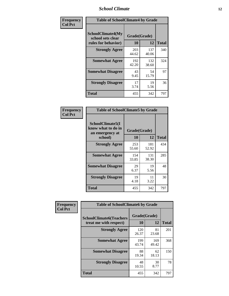### *School Climate* **12**

| Frequency      |                                                               | <b>Table of SchoolClimate4 by Grade</b> |              |              |  |
|----------------|---------------------------------------------------------------|-----------------------------------------|--------------|--------------|--|
| <b>Col Pct</b> | SchoolClimate4(My<br>school sets clear<br>rules for behavior) | Grade(Grade)<br>10                      | 12           | <b>Total</b> |  |
|                | <b>Strongly Agree</b>                                         | 203<br>44.62                            | 137<br>40.06 | 340          |  |
|                | <b>Somewhat Agree</b>                                         | 192<br>42.20                            | 132<br>38.60 | 324          |  |
|                | <b>Somewhat Disagree</b>                                      | 43<br>9.45                              | 54<br>15.79  | 97           |  |
|                | <b>Strongly Disagree</b>                                      | 17<br>3.74                              | 19<br>5.56   | 36           |  |
|                | <b>Total</b>                                                  | 455                                     | 342          | 797          |  |

| <b>Table of SchoolClimate5 by Grade</b>                   |              |              |              |  |  |
|-----------------------------------------------------------|--------------|--------------|--------------|--|--|
| SchoolClimate5(I<br>know what to do in<br>an emergency at | Grade(Grade) |              |              |  |  |
| school)                                                   | 10           | 12           | <b>Total</b> |  |  |
| <b>Strongly Agree</b>                                     | 253<br>55.60 | 181<br>52.92 | 434          |  |  |
| <b>Somewhat Agree</b>                                     | 154<br>33.85 | 131<br>38.30 | 285          |  |  |
| <b>Somewhat Disagree</b>                                  | 29<br>6.37   | 19<br>5.56   | 48           |  |  |
| <b>Strongly Disagree</b>                                  | 19<br>4.18   | 11<br>3.22   | 30           |  |  |
| Total                                                     | 455          | 342          | 797          |  |  |

| Frequency      | <b>Table of SchoolClimate6 by Grade</b>                  |                    |              |              |
|----------------|----------------------------------------------------------|--------------------|--------------|--------------|
| <b>Col Pct</b> | <b>SchoolClimate6(Teachers</b><br>treat me with respect) | Grade(Grade)<br>10 | 12           | <b>Total</b> |
|                | <b>Strongly Agree</b>                                    | 120<br>26.37       | 81<br>23.68  | 201          |
|                | <b>Somewhat Agree</b>                                    | 199<br>43.74       | 169<br>49.42 | 368          |
|                | <b>Somewhat Disagree</b>                                 | 88<br>19.34        | 62<br>18.13  | 150          |
|                | <b>Strongly Disagree</b>                                 | 48<br>10.55        | 30<br>8.77   | 78           |
|                | <b>Total</b>                                             | 455                | 342          | 797          |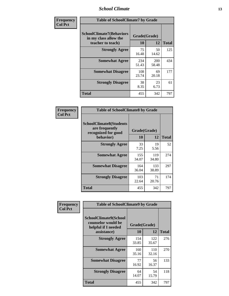### *School Climate* **13**

| Frequency      | <b>Table of SchoolClimate7 by Grade</b>                                       |                           |                     |              |
|----------------|-------------------------------------------------------------------------------|---------------------------|---------------------|--------------|
| <b>Col Pct</b> | <b>SchoolClimate7(Behaviors</b><br>in my class allow the<br>teacher to teach) | Grade(Grade)<br><b>10</b> | 12                  | <b>Total</b> |
|                | <b>Strongly Agree</b>                                                         | 75<br>16.48               | 50<br>14.62         | 125          |
|                | <b>Somewhat Agree</b>                                                         | 234<br>51.43              | <b>200</b><br>58.48 | 434          |
|                | <b>Somewhat Disagree</b>                                                      | 108<br>23.74              | 69<br>20.18         | 177          |
|                | <b>Strongly Disagree</b>                                                      | 38<br>8.35                | 23<br>6.73          | 61           |
|                | <b>Total</b>                                                                  | 455                       | 342                 | 797          |

| Frequency      | <b>Table of SchoolClimate8 by Grade</b>                                              |                    |              |              |
|----------------|--------------------------------------------------------------------------------------|--------------------|--------------|--------------|
| <b>Col Pct</b> | <b>SchoolClimate8(Students</b><br>are frequently<br>recognized for good<br>behavior) | Grade(Grade)<br>10 | 12           | <b>Total</b> |
|                | <b>Strongly Agree</b>                                                                | 33<br>7.25         | 19<br>5.56   | 52           |
|                | <b>Somewhat Agree</b>                                                                | 155<br>34.07       | 119<br>34.80 | 274          |
|                | <b>Somewhat Disagree</b>                                                             | 164<br>36.04       | 133<br>38.89 | 297          |
|                | <b>Strongly Disagree</b>                                                             | 103<br>22.64       | 71<br>20.76  | 174          |
|                | <b>Total</b>                                                                         | 455                | 342          | 797          |

| Frequency      | <b>Table of SchoolClimate9 by Grade</b>                                                  |                    |              |              |
|----------------|------------------------------------------------------------------------------------------|--------------------|--------------|--------------|
| <b>Col Pct</b> | <b>SchoolClimate9(School</b><br>counselor would be<br>helpful if I needed<br>assistance) | Grade(Grade)<br>10 | 12           | <b>Total</b> |
|                | <b>Strongly Agree</b>                                                                    | 154<br>33.85       | 122<br>35.67 | 276          |
|                | <b>Somewhat Agree</b>                                                                    | 160<br>35.16       | 110<br>32.16 | 270          |
|                | <b>Somewhat Disagree</b>                                                                 | 77<br>16.92        | 56<br>16.37  | 133          |
|                | <b>Strongly Disagree</b>                                                                 | 64<br>14.07        | 54<br>15.79  | 118          |
|                | Total                                                                                    | 455                | 342          | 797          |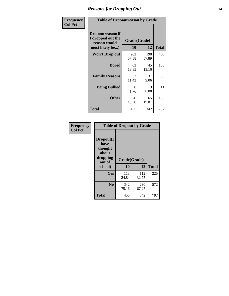### *Reasons for Dropping Out* **14**

| Frequency      | <b>Table of Dropoutreason by Grade</b>                                   |              |                    |              |
|----------------|--------------------------------------------------------------------------|--------------|--------------------|--------------|
| <b>Col Pct</b> | Dropoutreason(If<br>I dropped out the<br>reason would<br>most likely be) | 10           | Grade(Grade)<br>12 | <b>Total</b> |
|                | Won't Drop out                                                           | 262<br>57.58 | 198<br>57.89       | 460          |
|                | <b>Bored</b>                                                             | 63<br>13.85  | 45<br>13.16        | 108          |
|                | <b>Family Reasons</b>                                                    | 52<br>11.43  | 31<br>9.06         | 83           |
|                | <b>Being Bullied</b>                                                     | 8<br>1.76    | 3<br>0.88          | 11           |
|                | <b>Other</b>                                                             | 70<br>15.38  | 65<br>19.01        | 135          |
|                | <b>Total</b>                                                             | 455          | 342                | 797          |

| Frequency      | <b>Table of Dropout by Grade</b>                                       |                    |              |              |
|----------------|------------------------------------------------------------------------|--------------------|--------------|--------------|
| <b>Col Pct</b> | Dropout(I<br>have<br>thought<br>about<br>dropping<br>out of<br>school) | Grade(Grade)<br>10 | 12           | <b>Total</b> |
|                |                                                                        |                    |              |              |
|                | Yes                                                                    | 113<br>24.84       | 112<br>32.75 | 225          |
|                | N <sub>0</sub>                                                         | 342<br>75.16       | 230<br>67.25 | 572          |
|                | <b>Total</b>                                                           | 455                | 342          | 797          |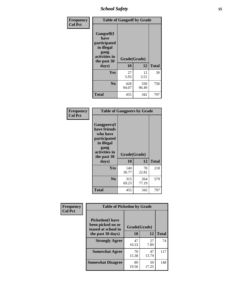*School Safety* **15**

| Frequency      | <b>Table of Gangself by Grade</b>                                                                         |                    |              |              |
|----------------|-----------------------------------------------------------------------------------------------------------|--------------------|--------------|--------------|
| <b>Col Pct</b> | <b>Gangself</b> (I<br>have<br>participated<br>in illegal<br>gang<br>activities in<br>the past 30<br>days) | Grade(Grade)<br>10 | 12           | <b>Total</b> |
|                | Yes                                                                                                       | 27<br>5.93         | 12<br>3.51   | 39           |
|                | N <sub>0</sub>                                                                                            | 428<br>94.07       | 330<br>96.49 | 758          |
|                | <b>Total</b>                                                                                              | 455                | 342          | 797          |

| Frequency<br><b>Col Pct</b> | <b>Table of Gangpeers by Grade</b>                                                                                             |                    |              |              |
|-----------------------------|--------------------------------------------------------------------------------------------------------------------------------|--------------------|--------------|--------------|
|                             | <b>Gangpeers</b> (I<br>have friends<br>who have<br>participated<br>in illegal<br>gang<br>activities in<br>the past 30<br>days) | Grade(Grade)<br>10 | 12           | <b>Total</b> |
|                             | Yes                                                                                                                            | 140<br>30.77       | 78<br>22.81  | 218          |
|                             | N <sub>0</sub>                                                                                                                 | 315<br>69.23       | 264<br>77.19 | 579          |
|                             | <b>Total</b>                                                                                                                   | 455                | 342          | 797          |

| Frequency      |                                                                    | <b>Table of Pickedon by Grade</b> |             |              |  |  |  |  |  |  |  |
|----------------|--------------------------------------------------------------------|-----------------------------------|-------------|--------------|--|--|--|--|--|--|--|
| <b>Col Pct</b> | <b>Pickedon(I have</b><br>been picked on or<br>teased at school in | Grade(Grade)                      |             |              |  |  |  |  |  |  |  |
|                | the past 30 days)                                                  | <b>10</b>                         | 12          | <b>Total</b> |  |  |  |  |  |  |  |
|                | <b>Strongly Agree</b>                                              | 47<br>10.33                       | 27<br>7.89  | 74           |  |  |  |  |  |  |  |
|                | <b>Somewhat Agree</b>                                              | 70<br>15.38                       | 47<br>13.74 | 117          |  |  |  |  |  |  |  |
|                | <b>Somewhat Disagree</b>                                           | 89<br>19.56                       | 59<br>17.25 | 148          |  |  |  |  |  |  |  |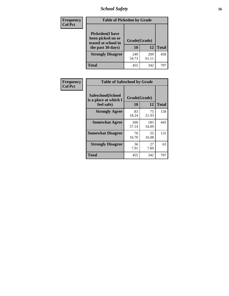### *School Safety* **16**

| <b>Frequency</b> | <b>Table of Pickedon by Grade</b>                                                        |                    |              |              |
|------------------|------------------------------------------------------------------------------------------|--------------------|--------------|--------------|
| <b>Col Pct</b>   | <b>Pickedon</b> (I have<br>been picked on or<br>teased at school in<br>the past 30 days) | Grade(Grade)<br>10 | 12           | <b>Total</b> |
|                  | <b>Strongly Disagree</b>                                                                 | 249<br>54.73       | 209<br>61.11 | 458          |
|                  | Total                                                                                    | 455                | 342          | 79′          |

| Frequency      |                                                          | <b>Table of Safeschool by Grade</b> |              |              |  |  |  |  |  |  |  |
|----------------|----------------------------------------------------------|-------------------------------------|--------------|--------------|--|--|--|--|--|--|--|
| <b>Col Pct</b> | Safeschool(School<br>is a place at which I<br>feel safe) | Grade(Grade)<br>10                  | 12           | <b>Total</b> |  |  |  |  |  |  |  |
|                | <b>Strongly Agree</b>                                    | 83<br>18.24                         | 75<br>21.93  | 158          |  |  |  |  |  |  |  |
|                | <b>Somewhat Agree</b>                                    | 260<br>57.14                        | 185<br>54.09 | 445          |  |  |  |  |  |  |  |
|                | <b>Somewhat Disagree</b>                                 | 76<br>16.70                         | 55<br>16.08  | 131          |  |  |  |  |  |  |  |
|                | <b>Strongly Disagree</b>                                 | 36<br>7.91                          | 27<br>7.89   | 63           |  |  |  |  |  |  |  |
|                | <b>Total</b>                                             | 455                                 | 342          | 797          |  |  |  |  |  |  |  |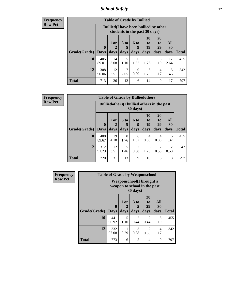*School Safety* **17**

| <b>Table of Grade by Bullied</b> |                       |                                                                               |                              |                   |                        |                               |                          |              |  |  |  |  |
|----------------------------------|-----------------------|-------------------------------------------------------------------------------|------------------------------|-------------------|------------------------|-------------------------------|--------------------------|--------------|--|--|--|--|
|                                  |                       | <b>Bullied</b> (I have been bullied by other<br>students in the past 30 days) |                              |                   |                        |                               |                          |              |  |  |  |  |
| Grade(Grade)                     | $\mathbf 0$<br>  Days | 1 or<br>2<br>days                                                             | 3 <sub>to</sub><br>5<br>days | 6 to<br>q<br>days | 10<br>to<br>19<br>days | <b>20</b><br>to<br>29<br>days | All<br><b>30</b><br>days | <b>Total</b> |  |  |  |  |
| 10                               | 405<br>89.01          | 14<br>3.08                                                                    | 5<br>1.10                    | 6<br>1.32         | 8<br>1.76              | 5<br>1.10                     | 12<br>2.64               | 455          |  |  |  |  |
| 12                               | 308<br>90.06          | 12<br>3.51                                                                    | 7<br>2.05                    | 0<br>0.00         | 6<br>1.75              | 4<br>1.17                     | 5<br>1.46                | 342          |  |  |  |  |
| <b>Total</b>                     | 713                   | 26                                                                            | 12                           | 6                 | 14                     | 9                             | 17                       | 797          |  |  |  |  |

| <b>Frequency</b> |
|------------------|
| <b>Row Pct</b>   |

| <b>Table of Grade by Bulliedothers</b> |                            |                                                                |                              |                   |                        |                        |                        |              |  |  |  |  |
|----------------------------------------|----------------------------|----------------------------------------------------------------|------------------------------|-------------------|------------------------|------------------------|------------------------|--------------|--|--|--|--|
|                                        |                            | <b>Bulliedothers</b> (I bullied others in the past<br>30 days) |                              |                   |                        |                        |                        |              |  |  |  |  |
| Grade(Grade)                           | $\mathbf 0$<br><b>Days</b> | 1 or<br>2<br>days                                              | 3 <sub>to</sub><br>5<br>days | 6 to<br>9<br>days | 10<br>to<br>19<br>days | 20<br>to<br>29<br>days | All<br>30<br>days      | <b>Total</b> |  |  |  |  |
| 10                                     | 408<br>89.67               | 19<br>4.18                                                     | 8<br>1.76                    | 6<br>1.32         | $\overline{4}$<br>0.88 | 4<br>0.88              | 6<br>1.32              | 455          |  |  |  |  |
| 12                                     | 312<br>91.23               | 12<br>3.51                                                     | 5<br>1.46                    | 3<br>0.88         | 6<br>1.75              | 2<br>0.58              | $\mathfrak{D}$<br>0.58 | 342          |  |  |  |  |
| <b>Total</b>                           | 720                        | 31                                                             | 13                           | 9                 | 10                     | 6                      | 8                      | 797          |  |  |  |  |

| Frequency      | <b>Table of Grade by Weaponschool</b> |                                                                  |                   |                              |                               |                   |              |  |  |  |  |
|----------------|---------------------------------------|------------------------------------------------------------------|-------------------|------------------------------|-------------------------------|-------------------|--------------|--|--|--|--|
| <b>Row Pct</b> |                                       | <b>Weaponschool</b> (I brought a<br>weapon to school in the past |                   |                              |                               |                   |              |  |  |  |  |
|                | Grade(Grade)                          | $\bf{0}$<br><b>Days</b>                                          | 1 or<br>2<br>days | 3 <sub>to</sub><br>5<br>days | <b>20</b><br>to<br>29<br>days | All<br>30<br>days | <b>Total</b> |  |  |  |  |
|                | 10                                    | 441<br>96.92                                                     | 5<br>1.10         | $\mathfrak{D}$<br>0.44       | 2<br>0.44                     | 5<br>1.10         | 455          |  |  |  |  |
|                | 12                                    | 332<br>97.08                                                     | 0.29              | 3<br>0.88                    | 2<br>0.58                     | 4<br>1.17         | 342          |  |  |  |  |
|                | <b>Total</b>                          | 773                                                              | 6                 | 5                            | 4                             | 9                 | 797          |  |  |  |  |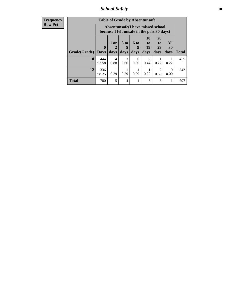*School Safety* **18**

| <b>Frequency</b> |              | <b>Table of Grade by Absentunsafe</b> |                                                                                 |                      |                  |                        |                        |           |              |  |  |  |  |
|------------------|--------------|---------------------------------------|---------------------------------------------------------------------------------|----------------------|------------------|------------------------|------------------------|-----------|--------------|--|--|--|--|
| <b>Row Pct</b>   |              |                                       | Absentunsafe(I have missed school<br>because I felt unsafe in the past 30 days) |                      |                  |                        |                        |           |              |  |  |  |  |
|                  |              | $\mathbf{0}$                          | $1$ or<br>2                                                                     | 3 <sub>to</sub><br>5 | <b>6 to</b>      | 10<br>to<br>19         | <b>20</b><br>to<br>29  | All<br>30 |              |  |  |  |  |
|                  | Grade(Grade) | <b>Days</b>                           | days                                                                            | days                 | days             | days                   | days                   | days      | <b>Total</b> |  |  |  |  |
|                  | 10           | 444<br>97.58                          | 4<br>0.88                                                                       | 3<br>0.66            | $\Omega$<br>0.00 | $\mathfrak{D}$<br>0.44 | 0.22                   | 0.22      | 455          |  |  |  |  |
|                  | 12           | 336<br>98.25                          | 1<br>0.29                                                                       | 0.29                 | 0.29             | 0.29                   | $\overline{c}$<br>0.58 | 0<br>0.00 | 342          |  |  |  |  |
|                  | <b>Total</b> | 780                                   | 5                                                                               | 4                    |                  | 3                      | 3                      |           | 797          |  |  |  |  |
|                  |              |                                       |                                                                                 |                      |                  |                        |                        |           |              |  |  |  |  |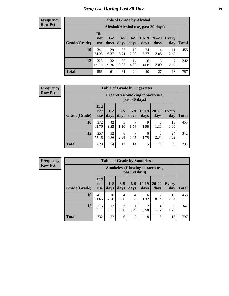### *Drug Use During Last 30 Days* **19**

#### **Frequency Row Pct**

| <b>Table of Grade by Alcohol</b> |                          |                                     |                 |               |               |               |                     |       |  |  |  |  |
|----------------------------------|--------------------------|-------------------------------------|-----------------|---------------|---------------|---------------|---------------------|-------|--|--|--|--|
|                                  |                          | Alcohol (Alcohol use, past 30 days) |                 |               |               |               |                     |       |  |  |  |  |
| Grade(Grade)                     | <b>Did</b><br>not<br>use | $1 - 2$<br>days                     | $3 - 5$<br>days | $6-9$<br>days | 10-19<br>days | 20-29<br>days | <b>Every</b><br>day | Total |  |  |  |  |
| 10                               | 341<br>74.95             | 29<br>6.37                          | 26<br>5.71      | 10<br>2.20    | 24<br>5.27    | 14<br>3.08    | 11<br>2.42          | 455   |  |  |  |  |
| 12                               | 225<br>65.79             | 32<br>9.36                          | 35<br>10.23     | 14<br>4.09    | 16<br>4.68    | 13<br>3.80    | 7<br>2.05           | 342   |  |  |  |  |
| <b>Total</b>                     | 566                      | 61                                  | 61              | 24            | 40            | 27            | 18                  | 797   |  |  |  |  |

#### **Frequency Row Pct**

| <b>Table of Grade by Cigarettes</b> |                                 |                                                   |                 |                 |                 |               |                     |              |  |  |  |
|-------------------------------------|---------------------------------|---------------------------------------------------|-----------------|-----------------|-----------------|---------------|---------------------|--------------|--|--|--|
|                                     |                                 | Cigarettes (Smoking tobacco use,<br>past 30 days) |                 |                 |                 |               |                     |              |  |  |  |
| Grade(Grade)                        | <b>Did</b><br>not<br><b>use</b> | $1 - 2$<br>days                                   | $3 - 5$<br>days | $6 - 9$<br>days | $10-19$<br>days | 20-29<br>days | <b>Every</b><br>day | <b>Total</b> |  |  |  |
| 10                                  | 372<br>81.76                    | 42<br>9.23                                        | 5<br>1.10       | 7<br>1.54       | 9<br>1.98       | 5<br>1.10     | 15<br>3.30          | 455          |  |  |  |
| 12                                  | 257<br>75.15                    | 32<br>9.36                                        | 8<br>2.34       | 7<br>2.05       | 6<br>1.75       | 8<br>2.34     | 24<br>7.02          | 342          |  |  |  |
| <b>Total</b>                        | 629                             | 74                                                | 13              | 14              | 15              | 13            | 39                  | 797          |  |  |  |

| <b>Table of Grade by Smokeless</b> |                                 |                                                        |                        |                 |                 |                        |              |              |  |  |  |
|------------------------------------|---------------------------------|--------------------------------------------------------|------------------------|-----------------|-----------------|------------------------|--------------|--------------|--|--|--|
|                                    |                                 | <b>Smokeless</b> (Chewing tobaccouse,<br>past 30 days) |                        |                 |                 |                        |              |              |  |  |  |
| Grade(Grade)                       | <b>Did</b><br>not<br><b>use</b> | $1 - 2$<br>days                                        | $3 - 5$<br>days        | $6 - 9$<br>days | $10-19$<br>days | $20-29$<br>days        | Every<br>day | <b>Total</b> |  |  |  |
| 10                                 | 417<br>91.65                    | 10<br>2.20                                             | 4<br>0.88              | 4<br>0.88       | 6<br>1.32       | $\mathfrak{D}$<br>0.44 | 12<br>2.64   | 455          |  |  |  |
| 12                                 | 315<br>92.11                    | 12<br>3.51                                             | $\overline{c}$<br>0.58 | 0.29            | 2<br>0.58       | 4<br>1.17              | 6<br>1.75    | 342          |  |  |  |
| <b>Total</b>                       | 732                             | 22                                                     | 6                      | 5               | 8               | 6                      | 18           | 797          |  |  |  |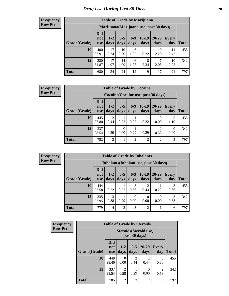| <b>Table of Grade by Marijuana</b> |                          |                                         |                 |               |                 |                       |              |              |  |  |  |  |
|------------------------------------|--------------------------|-----------------------------------------|-----------------|---------------|-----------------|-----------------------|--------------|--------------|--|--|--|--|
|                                    |                          | Marijuana (Marijuana use, past 30 days) |                 |               |                 |                       |              |              |  |  |  |  |
| Grade(Grade)                       | Did<br>not<br><b>use</b> | $1 - 2$<br>days                         | $3 - 5$<br>days | $6-9$<br>days | $10-19$<br>days | 20-29<br>days         | Every<br>day | <b>Total</b> |  |  |  |  |
| 10                                 | 400<br>87.91             | 17<br>3.74                              | 10<br>2.20      | 6<br>1.32     | 0.22            | 10<br>2.20            | 11<br>2.42   | 455          |  |  |  |  |
| 12                                 | 280<br>81.87             | 17<br>4.97                              | 14<br>4.09      | 6<br>1.75     | 8<br>2.34       | $\mathcal{I}$<br>2.05 | 10<br>2.92   | 342          |  |  |  |  |
| <b>Total</b>                       | 680                      | 34                                      | 24              | 12            | 9               | 17                    | 21           | 797          |  |  |  |  |

#### **Frequency Row Pct**

| <b>Table of Grade by Cocaine</b> |                          |                                     |                 |                |                 |               |                          |       |  |  |
|----------------------------------|--------------------------|-------------------------------------|-----------------|----------------|-----------------|---------------|--------------------------|-------|--|--|
|                                  |                          | Cocaine (Cocaine use, past 30 days) |                 |                |                 |               |                          |       |  |  |
| Grade(Grade)                     | Did<br>not<br><b>use</b> | $1 - 2$<br>days                     | $3 - 5$<br>days | $6-9$<br>days  | $10-19$<br>days | 20-29<br>days | <b>Every</b><br>day      | Total |  |  |
| 10                               | 445<br>97.80             | $\mathfrak{D}$<br>0.44              | 0.22            | 0.22           | 0.22            | 0.00          | 5<br>1.10                | 455   |  |  |
| 12                               | 337<br>98.54             | 0.29                                | 0<br>0.00       | 0.29           | 0.29            | っ<br>0.58     | $\left( \right)$<br>0.00 | 342   |  |  |
| <b>Total</b>                     | 782                      | 3                                   |                 | $\overline{2}$ | $\overline{2}$  | $\mathcal{D}$ | 5                        | 797   |  |  |

| <b>Table of Grade by Inhalants</b> |                                 |                                        |                 |               |                        |                   |              |              |  |  |
|------------------------------------|---------------------------------|----------------------------------------|-----------------|---------------|------------------------|-------------------|--------------|--------------|--|--|
|                                    |                                 | Inhalants (Inhalant use, past 30 days) |                 |               |                        |                   |              |              |  |  |
| Grade(Grade)                       | <b>Did</b><br>not<br><b>use</b> | $1 - 2$<br>days                        | $3 - 5$<br>days | $6-9$<br>days | $10-19$<br>days        | $20 - 29$<br>days | Every<br>day | <b>Total</b> |  |  |
| 10                                 | 444<br>97.58                    | 0.22                                   | 0.22            | 3<br>0.66     | $\overline{2}$<br>0.44 | 0.22              | 0.66         | 455          |  |  |
| 12                                 | 335<br>97.95                    | 3<br>0.88                              | 0.29            | 0.00          | 0<br>0.00              | 0<br>0.00         | 3<br>0.88    | 342          |  |  |
| <b>Total</b>                       | 779                             | 4                                      | $\overline{2}$  | 3             | $\overline{c}$         |                   | 6            | 797          |  |  |

| Frequency      | <b>Table of Grade by Steroids</b> |                                 |                                         |                        |                          |                        |              |  |
|----------------|-----------------------------------|---------------------------------|-----------------------------------------|------------------------|--------------------------|------------------------|--------------|--|
| <b>Row Pct</b> |                                   |                                 | Steroids (Steroid use,<br>past 30 days) |                        |                          |                        |              |  |
|                | Grade(Grade)                      | <b>Did</b><br>not<br><b>use</b> | $1-2$<br>days                           | $3 - 5$<br>days        | $20 - 29$<br>days        | <b>Every</b><br>day    | <b>Total</b> |  |
|                | 10                                | 448<br>98.46                    | $\Omega$<br>0.00                        | $\mathfrak{D}$<br>0.44 | $\mathcal{D}$<br>0.44    | 3<br>0.66              | 455          |  |
|                | 12                                | 337<br>98.54                    | $\overline{2}$<br>0.58                  | 0.29                   | $\left( \right)$<br>0.00 | $\overline{2}$<br>0.58 | 342          |  |
|                | <b>Total</b>                      | 785                             | $\overline{2}$                          | 3                      | $\overline{2}$           | 5                      | 797          |  |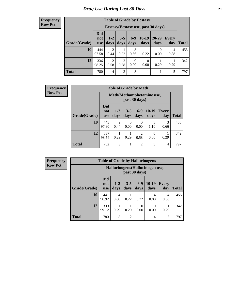| <b>Table of Grade by Ecstasy</b> |                                 |                                     |                 |                  |                  |               |              |              |  |  |
|----------------------------------|---------------------------------|-------------------------------------|-----------------|------------------|------------------|---------------|--------------|--------------|--|--|
|                                  |                                 | Ecstasy (Ecstasy use, past 30 days) |                 |                  |                  |               |              |              |  |  |
| Grade(Grade)                     | <b>Did</b><br>not<br><b>use</b> | $1-2$<br>days                       | $3 - 5$<br>days | $6 - 9$<br>days  | $10-19$<br>days  | 20-29<br>days | Every<br>day | <b>Total</b> |  |  |
| 10                               | 444<br>97.58                    | $\overline{2}$<br>0.44              | 0.22            | 3<br>0.66        | 0.22             | 0<br>0.00     | 4<br>0.88    | 455          |  |  |
| 12                               | 336<br>98.25                    | $\overline{2}$<br>0.58              | 2<br>0.58       | $\theta$<br>0.00 | $\theta$<br>0.00 | 0.29          | 0.29         | 342          |  |  |
| <b>Total</b>                     | 780                             | 4                                   | 3               | 3                |                  |               | 5            | 797          |  |  |

| <b>Frequency</b> | <b>Table of Grade by Meth</b> |                                 |                 |                  |                |                           |                     |              |
|------------------|-------------------------------|---------------------------------|-----------------|------------------|----------------|---------------------------|---------------------|--------------|
| <b>Row Pct</b>   |                               |                                 |                 |                  | past 30 days)  | Meth(Methamphetamine use, |                     |              |
|                  | Grade(Grade)                  | <b>Did</b><br>not<br><b>use</b> | $1 - 2$<br>days | $3-5$<br>days    | $6-9$<br>days  | $10-19$<br>days           | <b>Every</b><br>day | <b>Total</b> |
|                  | 10                            | 445<br>97.80                    | 2<br>0.44       | $\Omega$<br>0.00 | 0<br>0.00      | 5<br>1.10                 | 3<br>0.66           | 455          |
|                  | 12                            | 337<br>98.54                    | 0.29            | 0.29             | 2<br>0.58      | $\theta$<br>0.00          | 0.29                | 342          |
|                  | <b>Total</b>                  | 782                             | 3               |                  | $\overline{2}$ | 5                         | 4                   | 797          |

| <b>Frequency</b> | <b>Tabl</b> |
|------------------|-------------|
| <b>Row Pct</b>   |             |
|                  |             |
|                  |             |

|              | <b>Table of Grade by Hallucinogens</b> |                                                   |                 |                 |                 |                     |              |  |  |
|--------------|----------------------------------------|---------------------------------------------------|-----------------|-----------------|-----------------|---------------------|--------------|--|--|
|              |                                        | Hallucinogens (Hallucinogen use,<br>past 30 days) |                 |                 |                 |                     |              |  |  |
| Grade(Grade) | <b>Did</b><br>not<br><b>use</b>        | $1 - 2$<br>days                                   | $3 - 5$<br>days | $6 - 9$<br>days | $10-19$<br>days | <b>Every</b><br>day | <b>Total</b> |  |  |
| 10           | 441<br>96.92                           | 4<br>0.88                                         | 0.22            | 0.22            | 4<br>0.88       | 4<br>0.88           | 455          |  |  |
| 12           | 339<br>99.12                           | 0.29                                              | 0.29            | 0<br>0.00       | 0<br>0.00       | 0.29                | 342          |  |  |
| <b>Total</b> | 780                                    | 5                                                 | $\overline{2}$  |                 | 4               | 5                   | 797          |  |  |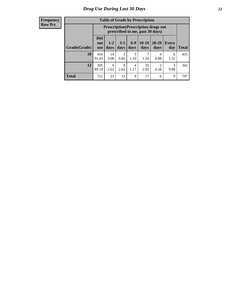| <b>Table of Grade by Prescription</b> |                                 |                                                                                |                 |                 |                 |               |              |              |  |  |
|---------------------------------------|---------------------------------|--------------------------------------------------------------------------------|-----------------|-----------------|-----------------|---------------|--------------|--------------|--|--|
|                                       |                                 | <b>Prescription</b> (Prescription drugs not<br>prescribed to me, past 30 days) |                 |                 |                 |               |              |              |  |  |
| Grade(Grade)                          | <b>Did</b><br>not<br><b>use</b> | $1 - 2$<br>days                                                                | $3 - 5$<br>days | $6 - 9$<br>days | $10-19$<br>days | 20-29<br>days | Every<br>day | <b>Total</b> |  |  |
| 10                                    | 416<br>91.43                    | 14<br>3.08                                                                     | 3<br>0.66       | 5<br>1.10       | 1.54            | 4<br>0.88     | 6<br>1.32    | 455          |  |  |
| 12                                    | 305<br>89.18                    | 9<br>2.63                                                                      | 9<br>2.63       | 4<br>1.17       | 10<br>2.92      | ◠<br>0.58     | 3<br>0.88    | 342          |  |  |
| <b>Total</b>                          | 721                             | 23                                                                             | 12              | 9               | 17              | 6             | 9            | 797          |  |  |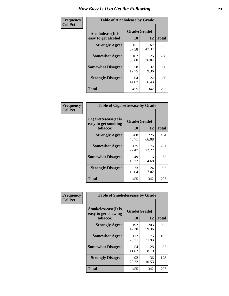| Frequency      | <b>Table of Alcoholease by Grade</b>              |                    |              |              |  |  |  |  |
|----------------|---------------------------------------------------|--------------------|--------------|--------------|--|--|--|--|
| <b>Col Pct</b> | <b>Alcoholease</b> (It is<br>easy to get alcohol) | Grade(Grade)<br>10 | 12           | <b>Total</b> |  |  |  |  |
|                | <b>Strongly Agree</b>                             | 171<br>37.58       | 162<br>47.37 | 333          |  |  |  |  |
|                | <b>Somewhat Agree</b>                             | 162<br>35.60       | 126<br>36.84 | 288          |  |  |  |  |
|                | <b>Somewhat Disagree</b>                          | 58<br>12.75        | 32<br>9.36   | 90           |  |  |  |  |
|                | <b>Strongly Disagree</b>                          | 64<br>14.07        | 22<br>6.43   | 86           |  |  |  |  |
|                | <b>Total</b>                                      | 455                | 342          | 797          |  |  |  |  |

| Frequency      | <b>Table of Cigarettesease by Grade</b>                  |                           |              |              |  |  |  |  |
|----------------|----------------------------------------------------------|---------------------------|--------------|--------------|--|--|--|--|
| <b>Col Pct</b> | Cigarettesease (It is<br>easy to get smoking<br>tobacco) | Grade(Grade)<br><b>10</b> | 12           | <b>Total</b> |  |  |  |  |
|                | <b>Strongly Agree</b>                                    | 208<br>45.71              | 226<br>66.08 | 434          |  |  |  |  |
|                | <b>Somewhat Agree</b>                                    | 125<br>27.47              | 76<br>22.22  | 201          |  |  |  |  |
|                | <b>Somewhat Disagree</b>                                 | 49<br>10.77               | 16<br>4.68   | 65           |  |  |  |  |
|                | <b>Strongly Disagree</b>                                 | 73<br>16.04               | 24<br>7.02   | 97           |  |  |  |  |
|                | <b>Total</b>                                             | 455                       | 342          | 797          |  |  |  |  |

| Frequency      | <b>Table of Smokelessease by Grade</b>             |                           |              |     |  |  |  |  |
|----------------|----------------------------------------------------|---------------------------|--------------|-----|--|--|--|--|
| <b>Col Pct</b> | <b>Smokelessease</b> (It is<br>easy to get chewing | Grade(Grade)<br><b>10</b> | <b>Total</b> |     |  |  |  |  |
|                | tobacco)                                           |                           | 12           |     |  |  |  |  |
|                | <b>Strongly Agree</b>                              | 192<br>42.20              | 203<br>59.36 | 395 |  |  |  |  |
|                | <b>Somewhat Agree</b>                              | 117<br>25.71              | 75<br>21.93  | 192 |  |  |  |  |
|                | <b>Somewhat Disagree</b>                           | 54<br>11.87               | 28<br>8.19   | 82  |  |  |  |  |
|                | <b>Strongly Disagree</b>                           | 92<br>20.22               | 36<br>10.53  | 128 |  |  |  |  |
|                | <b>Total</b>                                       | 455                       | 342          | 797 |  |  |  |  |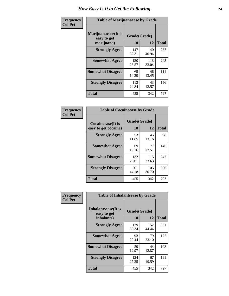| Frequency      | <b>Table of Marijuanaease by Grade</b>           |                    |              |              |  |  |  |  |  |
|----------------|--------------------------------------------------|--------------------|--------------|--------------|--|--|--|--|--|
| <b>Col Pct</b> | Marijuanaease(It is<br>easy to get<br>marijuana) | Grade(Grade)<br>10 | 12           | <b>Total</b> |  |  |  |  |  |
|                | <b>Strongly Agree</b>                            | 147<br>32.31       | 140<br>40.94 | 287          |  |  |  |  |  |
|                | <b>Somewhat Agree</b>                            | 130<br>28.57       | 113<br>33.04 | 243          |  |  |  |  |  |
|                | <b>Somewhat Disagree</b>                         | 65<br>14.29        | 46<br>13.45  | 111          |  |  |  |  |  |
|                | <b>Strongly Disagree</b>                         | 113<br>24.84       | 43<br>12.57  | 156          |  |  |  |  |  |
|                | <b>Total</b>                                     | 455                | 342          | 797          |  |  |  |  |  |

|                                           | <b>Table of Cocaineease by Grade</b> |              |     |  |  |  |  |  |  |  |  |  |  |
|-------------------------------------------|--------------------------------------|--------------|-----|--|--|--|--|--|--|--|--|--|--|
| Cocaineease(It is<br>easy to get cocaine) | Grade(Grade)<br>10                   | <b>Total</b> |     |  |  |  |  |  |  |  |  |  |  |
| <b>Strongly Agree</b>                     | 53<br>11.65                          | 45<br>13.16  | 98  |  |  |  |  |  |  |  |  |  |  |
| <b>Somewhat Agree</b>                     | 69<br>15.16                          | 77<br>22.51  | 146 |  |  |  |  |  |  |  |  |  |  |
| <b>Somewhat Disagree</b>                  | 132<br>29.01                         | 115<br>33.63 | 247 |  |  |  |  |  |  |  |  |  |  |
| <b>Strongly Disagree</b>                  | 201<br>44.18                         | 105<br>30.70 | 306 |  |  |  |  |  |  |  |  |  |  |
| <b>Total</b>                              | 455                                  | 342          | 797 |  |  |  |  |  |  |  |  |  |  |

| Frequency      | <b>Table of Inhalantsease by Grade</b>     |              |              |              |
|----------------|--------------------------------------------|--------------|--------------|--------------|
| <b>Col Pct</b> | <b>Inhalantsease</b> (It is<br>easy to get | Grade(Grade) |              |              |
|                | inhalants)                                 | 10           | 12           | <b>Total</b> |
|                | <b>Strongly Agree</b>                      | 179<br>39.34 | 152<br>44.44 | 331          |
|                | <b>Somewhat Agree</b>                      | 93<br>20.44  | 79<br>23.10  | 172          |
|                | <b>Somewhat Disagree</b>                   | 59<br>12.97  | 44<br>12.87  | 103          |
|                | <b>Strongly Disagree</b>                   | 124<br>27.25 | 67<br>19.59  | 191          |
|                | <b>Total</b>                               | 455          | 342          | 797          |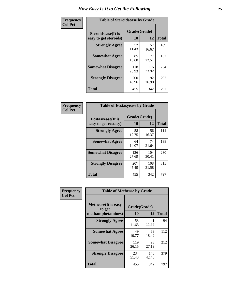| Frequency      | <b>Table of Steroidsease by Grade</b>               |                    |              |              |
|----------------|-----------------------------------------------------|--------------------|--------------|--------------|
| <b>Col Pct</b> | <b>Steroidsease</b> (It is<br>easy to get steroids) | Grade(Grade)<br>10 | 12           | <b>Total</b> |
|                | <b>Strongly Agree</b>                               | 52<br>11.43        | 57<br>16.67  | 109          |
|                | <b>Somewhat Agree</b>                               | 85<br>18.68        | 77<br>22.51  | 162          |
|                | <b>Somewhat Disagree</b>                            | 118<br>25.93       | 116<br>33.92 | 234          |
|                | <b>Strongly Disagree</b>                            | 200<br>43.96       | 92<br>26.90  | 292          |
|                | <b>Total</b>                                        | 455                | 342          | 797          |

| Frequency      | <b>Table of Ecstasyease by Grade</b>              |                    |              |              |
|----------------|---------------------------------------------------|--------------------|--------------|--------------|
| <b>Col Pct</b> | <b>Ecstasyease</b> (It is<br>easy to get ecstasy) | Grade(Grade)<br>10 | 12           | <b>Total</b> |
|                | <b>Strongly Agree</b>                             | 58<br>12.75        | 56<br>16.37  | 114          |
|                | <b>Somewhat Agree</b>                             | 64<br>14.07        | 74<br>21.64  | 138          |
|                | <b>Somewhat Disagree</b>                          | 126<br>27.69       | 104<br>30.41 | 230          |
|                | <b>Strongly Disagree</b>                          | 207<br>45.49       | 108<br>31.58 | 315          |
|                | <b>Total</b>                                      | 455                | 342          | 797          |

| Frequency      | <b>Table of Methease by Grade</b>                          |                    |              |              |
|----------------|------------------------------------------------------------|--------------------|--------------|--------------|
| <b>Col Pct</b> | <b>Methease</b> (It is easy<br>to get<br>methamphetamines) | Grade(Grade)<br>10 | 12           | <b>Total</b> |
|                | <b>Strongly Agree</b>                                      | 53<br>11.65        | 41<br>11.99  | 94           |
|                | <b>Somewhat Agree</b>                                      | 49<br>10.77        | 63<br>18.42  | 112          |
|                | <b>Somewhat Disagree</b>                                   | 119<br>26.15       | 93<br>27.19  | 212          |
|                | <b>Strongly Disagree</b>                                   | 234<br>51.43       | 145<br>42.40 | 379          |
|                | <b>Total</b>                                               | 455                | 342          | 797          |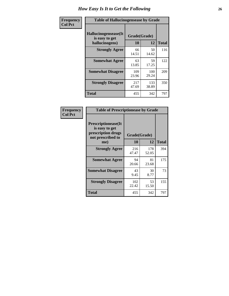| <b>Frequency</b> | <b>Table of Hallucinogensease by Grade</b>               |                    |              |              |
|------------------|----------------------------------------------------------|--------------------|--------------|--------------|
| <b>Col Pct</b>   | Hallucinogensease(It<br>is easy to get<br>hallucinogens) | Grade(Grade)<br>10 | 12           | <b>Total</b> |
|                  | <b>Strongly Agree</b>                                    | 66<br>14.51        | 50<br>14.62  | 116          |
|                  | <b>Somewhat Agree</b>                                    | 63<br>13.85        | 59<br>17.25  | 122          |
|                  | <b>Somewhat Disagree</b>                                 | 109<br>23.96       | 100<br>29.24 | 209          |
|                  | <b>Strongly Disagree</b>                                 | 217<br>47.69       | 133<br>38.89 | 350          |
|                  | <b>Total</b>                                             | 455                | 342          | 797          |

| Frequency<br>Col Pct |
|----------------------|
|                      |

| <b>Table of Prescriptionease by Grade</b>                                                |              |              |              |
|------------------------------------------------------------------------------------------|--------------|--------------|--------------|
| <b>Prescriptionease</b> (It<br>is easy to get<br>prescription drugs<br>not prescribed to | Grade(Grade) |              |              |
| me)                                                                                      | 10           | 12           | <b>Total</b> |
| <b>Strongly Agree</b>                                                                    | 216<br>47.47 | 178<br>52.05 | 394          |
| <b>Somewhat Agree</b>                                                                    | 94<br>20.66  | 81<br>23.68  | 175          |
| <b>Somewhat Disagree</b>                                                                 | 43<br>9.45   | 30<br>8.77   | 73           |
| <b>Strongly Disagree</b>                                                                 | 102<br>22.42 | 53<br>15.50  | 155          |
| Total                                                                                    | 455          | 342          | 797          |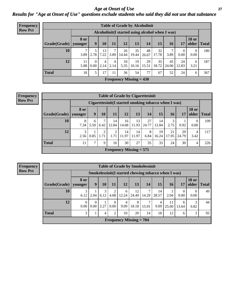*Age at Onset of Use* **27** *Results for "Age at Onset of Use" questions exclude students who said they did not use that substance*

| <b>Frequency</b> |              | <b>Table of Grade by Alcoholinit</b> |                  |            |           |             |                           |                                                  |             |             |                  |                       |              |
|------------------|--------------|--------------------------------------|------------------|------------|-----------|-------------|---------------------------|--------------------------------------------------|-------------|-------------|------------------|-----------------------|--------------|
| <b>Row Pct</b>   |              |                                      |                  |            |           |             |                           | Alcoholinit (I started using alcohol when I was) |             |             |                  |                       |              |
|                  | Grade(Grade) | <b>8 or</b><br>younger               | 9                | 10         | 11        | 12          | 13                        | 14                                               | 15          | 16          | 17               | <b>18 or</b><br>older | <b>Total</b> |
|                  | 10           | 3.89                                 | 2.78             | 13<br>7.22 | 7<br>3.89 | 26<br>14.44 | 35<br>19.44               | 48<br>26.67                                      | 32<br>17.78 | 3.89        | $\theta$<br>0.00 | $\theta$<br>0.00      | 180          |
|                  | 12           | 11<br>5.88                           | $\Omega$<br>0.00 | 4<br>2.14  | 4<br>2.14 | 10<br>5.35  | 19<br>10.16               | 29<br>15.51                                      | 35<br>18.72 | 45<br>24.06 | 24<br>12.83      | 6<br>3.21             | 187          |
|                  | <b>Total</b> | 18                                   | 5                | 17         | 11        | 36          | 54                        | 77                                               | 67          | 52          | 24               | 6                     | 367          |
|                  |              |                                      |                  |            |           |             | Frequency Missing $= 430$ |                                                  |             |             |                  |                       |              |

| <b>Frequency</b> | <b>Table of Grade by Cigarettesinit</b> |                        |               |           |                                                      |             |             |             |             |             |             |                        |              |
|------------------|-----------------------------------------|------------------------|---------------|-----------|------------------------------------------------------|-------------|-------------|-------------|-------------|-------------|-------------|------------------------|--------------|
| <b>Row Pct</b>   |                                         |                        |               |           | Cigarettesinit(I started smoking tobacco when I was) |             |             |             |             |             |             |                        |              |
|                  | Grade(Grade)                            | <b>8 or</b><br>younger | 9             | 10        | 11                                                   | 12          | 13          | 14          | 15          | <b>16</b>   | 17          | <b>18 or</b><br>older  | <b>Total</b> |
|                  | 10                                      | 8<br>7.34              | 6<br>5.50     | 6.42      | 14<br>12.84                                          | 16<br>14.68 | 13<br>11.93 | 27<br>24.77 | 14<br>12.84 | 3<br>2.75   | 0.92        | $\overline{0}$<br>0.00 | 109          |
|                  | 12                                      | 3<br>2.56              | 0.85          | ∍<br>1.71 | 2<br>1.71                                            | 14<br>11.97 | 14<br>11.97 | 8<br>6.84   | 19<br>16.24 | 21<br>17.95 | 29<br>24.79 | 4<br>3.42              | 117          |
|                  | <b>Total</b>                            | 11                     | $\mathcal{L}$ | Q         | 16                                                   | 30          | 27          | 35          | 33          | 24          | 30          | 4                      | 226          |
|                  |                                         |                        |               |           | Frequency Missing $= 571$                            |             |             |             |             |             |             |                        |              |

|                        | <b>Table of Grade by Smokelessinit</b> |                  |           |                      |                                                     |             |       |             |             |                  |                       |              |  |
|------------------------|----------------------------------------|------------------|-----------|----------------------|-----------------------------------------------------|-------------|-------|-------------|-------------|------------------|-----------------------|--------------|--|
|                        |                                        |                  |           |                      | Smokelessinit(I started chewing tobacco when I was) |             |       |             |             |                  |                       |              |  |
| Grade(Grade)   younger | 8 or                                   | 9                | 10        | 11                   | 12                                                  | 13          | 14    | 15          | 16          | <b>17</b>        | <b>18 or</b><br>older | <b>Total</b> |  |
| 10                     | 6.12                                   | 2.04             | 3<br>6.12 | 2<br>4.08            | 6<br>12.24                                          | 12<br>24.49 | 14.29 | 14<br>28.57 | 2.04        | $\theta$<br>0.00 | $\Omega$<br>0.00      | 49           |  |
| 12                     | $\Omega$<br>0.00                       | $\left($<br>0.00 | 2.27      | $\mathbf{0}$<br>0.00 | 4<br>9.09                                           | 8<br>18.18  | 15.91 | 4<br>9.09   | 11<br>25.00 | 6<br>13.64       | 3<br>6.82             | 44           |  |
| <b>Total</b>           | 3                                      |                  | 4         | 2                    | 10                                                  | 20          | 14    | 18          | 12          | 6                | 3                     | 93           |  |
|                        |                                        |                  |           |                      | <b>Frequency Missing = 704</b>                      |             |       |             |             |                  |                       |              |  |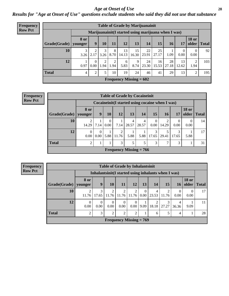#### *Age at Onset of Use* **28**

*Results for "Age at Onset of Use" questions exclude students who said they did not use that substance*

| <b>Frequency</b> |                                                      |                        |                  |           |           |                           |             | <b>Table of Grade by Marijuanainit</b> |             |             |                  |                       |              |
|------------------|------------------------------------------------------|------------------------|------------------|-----------|-----------|---------------------------|-------------|----------------------------------------|-------------|-------------|------------------|-----------------------|--------------|
| <b>Row Pct</b>   | Marijuanainit (I started using marijuana when I was) |                        |                  |           |           |                           |             |                                        |             |             |                  |                       |              |
|                  | Grade(Grade)                                         | <b>8</b> or<br>younger | 9                | 10        | 11        | 12                        | 13          | 14                                     | 15          | 16          | 17               | <b>18 or</b><br>older | <b>Total</b> |
|                  | 10                                                   | 3<br>3.26              | 2<br>2.17        | 3<br>3.26 | 8<br>8.70 | 13<br>14.13               | 15<br>16.30 | 22<br>23.91                            | 25<br>27.17 | 1.09        | $\Omega$<br>0.00 | $\Omega$<br>0.00      | 92           |
|                  | 12                                                   | 0.97                   | $\Omega$<br>0.00 | 2<br>1.94 | 2<br>1.94 | 6<br>5.83                 | 9<br>8.74   | 24<br>23.30                            | 16<br>15.53 | 28<br>27.18 | 13<br>12.62      | 2<br>1.94             | 103          |
|                  | <b>Total</b>                                         | 4                      | $\overline{2}$   | 5         | 10        | 19                        | 24          | 46                                     | 41          | 29          | 13               | 2                     | 195          |
|                  |                                                      |                        |                  |           |           | Frequency Missing $= 602$ |             |                                        |             |             |                  |                       |              |

**Frequency Row Pct**

|                           | <b>Table of Grade by Cocaineinit</b>                                                                                                    |                                                                                                           |                |      |            |            |                                                    |            |      |      |    |  |  |
|---------------------------|-----------------------------------------------------------------------------------------------------------------------------------------|-----------------------------------------------------------------------------------------------------------|----------------|------|------------|------------|----------------------------------------------------|------------|------|------|----|--|--|
|                           |                                                                                                                                         |                                                                                                           |                |      |            |            | Cocaine in it (I started using cocaine when I was) |            |      |      |    |  |  |
| Grade(Grade)   younger    | 8 or                                                                                                                                    | <b>18 or</b><br>13<br><b>15</b><br><b>12</b><br>older<br>9<br>14<br><b>16</b><br>10<br><b>Total</b><br>17 |                |      |            |            |                                                    |            |      |      |    |  |  |
| 10                        | 2<br>14.29                                                                                                                              | 7.14                                                                                                      | $0.00^{\circ}$ | 7.14 | 4<br>28.57 | 4<br>28.57 | $\Omega$<br>0.00                                   | 2<br>14.29 | 0.00 | 0.00 | 14 |  |  |
| 12                        | 17<br>2<br>3<br>$\overline{0}$<br>5<br>$\Omega$<br>0.00<br>$0.00\,$<br>17.65<br>29.41<br>5.88<br>11.76<br>5.88<br>17.65<br>5.88<br>5.88 |                                                                                                           |                |      |            |            |                                                    |            |      |      |    |  |  |
| <b>Total</b>              | 5<br>7<br>3<br>31<br>$\overline{2}$<br>5<br>3<br>3                                                                                      |                                                                                                           |                |      |            |            |                                                    |            |      |      |    |  |  |
| Frequency Missing $= 766$ |                                                                                                                                         |                                                                                                           |                |      |            |            |                                                    |            |      |      |    |  |  |

|                           | <b>Table of Grade by Inhalantsinit</b> |                                                                                                          |                         |                         |                         |               |                         |            |                  |                  |    |  |
|---------------------------|----------------------------------------|----------------------------------------------------------------------------------------------------------|-------------------------|-------------------------|-------------------------|---------------|-------------------------|------------|------------------|------------------|----|--|
|                           |                                        | Inhalantsinit (I started using inhalants when I was)                                                     |                         |                         |                         |               |                         |            |                  |                  |    |  |
| $Grade(Grade)$ younger    | 8 or                                   | <b>18 or</b><br>9<br>10<br>13<br>15<br>older<br><b>12</b><br>14<br>11<br><b>Total</b><br>16 <sup>1</sup> |                         |                         |                         |               |                         |            |                  |                  |    |  |
| 10                        | 2<br>11.76                             | 17.65                                                                                                    | $\overline{2}$<br>11.76 | $\overline{c}$<br>11.76 | 2<br>11.76              | 0<br>$0.00\,$ | 4<br>23.53              | 2<br>11.76 | $\Omega$<br>0.00 | $\theta$<br>0.00 | 17 |  |
| 12                        | $\Omega$<br>0.00                       | 0<br>0.00                                                                                                | $\Omega$<br>0.00        | $\Omega$<br>0.00        | $\Omega$<br>$0.00\vert$ | 9.09          | $\mathfrak{D}$<br>18.18 | 27.27      | 4<br>36.36       | 9.09             | 11 |  |
| <b>Total</b>              | $\overline{2}$                         | 3                                                                                                        | $\overline{2}$          | $\overline{2}$          | 2                       |               | 6                       | 5          | $\overline{4}$   |                  | 28 |  |
| Frequency Missing $= 769$ |                                        |                                                                                                          |                         |                         |                         |               |                         |            |                  |                  |    |  |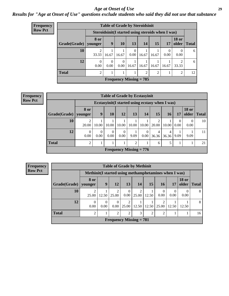#### *Age at Onset of Use* **29**

*Results for "Age at Onset of Use" questions exclude students who said they did not use that substance*

| Frequency      | <b>Table of Grade by Steroidsinit</b> |                                                    |                  |                  |                           |       |                |                  |                       |              |  |  |  |
|----------------|---------------------------------------|----------------------------------------------------|------------------|------------------|---------------------------|-------|----------------|------------------|-----------------------|--------------|--|--|--|
| <b>Row Pct</b> |                                       | Steroidsinit (I started using steroids when I was) |                  |                  |                           |       |                |                  |                       |              |  |  |  |
|                | Grade(Grade)                          | 8 or<br>younger                                    | 9                | <b>10</b>        | <b>13</b>                 | 14    | 15             | 17               | <b>18 or</b><br>older | <b>Total</b> |  |  |  |
|                | 10                                    | 2<br>33.33                                         | 16.67            | 16.67            | $\Omega$<br>0.00          | 16.67 | 16.67          | $\theta$<br>0.00 | $\Omega$<br>0.00      | 6            |  |  |  |
|                | 12                                    | $\theta$<br>0.00                                   | $\Omega$<br>0.00 | $\Omega$<br>0.00 | 16.67                     | 16.67 | 16.67          | 16.67            | ∍<br>33.33            | 6            |  |  |  |
|                | <b>Total</b>                          | $\overline{2}$                                     |                  |                  |                           | 2     | $\mathfrak{D}$ |                  | 2                     | 12           |  |  |  |
|                |                                       |                                                    |                  |                  | Frequency Missing $= 785$ |       |                |                  |                       |              |  |  |  |

**Frequency Row Pct**

|                                                                                                                                                           | <b>Table of Grade by Ecstasyinit</b> |                                                                                      |       |       |       |       |                         |       |           |                |    |  |
|-----------------------------------------------------------------------------------------------------------------------------------------------------------|--------------------------------------|--------------------------------------------------------------------------------------|-------|-------|-------|-------|-------------------------|-------|-----------|----------------|----|--|
|                                                                                                                                                           |                                      | Ecstasyinit (I started using ecstasy when I was)                                     |       |       |       |       |                         |       |           |                |    |  |
| Grade(Grade)                                                                                                                                              | 8 or<br>younger                      | <b>18 or</b><br>15<br>9<br>10<br>12<br>13<br>14<br>older<br>16<br><b>Total</b><br>17 |       |       |       |       |                         |       |           |                |    |  |
| 10                                                                                                                                                        | 2<br>20.00                           | 10.00                                                                                | 10.00 | 10.00 | 10.00 | 10.00 | $\overline{2}$<br>20.00 | 10.00 | 0<br>0.00 | $_{0}$<br>0.00 | 10 |  |
| 12<br>0<br>$\theta$<br>$\Omega$<br>$\theta$<br>$\overline{0}$<br>4<br>4<br>0.00<br>36.36<br>0.00<br>0.00<br>0.00<br>9.09<br>9.09<br>0.00<br>36.36<br>9.09 |                                      |                                                                                      |       |       |       |       |                         |       |           | 11             |    |  |
| <b>Total</b><br>$\overline{2}$<br>2<br>5<br>21<br>6<br>T                                                                                                  |                                      |                                                                                      |       |       |       |       |                         |       |           |                |    |  |
| Frequency Missing $= 776$                                                                                                                                 |                                      |                                                                                      |       |       |       |       |                         |       |           |                |    |  |

|                           | <b>Table of Grade by Methinit</b>                                                                                       |       |                             |                  |                         |                |                |           |      |    |  |  |
|---------------------------|-------------------------------------------------------------------------------------------------------------------------|-------|-----------------------------|------------------|-------------------------|----------------|----------------|-----------|------|----|--|--|
|                           | Methinit (I started using methamphetamines when I was)                                                                  |       |                             |                  |                         |                |                |           |      |    |  |  |
| Grade(Grade)              | <b>18 or</b><br>8 or<br>9<br>12<br>15<br>13<br>14<br>older<br>16<br>Total<br>17<br>younger                              |       |                             |                  |                         |                |                |           |      |    |  |  |
| 10                        | 2<br>25.00                                                                                                              | 12.50 | $\mathfrak{D}$<br>25.00     | $\Omega$<br>0.00 | $\overline{c}$<br>25.00 | 12.50          | 0.00           | 0<br>0.00 | 0.00 | 8  |  |  |
| 12                        | 8<br>$\mathfrak{D}$<br>າ<br>$\Omega$<br>0<br>0.00<br>0.00<br>0.00<br>25.00<br>12.50<br>12.50<br>25.00<br>12.50<br>12.50 |       |                             |                  |                         |                |                |           |      |    |  |  |
| <b>Total</b>              | 2                                                                                                                       |       | $\mathcal{D}_{\mathcal{A}}$ | $\mathfrak{D}$   | 3                       | $\overline{2}$ | $\overline{2}$ |           |      | 16 |  |  |
| Frequency Missing $= 781$ |                                                                                                                         |       |                             |                  |                         |                |                |           |      |    |  |  |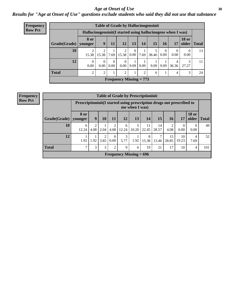#### Age at Onset of Use **30**

*Results for "Age at Onset of Use" questions exclude students who said they did not use that substance*

| <b>Frequency</b> | <b>Table of Grade by Hallucinogensinit</b> |                                                              |                  |                      |                  |           |      |       |                  |                  |                       |              |  |  |
|------------------|--------------------------------------------|--------------------------------------------------------------|------------------|----------------------|------------------|-----------|------|-------|------------------|------------------|-----------------------|--------------|--|--|
| <b>Row Pct</b>   |                                            | Hallucinogensinit (I started using hallucinogens when I was) |                  |                      |                  |           |      |       |                  |                  |                       |              |  |  |
|                  | Grade(Grade)                               | <b>8 or</b><br>younger                                       | 9                | 11                   | 12               | 13        | 14   | 15    | 16               | 17               | <b>18 or</b><br>older | <b>Total</b> |  |  |
|                  | 10                                         | ↑<br>15.38                                                   | 15.38            | 7.69                 | 15.38            | 0<br>0.00 | 7.69 | 38.46 | $\theta$<br>0.00 | $\theta$<br>0.00 | $\Omega$<br>0.00      | 13           |  |  |
|                  | 12                                         | $\mathbf{0}$<br>0.00                                         | $\Omega$<br>0.00 | $\theta$<br>$0.00\,$ | $\Omega$<br>0.00 | 9.09      | 9.09 | 9.09  | 9.09             | 36.36            | 3<br>27.27            | 11           |  |  |
|                  | <b>Total</b>                               | 2                                                            | 2                |                      | $\overline{c}$   |           | 2    | 6     |                  | 4                | 3                     | 24           |  |  |
|                  | Frequency Missing $= 773$                  |                                                              |                  |                      |                  |           |      |       |                  |                  |                       |              |  |  |

| <b>Table of Grade by Prescriptioninit</b> |                                                                          |           |           |                  |            |                |             |             |             |                  |                       |              |
|-------------------------------------------|--------------------------------------------------------------------------|-----------|-----------|------------------|------------|----------------|-------------|-------------|-------------|------------------|-----------------------|--------------|
|                                           | Prescription in it (I started using prescription drugs not prescribed to |           |           |                  |            | me when I was) |             |             |             |                  |                       |              |
| Grade(Grade)                              | 8 or<br>vounger                                                          | 9         | 10        | 11               | 12         | 13             | 14          | 15          | 16          | 17               | <b>18 or</b><br>older | <b>Total</b> |
| 10                                        | 6<br>12.24                                                               | 2<br>4.08 | 2.04      | 2<br>4.08        | 6<br>12.24 | 5<br>10.20     | 11<br>22.45 | 14<br>28.57 | 2<br>4.08   | $\theta$<br>0.00 | 0<br>0.00             | 49           |
| 12                                        | 1.92                                                                     | 1.92      | 2<br>3.85 | $\theta$<br>0.00 | 3<br>5.77  | 1.92           | 8<br>15.38  | 13.46       | 15<br>28.85 | 10<br>19.23      | 4<br>7.69             | 52           |
| <b>Total</b>                              | 7                                                                        | 3         | 3         | $\overline{2}$   | 9          | 6              | 19          | 21          | 17          | 10               | 4                     | 101          |
| Frequency Missing $= 696$                 |                                                                          |           |           |                  |            |                |             |             |             |                  |                       |              |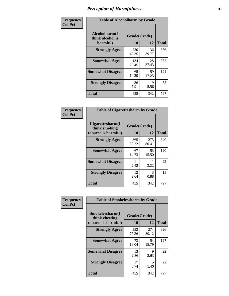| Frequency      |                                               | <b>Table of Alcoholharm by Grade</b> |              |              |  |  |  |  |  |
|----------------|-----------------------------------------------|--------------------------------------|--------------|--------------|--|--|--|--|--|
| <b>Col Pct</b> | Alcoholharm(I<br>think alcohol is<br>harmful) | Grade(Grade)<br>10                   | 12           | <b>Total</b> |  |  |  |  |  |
|                | <b>Strongly Agree</b>                         | 220<br>48.35                         | 136<br>39.77 | 356          |  |  |  |  |  |
|                | <b>Somewhat Agree</b>                         | 134<br>29.45                         | 128<br>37.43 | 262          |  |  |  |  |  |
|                | <b>Somewhat Disagree</b>                      | 65<br>14.29                          | 59<br>17.25  | 124          |  |  |  |  |  |
|                | <b>Strongly Disagree</b>                      | 36<br>7.91                           | 19<br>5.56   | 55           |  |  |  |  |  |
|                | <b>Total</b>                                  | 455                                  | 342          | 797          |  |  |  |  |  |

|                                                          | <b>Table of Cigarettesharm by Grade</b> |              |              |  |  |  |  |  |  |  |
|----------------------------------------------------------|-----------------------------------------|--------------|--------------|--|--|--|--|--|--|--|
| Cigarettesharm(I<br>think smoking<br>tobacco is harmful) | Grade(Grade)<br>10                      | 12           | <b>Total</b> |  |  |  |  |  |  |  |
| <b>Strongly Agree</b>                                    | 365<br>80.22                            | 275<br>80.41 | 640          |  |  |  |  |  |  |  |
| <b>Somewhat Agree</b>                                    | 67<br>14.73                             | 53<br>15.50  | 120          |  |  |  |  |  |  |  |
| <b>Somewhat Disagree</b>                                 | 11<br>2.42                              | 11<br>3.22   | 22           |  |  |  |  |  |  |  |
| <b>Strongly Disagree</b>                                 | 12<br>2.64                              | 3<br>0.88    | 15           |  |  |  |  |  |  |  |
| <b>Total</b>                                             | 455                                     | 342          | 797          |  |  |  |  |  |  |  |

| Frequency      | <b>Table of Smokelessharm by Grade</b>                  |                    |              |              |
|----------------|---------------------------------------------------------|--------------------|--------------|--------------|
| <b>Col Pct</b> | Smokelessharm(I<br>think chewing<br>tobacco is harmful) | Grade(Grade)<br>10 | 12           | <b>Total</b> |
|                | <b>Strongly Agree</b>                                   | 352<br>77.36       | 274<br>80.12 | 626          |
|                | <b>Somewhat Agree</b>                                   | 73<br>16.04        | 54<br>15.79  | 127          |
|                | <b>Somewhat Disagree</b>                                | 13<br>2.86         | 9<br>2.63    | 22           |
|                | <b>Strongly Disagree</b>                                | 17<br>3.74         | 5<br>1.46    | 22           |
|                | <b>Total</b>                                            | 455                | 342          | 797          |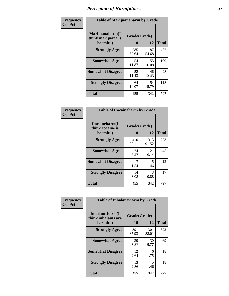| Frequency      | <b>Table of Marijuanaharm by Grade</b>            |                    |              |              |
|----------------|---------------------------------------------------|--------------------|--------------|--------------|
| <b>Col Pct</b> | Marijuanaharm(I<br>think marijuana is<br>harmful) | Grade(Grade)<br>10 | 12           | <b>Total</b> |
|                | <b>Strongly Agree</b>                             | 285<br>62.64       | 187<br>54.68 | 472          |
|                | <b>Somewhat Agree</b>                             | 54<br>11.87        | 55<br>16.08  | 109          |
|                | <b>Somewhat Disagree</b>                          | 52<br>11.43        | 46<br>13.45  | 98           |
|                | <b>Strongly Disagree</b>                          | 64<br>14.07        | 54<br>15.79  | 118          |
|                | <b>Total</b>                                      | 455                | 342          | 797          |

| <b>Table of Cocaineharm by Grade</b>          |                    |              |     |
|-----------------------------------------------|--------------------|--------------|-----|
| Cocaineharm(I<br>think cocaine is<br>harmful) | Grade(Grade)<br>10 | <b>Total</b> |     |
| <b>Strongly Agree</b>                         | 410<br>90.11       | 313<br>91.52 | 723 |
| <b>Somewhat Agree</b>                         | 24<br>5.27         | 21<br>6.14   | 45  |
| <b>Somewhat Disagree</b>                      | 1.54               | 5<br>1.46    | 12  |
| <b>Strongly Disagree</b>                      | 14<br>3.08         | 3<br>0.88    | 17  |
| <b>Total</b>                                  | 455                | 342          | 797 |

| Frequency      | <b>Table of Inhalantsharm by Grade</b>             |                           |              |              |
|----------------|----------------------------------------------------|---------------------------|--------------|--------------|
| <b>Col Pct</b> | Inhalantsharm(I<br>think inhalants are<br>harmful) | Grade(Grade)<br><b>10</b> | 12           | <b>Total</b> |
|                | <b>Strongly Agree</b>                              | 391<br>85.93              | 301<br>88.01 | 692          |
|                | <b>Somewhat Agree</b>                              | 39<br>8.57                | 30<br>8.77   | 69           |
|                | <b>Somewhat Disagree</b>                           | 12<br>2.64                | 6<br>1.75    | 18           |
|                | <b>Strongly Disagree</b>                           | 13<br>2.86                | 5<br>1.46    | 18           |
|                | <b>Total</b>                                       | 455                       | 342          | 797          |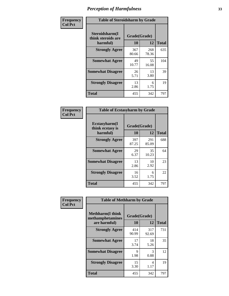| Frequency      | <b>Table of Steroidsharm by Grade</b>            |                    |              |              |
|----------------|--------------------------------------------------|--------------------|--------------|--------------|
| <b>Col Pct</b> | Steroidsharm(I<br>think steroids are<br>harmful) | Grade(Grade)<br>10 | 12           | <b>Total</b> |
|                | <b>Strongly Agree</b>                            | 367<br>80.66       | 268<br>78.36 | 635          |
|                | <b>Somewhat Agree</b>                            | 49<br>10.77        | 55<br>16.08  | 104          |
|                | <b>Somewhat Disagree</b>                         | 26<br>5.71         | 13<br>3.80   | 39           |
|                | <b>Strongly Disagree</b>                         | 13<br>2.86         | 6<br>1.75    | 19           |
|                | <b>Total</b>                                     | 455                | 342          | 797          |

| <b>Table of Ecstasyharm by Grade</b>          |                    |              |              |  |  |
|-----------------------------------------------|--------------------|--------------|--------------|--|--|
| Ecstasyharm(I<br>think ecstasy is<br>harmful) | Grade(Grade)<br>10 | 12           | <b>Total</b> |  |  |
| <b>Strongly Agree</b>                         | 397<br>87.25       | 291<br>85.09 | 688          |  |  |
| <b>Somewhat Agree</b>                         | 29<br>6.37         | 35<br>10.23  | 64           |  |  |
| <b>Somewhat Disagree</b>                      | 13<br>2.86         | 10<br>2.92   | 23           |  |  |
| <b>Strongly Disagree</b>                      | 16<br>3.52         | 6<br>1.75    | 22           |  |  |
| <b>Total</b>                                  | 455                | 342          | 797          |  |  |

| Frequency      | <b>Table of Methharm by Grade</b>                            |                           |              |              |
|----------------|--------------------------------------------------------------|---------------------------|--------------|--------------|
| <b>Col Pct</b> | <b>Methharm</b> (I think<br>methamphetamines<br>are harmful) | Grade(Grade)<br><b>10</b> | 12           | <b>Total</b> |
|                | <b>Strongly Agree</b>                                        | 414<br>90.99              | 317<br>92.69 | 731          |
|                | <b>Somewhat Agree</b>                                        | 17<br>3.74                | 18<br>5.26   | 35           |
|                | <b>Somewhat Disagree</b>                                     | 9<br>1.98                 | 3<br>0.88    | 12           |
|                | <b>Strongly Disagree</b>                                     | 15<br>3.30                | 4<br>1.17    | 19           |
|                | <b>Total</b>                                                 | 455                       | 342          | 797          |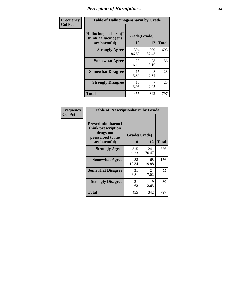| Frequency      | <b>Table of Hallucinogensharm by Grade</b> |              |              |              |
|----------------|--------------------------------------------|--------------|--------------|--------------|
| <b>Col Pct</b> | Hallucinogensharm(I<br>think hallucinogens | Grade(Grade) |              |              |
|                | are harmful)                               | 10           | 12           | <b>Total</b> |
|                | <b>Strongly Agree</b>                      | 394<br>86.59 | 299<br>87.43 | 693          |
|                | <b>Somewhat Agree</b>                      | 28<br>6.15   | 28<br>8.19   | 56           |
|                | <b>Somewhat Disagree</b>                   | 15<br>3.30   | 8<br>2.34    | 23           |
|                | <b>Strongly Disagree</b>                   | 18<br>3.96   | 7<br>2.05    | 25           |
|                | <b>Total</b>                               | 455          | 342          | 797          |

| <b>Table of Prescriptionharm by Grade</b>                                                         |                    |              |              |  |
|---------------------------------------------------------------------------------------------------|--------------------|--------------|--------------|--|
| <b>Prescriptionharm</b> (I<br>think prescription<br>drugs not<br>prescribed to me<br>are harmful) | Grade(Grade)<br>10 | 12           | <b>Total</b> |  |
| <b>Strongly Agree</b>                                                                             | 315<br>69.23       | 241<br>70.47 | 556          |  |
| <b>Somewhat Agree</b>                                                                             | 88<br>19.34        | 68<br>19.88  | 156          |  |
| <b>Somewhat Disagree</b>                                                                          | 31<br>6.81         | 24<br>7.02   | 55           |  |
| <b>Strongly Disagree</b>                                                                          | 21<br>4.62         | 9<br>2.63    | 30           |  |
| Total                                                                                             | 455                | 342          | 797          |  |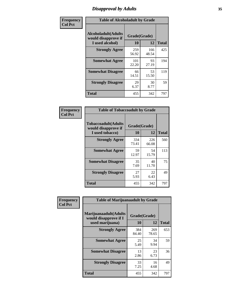### *Disapproval by Adults* **35**

| Frequency      | <b>Table of Alcoholadult by Grade</b>                                 |                    |              |              |
|----------------|-----------------------------------------------------------------------|--------------------|--------------|--------------|
| <b>Col Pct</b> | <b>Alcoholadult</b> (Adults<br>would disapprove if<br>I used alcohol) | Grade(Grade)<br>10 | 12           | <b>Total</b> |
|                | <b>Strongly Agree</b>                                                 | 259<br>56.92       | 166<br>48.54 | 425          |
|                | <b>Somewhat Agree</b>                                                 | 101<br>22.20       | 93<br>27.19  | 194          |
|                | <b>Somewhat Disagree</b>                                              | 66<br>14.51        | 53<br>15.50  | 119          |
|                | <b>Strongly Disagree</b>                                              | 29<br>6.37         | 30<br>8.77   | 59           |
|                | <b>Total</b>                                                          | 455                | 342          | 797          |

| <b>Table of Tobaccoadult by Grade</b>                                 |              |              |     |  |  |
|-----------------------------------------------------------------------|--------------|--------------|-----|--|--|
| <b>Tobaccoadult</b> (Adults<br>would disapprove if<br>I used tobacco) | <b>Total</b> |              |     |  |  |
| <b>Strongly Agree</b>                                                 | 334<br>73.41 | 226<br>66.08 | 560 |  |  |
| <b>Somewhat Agree</b>                                                 | 59<br>12.97  | 54<br>15.79  | 113 |  |  |
| <b>Somewhat Disagree</b>                                              | 35<br>7.69   | 40<br>11.70  | 75  |  |  |
| <b>Strongly Disagree</b>                                              | 27<br>5.93   | 22<br>6.43   | 49  |  |  |
| <b>Total</b>                                                          | 455          | 342          | 797 |  |  |

| Frequency      | <b>Table of Marijuanaadult by Grade</b>                           |                    |              |              |
|----------------|-------------------------------------------------------------------|--------------------|--------------|--------------|
| <b>Col Pct</b> | Marijuanaadult(Adults<br>would disapprove if I<br>used marijuana) | Grade(Grade)<br>10 | 12           | <b>Total</b> |
|                | <b>Strongly Agree</b>                                             | 384<br>84.40       | 269<br>78.65 | 653          |
|                | <b>Somewhat Agree</b>                                             | 25<br>5.49         | 34<br>9.94   | 59           |
|                | <b>Somewhat Disagree</b>                                          | 13<br>2.86         | 23<br>6.73   | 36           |
|                | <b>Strongly Disagree</b>                                          | 33<br>7.25         | 16<br>4.68   | 49           |
|                | <b>Total</b>                                                      | 455                | 342          | 797          |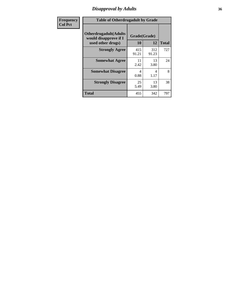### *Disapproval by Adults* **36**

| <b>Frequency</b> | <b>Table of Otherdrugadult by Grade</b>                                     |                    |              |              |
|------------------|-----------------------------------------------------------------------------|--------------------|--------------|--------------|
| <b>Col Pct</b>   | <b>Otherdrugadult</b> (Adults<br>would disapprove if I<br>used other drugs) | Grade(Grade)<br>10 | 12           | <b>Total</b> |
|                  | <b>Strongly Agree</b>                                                       | 415<br>91.21       | 312<br>91.23 | 727          |
|                  | <b>Somewhat Agree</b>                                                       | 11<br>2.42         | 13<br>3.80   | 24           |
|                  | <b>Somewhat Disagree</b>                                                    | 4<br>0.88          | 4<br>1.17    | 8            |
|                  | <b>Strongly Disagree</b>                                                    | 25<br>5.49         | 13<br>3.80   | 38           |
|                  | <b>Total</b>                                                                | 455                | 342          | 797          |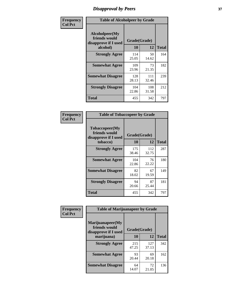# *Disapproval by Peers* **37**

| Frequency      | <b>Table of Alcoholpeer by Grade</b>                    |              |              |              |
|----------------|---------------------------------------------------------|--------------|--------------|--------------|
| <b>Col Pct</b> | Alcoholpeer(My<br>friends would<br>disapprove if I used | Grade(Grade) |              |              |
|                | alcohol)                                                | 10           | 12           | <b>Total</b> |
|                | <b>Strongly Agree</b>                                   | 114<br>25.05 | 50<br>14.62  | 164          |
|                | <b>Somewhat Agree</b>                                   | 109<br>23.96 | 73<br>21.35  | 182          |
|                | <b>Somewhat Disagree</b>                                | 128<br>28.13 | 111<br>32.46 | 239          |
|                | <b>Strongly Disagree</b>                                | 104<br>22.86 | 108<br>31.58 | 212          |
|                | Total                                                   | 455          | 342          | 797          |

| Frequency      | <b>Table of Tobaccopeer by Grade</b>                                |                    |              |              |
|----------------|---------------------------------------------------------------------|--------------------|--------------|--------------|
| <b>Col Pct</b> | Tobaccopeer(My<br>friends would<br>disapprove if I used<br>tobacco) | Grade(Grade)<br>10 | 12           | <b>Total</b> |
|                | <b>Strongly Agree</b>                                               | 175<br>38.46       | 112<br>32.75 | 287          |
|                | <b>Somewhat Agree</b>                                               | 104<br>22.86       | 76<br>22.22  | 180          |
|                | <b>Somewhat Disagree</b>                                            | 82<br>18.02        | 67<br>19.59  | 149          |
|                | <b>Strongly Disagree</b>                                            | 94<br>20.66        | 87<br>25.44  | 181          |
|                | Total                                                               | 455                | 342          | 797          |

| Frequency<br><b>Col Pct</b> | <b>Table of Marijuanapeer by Grade</b>                    |              |              |              |
|-----------------------------|-----------------------------------------------------------|--------------|--------------|--------------|
|                             | Marijuanapeer(My<br>friends would<br>disapprove if I used | Grade(Grade) |              |              |
|                             | marijuana)                                                | 10           | 12           | <b>Total</b> |
|                             | <b>Strongly Agree</b>                                     | 215<br>47.25 | 127<br>37.13 | 342          |
|                             | <b>Somewhat Agree</b>                                     | 93<br>20.44  | 69<br>20.18  | 162          |
|                             | <b>Somewhat Disagree</b>                                  | 64<br>14.07  | 72<br>21.05  | 136          |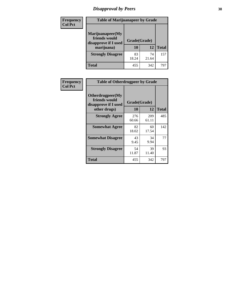# *Disapproval by Peers* **38**

| <b>Frequency</b> | <b>Table of Marijuanapeer by Grade</b>                                  |                    |             |              |
|------------------|-------------------------------------------------------------------------|--------------------|-------------|--------------|
| <b>Col Pct</b>   | Marijuanapeer(My<br>friends would<br>disapprove if I used<br>marijuana) | Grade(Grade)<br>10 | 12          | <b>Total</b> |
|                  | <b>Strongly Disagree</b>                                                | 83<br>18.24        | 74<br>21.64 | 157          |
|                  | <b>Total</b>                                                            | 455                | 342         | 797          |

| <b>Frequency</b> | <b>Table of Otherdrugpeer by Grade</b>                                    |                           |             |              |
|------------------|---------------------------------------------------------------------------|---------------------------|-------------|--------------|
| <b>Col Pct</b>   | Otherdrugpeer(My<br>friends would<br>disapprove if I used<br>other drugs) | Grade(Grade)<br><b>10</b> | 12          | <b>Total</b> |
|                  | <b>Strongly Agree</b>                                                     | 276                       | 209         | 485          |
|                  |                                                                           | 60.66                     | 61.11       |              |
|                  | <b>Somewhat Agree</b>                                                     | 82<br>18.02               | 60<br>17.54 | 142          |
|                  | <b>Somewhat Disagree</b>                                                  | 43<br>9.45                | 34<br>9.94  | 77           |
|                  | <b>Strongly Disagree</b>                                                  | 54<br>11.87               | 39<br>11.40 | 93           |
|                  | <b>Total</b>                                                              | 455                       | 342         | 797          |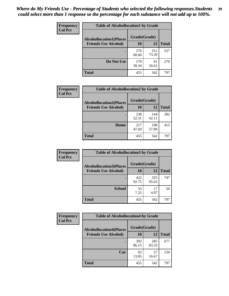| Frequency      | <b>Table of Alcohollocation1 by Grade</b> |              |              |              |
|----------------|-------------------------------------------|--------------|--------------|--------------|
| <b>Col Pct</b> | <b>Alcohollocation1(Places</b>            | Grade(Grade) |              |              |
|                | <b>Friends Use Alcohol)</b>               | 10           | 12           | <b>Total</b> |
|                |                                           | 276<br>60.66 | 251<br>73.39 | 527          |
|                | Do Not Use                                | 179<br>39.34 | 91<br>26.61  | 270          |
|                | <b>Total</b>                              | 455          | 342          | 797          |

| <b>Frequency</b> | <b>Table of Alcohollocation2 by Grade</b>                     |                           |              |              |
|------------------|---------------------------------------------------------------|---------------------------|--------------|--------------|
| <b>Col Pct</b>   | <b>Alcohollocation2(Places</b><br><b>Friends Use Alcohol)</b> | Grade(Grade)<br><b>10</b> | 12           | <b>Total</b> |
|                  |                                                               | 238<br>52.31              | 144<br>42.11 | 382          |
|                  | Home                                                          | 217<br>47.69              | 198<br>57.89 | 415          |
|                  | <b>Total</b>                                                  | 455                       | 342          | 797          |

| Frequency      | <b>Table of Alcohollocation 3 by Grade</b> |              |              |              |
|----------------|--------------------------------------------|--------------|--------------|--------------|
| <b>Col Pct</b> | <b>Alcohollocation3(Places</b>             | Grade(Grade) |              |              |
|                | <b>Friends Use Alcohol)</b>                | 10           | 12           | <b>Total</b> |
|                |                                            | 422<br>92.75 | 325<br>95.03 | 747          |
|                | <b>School</b>                              | 33<br>7.25   | 17<br>4.97   | 50           |
|                | Total                                      | 455          | 342          | 797          |

| <b>Frequency</b> | <b>Table of Alcohollocation4 by Grade</b> |              |              |              |  |
|------------------|-------------------------------------------|--------------|--------------|--------------|--|
| <b>Col Pct</b>   | <b>Alcohollocation4(Places</b>            | Grade(Grade) |              |              |  |
|                  | <b>Friends Use Alcohol)</b>               | 10           | 12           | <b>Total</b> |  |
|                  |                                           | 392<br>86.15 | 285<br>83.33 | 677          |  |
|                  | Car                                       | 63<br>13.85  | 57<br>16.67  | 120          |  |
|                  | <b>Total</b>                              | 455          | 342          | 797          |  |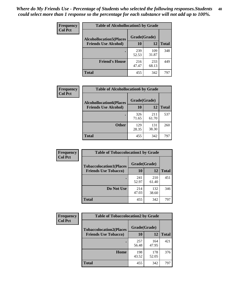| <b>Frequency</b><br><b>Col Pct</b> | <b>Table of Alcohollocation5 by Grade</b> |              |              |              |  |
|------------------------------------|-------------------------------------------|--------------|--------------|--------------|--|
|                                    | <b>Alcohollocation5</b> (Places           | Grade(Grade) |              |              |  |
|                                    | <b>Friends Use Alcohol)</b>               | 10           | 12           | <b>Total</b> |  |
|                                    |                                           | 239<br>52.53 | 109<br>31.87 | 348          |  |
|                                    | <b>Friend's House</b>                     | 216<br>47.47 | 233<br>68.13 | 449          |  |
|                                    | Total                                     | 455          | 342          | 797          |  |

| Frequency      | <b>Table of Alcohollocation6 by Grade</b>                     |                    |              |              |
|----------------|---------------------------------------------------------------|--------------------|--------------|--------------|
| <b>Col Pct</b> | <b>Alcohollocation6(Places</b><br><b>Friends Use Alcohol)</b> | Grade(Grade)<br>10 | 12           | <b>Total</b> |
|                |                                                               | 326<br>71.65       | 211<br>61.70 | 537          |
|                | <b>Other</b>                                                  | 129<br>28.35       | 131<br>38.30 | 260          |
|                | Total                                                         | 455                | 342          | 797          |

| Frequency      | <b>Table of Tobaccolocation1 by Grade</b> |              |              |              |
|----------------|-------------------------------------------|--------------|--------------|--------------|
| <b>Col Pct</b> | <b>Tobaccolocation1(Places</b>            | Grade(Grade) |              |              |
|                | <b>Friends Use Tobacco)</b>               | 10           | <b>12</b>    | <b>Total</b> |
|                |                                           | 241<br>52.97 | 210<br>61.40 | 451          |
|                | Do Not Use                                | 214<br>47.03 | 132<br>38.60 | 346          |
|                | <b>Total</b>                              | 455          | 342          | 797          |

| Frequency      | <b>Table of Tobaccolocation2 by Grade</b> |              |              |              |  |
|----------------|-------------------------------------------|--------------|--------------|--------------|--|
| <b>Col Pct</b> | <b>Tobaccolocation2(Places</b>            | Grade(Grade) |              |              |  |
|                | <b>Friends Use Tobacco)</b>               | 10           | 12           | <b>Total</b> |  |
|                |                                           | 257<br>56.48 | 164<br>47.95 | 421          |  |
|                | Home                                      | 198<br>43.52 | 178<br>52.05 | 376          |  |
|                | <b>Total</b>                              | 455          | 342          | 797          |  |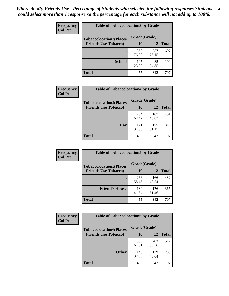| Frequency      | <b>Table of Tobaccolocation 3 by Grade</b> |              |              |              |
|----------------|--------------------------------------------|--------------|--------------|--------------|
| <b>Col Pct</b> | <b>Tobaccolocation3(Places</b>             | Grade(Grade) |              |              |
|                | <b>Friends Use Tobacco)</b>                | 10           | 12           | <b>Total</b> |
|                |                                            | 350<br>76.92 | 257<br>75.15 | 607          |
|                | <b>School</b>                              | 105<br>23.08 | 85<br>24.85  | 190          |
|                | <b>Total</b>                               | 455          | 342          | 797          |

| Frequency      | <b>Table of Tobaccolocation4 by Grade</b> |              |              |              |
|----------------|-------------------------------------------|--------------|--------------|--------------|
| <b>Col Pct</b> | <b>Tobaccolocation4(Places</b>            | Grade(Grade) |              |              |
|                | <b>Friends Use Tobacco)</b>               | 10           | 12           | <b>Total</b> |
|                |                                           | 284<br>62.42 | 167<br>48.83 | 451          |
|                | Car                                       | 171<br>37.58 | 175<br>51.17 | 346          |
|                | <b>Total</b>                              | 455          | 342          | 797          |

| Frequency<br><b>Col Pct</b> | <b>Table of Tobaccolocation5 by Grade</b> |              |              |              |
|-----------------------------|-------------------------------------------|--------------|--------------|--------------|
|                             | <b>Tobaccolocation5(Places</b>            | Grade(Grade) |              |              |
|                             | <b>Friends Use Tobacco)</b>               | 10           | <b>12</b>    | <b>Total</b> |
|                             |                                           | 266<br>58.46 | 166<br>48.54 | 432          |
|                             | <b>Friend's House</b>                     | 189<br>41.54 | 176<br>51.46 | 365          |
|                             | <b>Total</b>                              | 455          | 342          | 797          |

| <b>Frequency</b> | <b>Table of Tobaccolocation6 by Grade</b> |              |              |              |  |
|------------------|-------------------------------------------|--------------|--------------|--------------|--|
| <b>Col Pct</b>   | <b>Tobaccolocation6(Places</b>            | Grade(Grade) |              |              |  |
|                  | <b>Friends Use Tobacco)</b>               | 10           | 12           | <b>Total</b> |  |
|                  |                                           | 309<br>67.91 | 203<br>59.36 | 512          |  |
|                  | <b>Other</b>                              | 146<br>32.09 | 139<br>40.64 | 285          |  |
|                  | <b>Total</b>                              | 455          | 342          | 797          |  |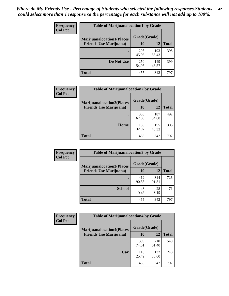| <b>Frequency</b> | <b>Table of Marijuanalocation1 by Grade</b> |              |              |              |
|------------------|---------------------------------------------|--------------|--------------|--------------|
| <b>Col Pct</b>   | <b>Marijuanalocation1(Places</b>            | Grade(Grade) |              |              |
|                  | <b>Friends Use Marijuana</b> )              | 10           | 12           | <b>Total</b> |
|                  |                                             | 205<br>45.05 | 193<br>56.43 | 398          |
|                  | Do Not Use                                  | 250<br>54.95 | 149<br>43.57 | 399          |
|                  | <b>Total</b>                                | 455          | 342          | 797          |

| <b>Frequency</b> | <b>Table of Marijuanalocation2 by Grade</b>                        |                    |              |              |
|------------------|--------------------------------------------------------------------|--------------------|--------------|--------------|
| <b>Col Pct</b>   | <b>Marijuanalocation2(Places</b><br><b>Friends Use Marijuana</b> ) | Grade(Grade)<br>10 | 12           | <b>Total</b> |
|                  |                                                                    | 305<br>67.03       | 187<br>54.68 | 492          |
|                  | <b>Home</b>                                                        | 150<br>32.97       | 155<br>45.32 | 305          |
|                  | <b>Total</b>                                                       | 455                | 342          | 797          |

| <b>Frequency</b><br><b>Col Pct</b> | <b>Table of Marijuanalocation3 by Grade</b> |              |              |              |
|------------------------------------|---------------------------------------------|--------------|--------------|--------------|
|                                    | <b>Marijuanalocation3</b> (Places           | Grade(Grade) |              |              |
|                                    | <b>Friends Use Marijuana</b> )              | <b>10</b>    | 12           | <b>Total</b> |
|                                    |                                             | 412<br>90.55 | 314<br>91.81 | 726          |
|                                    | <b>School</b>                               | 43<br>9.45   | 28<br>8.19   | 71           |
|                                    | <b>Total</b>                                | 455          | 342          | 797          |

| <b>Frequency</b> | <b>Table of Marijuanalocation4 by Grade</b> |              |              |              |  |
|------------------|---------------------------------------------|--------------|--------------|--------------|--|
| <b>Col Pct</b>   | <b>Marijuanalocation4(Places</b>            | Grade(Grade) |              |              |  |
|                  | <b>Friends Use Marijuana</b> )              | <b>10</b>    | 12           | <b>Total</b> |  |
|                  |                                             | 339<br>74.51 | 210<br>61.40 | 549          |  |
|                  | Car                                         | 116<br>25.49 | 132<br>38.60 | 248          |  |
|                  | <b>Total</b>                                | 455          | 342          | 797          |  |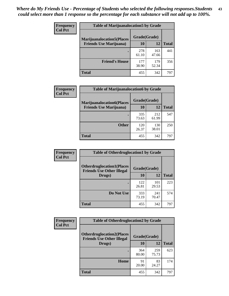| <b>Frequency</b> | <b>Table of Marijuanalocation5 by Grade</b> |              |              |              |
|------------------|---------------------------------------------|--------------|--------------|--------------|
| <b>Col Pct</b>   | <b>Marijuanalocation5</b> (Places           | Grade(Grade) |              |              |
|                  | <b>Friends Use Marijuana</b> )              | 10           | 12           | <b>Total</b> |
|                  |                                             | 278<br>61.10 | 163<br>47.66 | 441          |
|                  | <b>Friend's House</b>                       | 177<br>38.90 | 179<br>52.34 | 356          |
|                  | <b>Total</b>                                | 455          | 342          | 797          |

| <b>Frequency</b> | <b>Table of Marijuanalocation6 by Grade</b>                        |                    |              |              |
|------------------|--------------------------------------------------------------------|--------------------|--------------|--------------|
| <b>Col Pct</b>   | <b>Marijuanalocation6(Places</b><br><b>Friends Use Marijuana</b> ) | Grade(Grade)<br>10 | 12           | <b>Total</b> |
|                  |                                                                    | 335<br>73.63       | 212<br>61.99 | 547          |
|                  | <b>Other</b>                                                       | 120<br>26.37       | 130<br>38.01 | 250          |
|                  | <b>Total</b>                                                       | 455                | 342          | 797          |

| Frequency      | <b>Table of Otherdruglocation1 by Grade</b>                          |              |              |              |
|----------------|----------------------------------------------------------------------|--------------|--------------|--------------|
| <b>Col Pct</b> | <b>Otherdruglocation1(Places</b><br><b>Friends Use Other Illegal</b> | Grade(Grade) |              |              |
|                | Drugs)                                                               | 10           | 12           | <b>Total</b> |
|                |                                                                      | 122<br>26.81 | 101<br>29.53 | 223          |
|                | Do Not Use                                                           | 333<br>73.19 | 241<br>70.47 | 574          |
|                | <b>Total</b>                                                         | 455          | 342          | 797          |

| Frequency      | <b>Table of Otherdruglocation2 by Grade</b>                          |              |              |              |
|----------------|----------------------------------------------------------------------|--------------|--------------|--------------|
| <b>Col Pct</b> | <b>Otherdruglocation2(Places</b><br><b>Friends Use Other Illegal</b> | Grade(Grade) |              |              |
|                | Drugs)                                                               | 10           | 12           | <b>Total</b> |
|                |                                                                      | 364<br>80.00 | 259<br>75.73 | 623          |
|                | Home                                                                 | 91<br>20.00  | 83<br>24.27  | 174          |
|                | <b>Total</b>                                                         | 455          | 342          | 797          |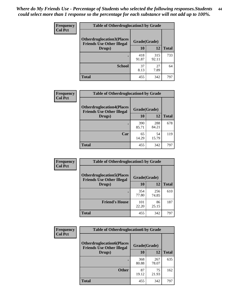| <b>Frequency</b> | <b>Table of Otherdruglocation3 by Grade</b>                          |              |              |              |
|------------------|----------------------------------------------------------------------|--------------|--------------|--------------|
| <b>Col Pct</b>   | <b>Otherdruglocation3(Places</b><br><b>Friends Use Other Illegal</b> | Grade(Grade) |              |              |
|                  | Drugs)                                                               | <b>10</b>    | 12           | <b>Total</b> |
|                  |                                                                      | 418<br>91.87 | 315<br>92.11 | 733          |
|                  | <b>School</b>                                                        | 37<br>8.13   | 27<br>7.89   | 64           |
|                  | <b>Total</b>                                                         | 455          | 342          | 797          |

| <b>Frequency</b> | <b>Table of Otherdruglocation4 by Grade</b>                          |              |              |              |
|------------------|----------------------------------------------------------------------|--------------|--------------|--------------|
| <b>Col Pct</b>   | <b>Otherdruglocation4(Places</b><br><b>Friends Use Other Illegal</b> | Grade(Grade) |              |              |
|                  | Drugs)                                                               | 10           | 12           | <b>Total</b> |
|                  |                                                                      | 390<br>85.71 | 288<br>84.21 | 678          |
|                  | Car                                                                  | 65<br>14.29  | 54<br>15.79  | 119          |
|                  | <b>Total</b>                                                         | 455          | 342          | 797          |

| Frequency      | <b>Table of Otherdruglocation5 by Grade</b>                          |              |              |              |
|----------------|----------------------------------------------------------------------|--------------|--------------|--------------|
| <b>Col Pct</b> | <b>Otherdruglocation5(Places</b><br><b>Friends Use Other Illegal</b> | Grade(Grade) |              |              |
|                | Drugs)                                                               | 10           | 12           | <b>Total</b> |
|                |                                                                      | 354<br>77.80 | 256<br>74.85 | 610          |
|                | <b>Friend's House</b>                                                | 101<br>22.20 | 86<br>25.15  | 187          |
|                | <b>Total</b>                                                         | 455          | 342          | 797          |

| <b>Frequency</b> | <b>Table of Otherdruglocation6 by Grade</b>                          |              |              |              |
|------------------|----------------------------------------------------------------------|--------------|--------------|--------------|
| <b>Col Pct</b>   | <b>Otherdruglocation6(Places</b><br><b>Friends Use Other Illegal</b> | Grade(Grade) |              |              |
|                  | Drugs)                                                               | 10           | 12           | <b>Total</b> |
|                  |                                                                      | 368<br>80.88 | 267<br>78.07 | 635          |
|                  | <b>Other</b>                                                         | 87<br>19.12  | 75<br>21.93  | 162          |
|                  | <b>Total</b>                                                         | 455          | 342          | 797          |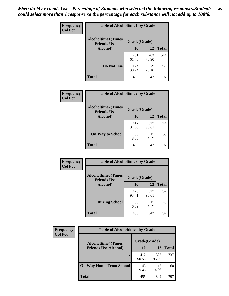| Frequency      | <b>Table of Alcoholtime1 by Grade</b>           |              |              |              |
|----------------|-------------------------------------------------|--------------|--------------|--------------|
| <b>Col Pct</b> | <b>Alcoholtime1(Times</b><br><b>Friends Use</b> | Grade(Grade) |              |              |
|                | Alcohol)                                        | 10           | 12           | <b>Total</b> |
|                |                                                 | 281<br>61.76 | 263<br>76.90 | 544          |
|                | Do Not Use                                      | 174<br>38.24 | 79<br>23.10  | 253          |
|                | <b>Total</b>                                    | 455          | 342          | 797          |

| Frequency<br><b>Col Pct</b> | <b>Table of Alcoholtime2 by Grade</b>           |              |              |              |
|-----------------------------|-------------------------------------------------|--------------|--------------|--------------|
|                             | <b>Alcoholtime2(Times</b><br><b>Friends Use</b> | Grade(Grade) |              |              |
|                             | Alcohol)                                        | 10           | 12           | <b>Total</b> |
|                             |                                                 | 417<br>91.65 | 327<br>95.61 | 744          |
|                             | <b>On Way to School</b>                         | 38<br>8.35   | 15<br>4.39   | 53           |
|                             | <b>Total</b>                                    | 455          | 342          | 797          |

| Frequency<br><b>Col Pct</b> | <b>Table of Alcoholtime3 by Grade</b>                           |              |              |              |
|-----------------------------|-----------------------------------------------------------------|--------------|--------------|--------------|
|                             | <b>Alcoholtime3(Times</b><br>Grade(Grade)<br><b>Friends Use</b> |              |              |              |
|                             | Alcohol)                                                        | 10           | 12           | <b>Total</b> |
|                             |                                                                 | 425<br>93.41 | 327<br>95.61 | 752          |
|                             | <b>During School</b>                                            | 30<br>6.59   | 15<br>4.39   | 45           |
|                             | Total                                                           | 455          | 342          | 797          |

| <b>Frequency</b> | <b>Table of Alcoholtime4 by Grade</b> |              |              |              |
|------------------|---------------------------------------|--------------|--------------|--------------|
| <b>Col Pct</b>   | <b>Alcoholtime4(Times</b>             | Grade(Grade) |              |              |
|                  | <b>Friends Use Alcohol)</b>           | 10           | 12           | <b>Total</b> |
|                  | ٠                                     | 412<br>90.55 | 325<br>95.03 | 737          |
|                  | <b>On Way Home From School</b>        | 43<br>9.45   | 17<br>4.97   | 60           |
|                  | <b>Total</b>                          | 455          | 342          | 797          |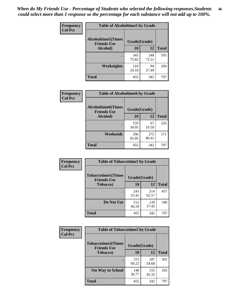*When do My Friends Use - Percentage of Students who selected the following responses.Students could select more than 1 response so the percentage for each substance will not add up to 100%.* **46**

| Frequency      | <b>Table of Alcoholtime5 by Grade</b>            |              |              |              |
|----------------|--------------------------------------------------|--------------|--------------|--------------|
| <b>Col Pct</b> | <b>Alcoholtime5</b> (Times<br><b>Friends Use</b> | Grade(Grade) |              |              |
|                | Alcohol)                                         | 10           | 12           | <b>Total</b> |
|                |                                                  | 345<br>75.82 | 248<br>72.51 | 593          |
|                | Weeknights                                       | 110<br>24.18 | 94<br>27.49  | 204          |
|                | <b>Total</b>                                     | 455          | 342          | 797          |

| Frequency      |                                                 | <b>Table of Alcoholtime6 by Grade</b> |              |              |  |
|----------------|-------------------------------------------------|---------------------------------------|--------------|--------------|--|
| <b>Col Pct</b> | <b>Alcoholtime6(Times</b><br><b>Friends Use</b> | Grade(Grade)                          |              |              |  |
|                | Alcohol)                                        | 10                                    | 12           | <b>Total</b> |  |
|                |                                                 | 159<br>34.95                          | 67<br>19.59  | 226          |  |
|                | Weekends                                        | 296<br>65.05                          | 275<br>80.41 | 571          |  |
|                | <b>Total</b>                                    | 455                                   | 342          | 797          |  |

| Frequency      | <b>Table of Tobaccotime1 by Grade</b>           |              |              |              |
|----------------|-------------------------------------------------|--------------|--------------|--------------|
| <b>Col Pct</b> | <b>Tobaccotime1(Times</b><br><b>Friends Use</b> | Grade(Grade) |              |              |
|                | <b>Tobacco</b> )                                | 10           | 12           | <b>Total</b> |
|                |                                                 | 243<br>53.41 | 214<br>62.57 | 457          |
|                | Do Not Use                                      | 212<br>46.59 | 128<br>37.43 | 340          |
|                | <b>Total</b>                                    | 455          | 342          | 797          |

| <b>Frequency</b> | <b>Table of Tobaccotime2 by Grade</b>           |              |              |              |
|------------------|-------------------------------------------------|--------------|--------------|--------------|
| <b>Col Pct</b>   | <b>Tobaccotime2(Times</b><br><b>Friends Use</b> | Grade(Grade) |              |              |
|                  | Tobacco)                                        | 10           | 12           | <b>Total</b> |
|                  |                                                 | 315<br>69.23 | 187<br>54.68 | 502          |
|                  | <b>On Way to School</b>                         | 140<br>30.77 | 155<br>45.32 | 295          |
|                  | <b>Total</b>                                    | 455          | 342          | 797          |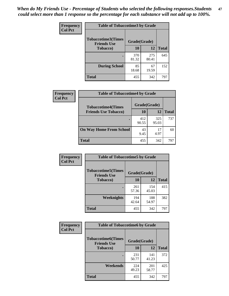*When do My Friends Use - Percentage of Students who selected the following responses.Students could select more than 1 response so the percentage for each substance will not add up to 100%.* **47**

| <b>Frequency</b> | <b>Table of Tobaccotime3 by Grade</b>           |              |              |              |  |
|------------------|-------------------------------------------------|--------------|--------------|--------------|--|
| <b>Col Pct</b>   | <b>Tobaccotime3(Times</b><br><b>Friends Use</b> | Grade(Grade) |              |              |  |
|                  | <b>Tobacco</b> )                                | 10           | 12           | <b>Total</b> |  |
|                  |                                                 | 370<br>81.32 | 275<br>80.41 | 645          |  |
|                  | <b>During School</b>                            | 85<br>18.68  | 67<br>19.59  | 152          |  |
|                  | <b>Total</b>                                    | 455          | 342          | 797          |  |

| <b>Frequency</b> | <b>Table of Tobaccotime4 by Grade</b> |              |              |              |
|------------------|---------------------------------------|--------------|--------------|--------------|
| <b>Col Pct</b>   | <b>Tobaccotime4(Times</b>             | Grade(Grade) |              |              |
|                  | <b>Friends Use Tobacco)</b>           | 10           | 12           | <b>Total</b> |
|                  |                                       | 412<br>90.55 | 325<br>95.03 | 737          |
|                  | <b>On Way Home From School</b>        | 43<br>9.45   | 17<br>4.97   | 60           |
|                  | <b>Total</b>                          | 455          | 342          | 797          |

| <b>Frequency</b> | <b>Table of Tobaccotime5 by Grade</b>           |              |              |              |
|------------------|-------------------------------------------------|--------------|--------------|--------------|
| <b>Col Pct</b>   | <b>Tobaccotime5(Times</b><br><b>Friends Use</b> | Grade(Grade) |              |              |
|                  | <b>Tobacco</b> )                                | 10           | 12           | <b>Total</b> |
|                  |                                                 | 261<br>57.36 | 154<br>45.03 | 415          |
|                  | Weeknights                                      | 194<br>42.64 | 188<br>54.97 | 382          |
|                  | <b>Total</b>                                    | 455          | 342          | 797          |

| <b>Frequency</b> | <b>Table of Tobaccotime6 by Grade</b><br><b>Tobaccotime6(Times</b><br>Grade(Grade)<br><b>Friends Use</b> |              |              |              |
|------------------|----------------------------------------------------------------------------------------------------------|--------------|--------------|--------------|
| <b>Col Pct</b>   |                                                                                                          |              |              |              |
|                  | <b>Tobacco</b> )                                                                                         | 10           | 12           | <b>Total</b> |
|                  |                                                                                                          | 231<br>50.77 | 141<br>41.23 | 372          |
|                  | Weekends                                                                                                 | 224<br>49.23 | 201<br>58.77 | 425          |
|                  | <b>Total</b>                                                                                             | 455          | 342          | 797          |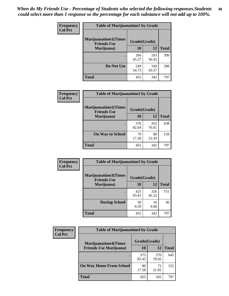| Frequency      | <b>Table of Marijuanatime1 by Grade</b>           |              |              |              |  |
|----------------|---------------------------------------------------|--------------|--------------|--------------|--|
| <b>Col Pct</b> | <b>Marijuanatime1(Times</b><br><b>Friends Use</b> | Grade(Grade) |              |              |  |
|                | Marijuana)                                        | 10           | 12           | <b>Total</b> |  |
|                |                                                   | 206<br>45.27 | 193<br>56.43 | 399          |  |
|                | Do Not Use                                        | 249<br>54.73 | 149<br>43.57 | 398          |  |
|                | <b>Total</b>                                      | 455          | 342          | 797          |  |

| Frequency      | <b>Table of Marijuanatime2 by Grade</b>           |              |              |              |
|----------------|---------------------------------------------------|--------------|--------------|--------------|
| <b>Col Pct</b> | <b>Marijuanatime2(Times</b><br><b>Friends Use</b> | Grade(Grade) |              |              |
|                | Marijuana)                                        | 10           | 12           | <b>Total</b> |
|                |                                                   | 376<br>82.64 | 262<br>76.61 | 638          |
|                | <b>On Way to School</b>                           | 79<br>17.36  | 80<br>23.39  | 159          |
|                | <b>Total</b>                                      | 455          | 342          | 797          |

| Frequency      | <b>Table of Marijuanatime3 by Grade</b>    |              |              |              |
|----------------|--------------------------------------------|--------------|--------------|--------------|
| <b>Col Pct</b> | Marijuanatime3(Times<br><b>Friends Use</b> | Grade(Grade) |              |              |
|                | Marijuana)                                 | 10           | 12           | <b>Total</b> |
|                |                                            | 425<br>93.41 | 326<br>95.32 | 751          |
|                | <b>During School</b>                       | 30<br>6.59   | 16<br>4.68   | 46           |
|                | Total                                      | 455          | 342          | 797          |

| <b>Frequency</b><br><b>Col Pct</b> | <b>Table of Marijuanatime4 by Grade</b> |              |              |       |
|------------------------------------|-----------------------------------------|--------------|--------------|-------|
|                                    | <b>Marijuanatime4</b> (Times            | Grade(Grade) |              |       |
|                                    | <b>Friends Use Marijuana</b> )          | 10           | 12           | Total |
|                                    |                                         | 375<br>82.42 | 270<br>78.95 | 645   |
|                                    | <b>On Way Home From School</b>          | 80<br>17.58  | 72<br>21.05  | 152   |
|                                    | <b>Total</b>                            | 455          | 342          | 797   |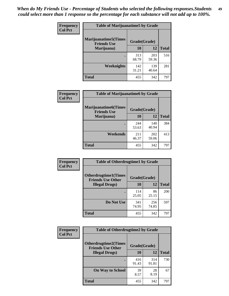| Frequency      | <b>Table of Marijuanatime5 by Grade</b>            |              |              |              |
|----------------|----------------------------------------------------|--------------|--------------|--------------|
| <b>Col Pct</b> | <b>Marijuanatime5</b> (Times<br><b>Friends Use</b> | Grade(Grade) |              |              |
|                | Marijuana)                                         | 10           | 12           | <b>Total</b> |
|                |                                                    | 313<br>68.79 | 203<br>59.36 | 516          |
|                | Weeknights                                         | 142<br>31.21 | 139<br>40.64 | 281          |
|                | <b>Total</b>                                       | 455          | 342          | 797          |

| Frequency      | <b>Table of Marijuanatime6 by Grade</b>    |              |              |              |
|----------------|--------------------------------------------|--------------|--------------|--------------|
| <b>Col Pct</b> | Marijuanatime6(Times<br><b>Friends Use</b> | Grade(Grade) |              |              |
|                | Marijuana)                                 | 10           | 12           | <b>Total</b> |
|                |                                            | 244<br>53.63 | 140<br>40.94 | 384          |
|                | Weekends                                   | 211<br>46.37 | 202<br>59.06 | 413          |
|                | <b>Total</b>                               | 455          | 342          | 797          |

| <b>Frequency</b> | <b>Table of Otherdrugtime1 by Grade</b>                 |              |              |              |
|------------------|---------------------------------------------------------|--------------|--------------|--------------|
| <b>Col Pct</b>   | <b>Otherdrugtime1(Times</b><br><b>Friends Use Other</b> | Grade(Grade) |              |              |
|                  | <b>Illegal Drugs</b> )                                  | 10           | 12           | <b>Total</b> |
|                  |                                                         | 114<br>25.05 | 86<br>25.15  | 200          |
|                  | Do Not Use                                              | 341<br>74.95 | 256<br>74.85 | 597          |
|                  | <b>Total</b>                                            | 455          | 342          | 797          |

| <b>Frequency</b> | <b>Table of Otherdrugtime2 by Grade</b>                 |              |              |              |  |  |  |
|------------------|---------------------------------------------------------|--------------|--------------|--------------|--|--|--|
| <b>Col Pct</b>   | <b>Otherdrugtime2(Times</b><br><b>Friends Use Other</b> | Grade(Grade) |              |              |  |  |  |
|                  | <b>Illegal Drugs</b> )                                  | 10           | 12           | <b>Total</b> |  |  |  |
|                  |                                                         | 416<br>91.43 | 314<br>91.81 | 730          |  |  |  |
|                  | <b>On Way to School</b>                                 | 39<br>8.57   | 28<br>8.19   | 67           |  |  |  |
|                  | Total                                                   | 455          | 342          | 797          |  |  |  |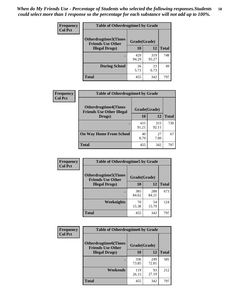| <b>Frequency</b> | <b>Table of Otherdrugtime3 by Grade</b>          |              |              |              |  |  |
|------------------|--------------------------------------------------|--------------|--------------|--------------|--|--|
| <b>Col Pct</b>   | Otherdrugtime3(Times<br><b>Friends Use Other</b> | Grade(Grade) |              |              |  |  |
|                  | <b>Illegal Drugs</b> )                           | 10           | 12           | <b>Total</b> |  |  |
|                  |                                                  | 429<br>94.29 | 319<br>93.27 | 748          |  |  |
|                  | <b>During School</b>                             | 26<br>5.71   | 23<br>6.73   | 49           |  |  |
|                  | Total                                            | 455          | 342          | 797          |  |  |

| Frequency      | <b>Table of Otherdrugtime4 by Grade</b>                         |              |              |              |  |  |
|----------------|-----------------------------------------------------------------|--------------|--------------|--------------|--|--|
| <b>Col Pct</b> | <b>Otherdrugtime4(Times</b><br><b>Friends Use Other Illegal</b> | Grade(Grade) |              |              |  |  |
|                | Drugs)                                                          | 10           | 12           | <b>Total</b> |  |  |
|                | ٠                                                               | 415<br>91.21 | 315<br>92.11 | 730          |  |  |
|                | <b>On Way Home From School</b>                                  | 40<br>8.79   | 27<br>7.89   | 67           |  |  |
|                | <b>Total</b>                                                    | 455          | 342          | 797          |  |  |

| Frequency      | <b>Table of Otherdrugtime5 by Grade</b>                  |              |              |              |  |  |  |
|----------------|----------------------------------------------------------|--------------|--------------|--------------|--|--|--|
| <b>Col Pct</b> | <b>Otherdrugtime5</b> (Times<br><b>Friends Use Other</b> | Grade(Grade) |              |              |  |  |  |
|                | <b>Illegal Drugs</b> )                                   | 10           | 12           | <b>Total</b> |  |  |  |
|                |                                                          | 385<br>84.62 | 288<br>84.21 | 673          |  |  |  |
|                | Weeknights                                               | 70<br>15.38  | 54<br>15.79  | 124          |  |  |  |
|                | Total                                                    | 455          | 342          | 797          |  |  |  |

| Frequency      | <b>Table of Otherdrugtime6 by Grade</b>                 |              |              |              |  |  |  |
|----------------|---------------------------------------------------------|--------------|--------------|--------------|--|--|--|
| <b>Col Pct</b> | <b>Otherdrugtime6(Times</b><br><b>Friends Use Other</b> | Grade(Grade) |              |              |  |  |  |
|                | <b>Illegal Drugs</b> )                                  | 10           | 12           | <b>Total</b> |  |  |  |
|                |                                                         | 336<br>73.85 | 249<br>72.81 | 585          |  |  |  |
|                | Weekends                                                | 119<br>26.15 | 93<br>27.19  | 212          |  |  |  |
|                | <b>Total</b>                                            | 455          | 342          | 797          |  |  |  |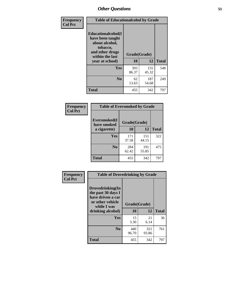| Frequency<br><b>Col Pct</b> | <b>Table of Educationalcohol by Grade</b>                                                                  |              |              |              |  |  |
|-----------------------------|------------------------------------------------------------------------------------------------------------|--------------|--------------|--------------|--|--|
|                             | Educationalcohol(I<br>have been taught<br>about alcohol,<br>tobacco,<br>and other drugs<br>within the last | Grade(Grade) |              |              |  |  |
|                             | year at school)                                                                                            | 10           | 12           | <b>Total</b> |  |  |
|                             | Yes                                                                                                        | 393<br>86.37 | 155<br>45.32 | 548          |  |  |
|                             | N <sub>0</sub>                                                                                             | 62<br>13.63  | 187<br>54.68 | 249          |  |  |
|                             | <b>Total</b>                                                                                               | 455          | 342          | 797          |  |  |

| Frequency      | <b>Table of Eversmoked by Grade</b> |              |              |              |  |  |  |
|----------------|-------------------------------------|--------------|--------------|--------------|--|--|--|
| <b>Col Pct</b> | Eversmoked(I<br>have smoked         | Grade(Grade) |              |              |  |  |  |
|                | a cigarette)                        | 10           | 12           | <b>Total</b> |  |  |  |
|                | Yes                                 | 171<br>37.58 | 151<br>44.15 | 322          |  |  |  |
|                | N <sub>0</sub>                      | 284<br>62.42 | 191<br>55.85 | 475          |  |  |  |
|                | <b>Total</b>                        | 455          | 342          | 797          |  |  |  |

| Frequency      | <b>Table of Drovedrinking by Grade</b>                                                                              |                    |              |              |  |  |  |
|----------------|---------------------------------------------------------------------------------------------------------------------|--------------------|--------------|--------------|--|--|--|
| <b>Col Pct</b> | Drovedrinking(In<br>the past 30 days I<br>have driven a car<br>or other vehicle<br>while I was<br>drinking alcohol) | Grade(Grade)<br>10 | 12           | <b>Total</b> |  |  |  |
|                | <b>Yes</b>                                                                                                          | 15<br>3.30         | 21<br>6.14   | 36           |  |  |  |
|                | N <sub>0</sub>                                                                                                      | 440<br>96.70       | 321<br>93.86 | 761          |  |  |  |
|                | <b>Total</b>                                                                                                        | 455                | 342          | 797          |  |  |  |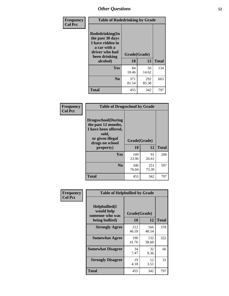| Frequency<br><b>Col Pct</b> | <b>Table of Rodedrinking by Grade</b>                                                                      |                                      |              |              |  |  |  |
|-----------------------------|------------------------------------------------------------------------------------------------------------|--------------------------------------|--------------|--------------|--|--|--|
|                             | Rodedrinking(In<br>the past 30 days<br>I have ridden in<br>a car with a<br>driver who had<br>been drinking | Grade(Grade)<br>10<br>12<br>alcohol) |              | <b>Total</b> |  |  |  |
|                             |                                                                                                            |                                      |              |              |  |  |  |
|                             | <b>Yes</b>                                                                                                 | 84<br>18.46                          | 50<br>14.62  | 134          |  |  |  |
|                             | N <sub>0</sub>                                                                                             | 371<br>81.54                         | 292<br>85.38 | 663          |  |  |  |
|                             | <b>Total</b>                                                                                               | 455                                  | 342          | 797          |  |  |  |

#### **Frequency Col Pct**

| <b>Table of Drugsschool by Grade</b>                                                                                      |              |              |              |  |  |  |  |
|---------------------------------------------------------------------------------------------------------------------------|--------------|--------------|--------------|--|--|--|--|
| <b>Drugsschool</b> (During<br>the past 12 months,<br>I have been offered,<br>sold,<br>or given illegal<br>drugs on school | Grade(Grade) |              |              |  |  |  |  |
| property)                                                                                                                 | 10           | 12           | <b>Total</b> |  |  |  |  |
| Yes                                                                                                                       | 109<br>23.96 | 91<br>26.61  | 200          |  |  |  |  |
| N <sub>0</sub>                                                                                                            | 346<br>76.04 | 251<br>73.39 | 597          |  |  |  |  |
| <b>Total</b>                                                                                                              | 455          | 342          |              |  |  |  |  |

| Frequency      | <b>Table of Helpbullied by Grade</b>                                   |                          |              |              |  |  |  |
|----------------|------------------------------------------------------------------------|--------------------------|--------------|--------------|--|--|--|
| <b>Col Pct</b> | $Helpb$ ullied $(I$<br>would help<br>someone who was<br>being bullied) | Grade(Grade)<br>10<br>12 |              | <b>Total</b> |  |  |  |
|                | <b>Strongly Agree</b>                                                  | 212<br>46.59             | 166<br>48.54 | 378          |  |  |  |
|                | <b>Somewhat Agree</b>                                                  | 190<br>41.76             | 132<br>38.60 | 322          |  |  |  |
|                | <b>Somewhat Disagree</b>                                               | 34<br>7.47               | 32<br>9.36   | 66           |  |  |  |
|                | <b>Strongly Disagree</b>                                               | 19<br>4.18               | 12<br>3.51   | 31           |  |  |  |
|                | Total                                                                  | 455                      | 342          | 797          |  |  |  |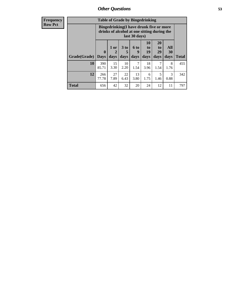| <b>Frequency</b> |              | <b>Table of Grade by Bingedrinking</b>                                                                  |                     |                         |                   |                        |                               |                          |              |
|------------------|--------------|---------------------------------------------------------------------------------------------------------|---------------------|-------------------------|-------------------|------------------------|-------------------------------|--------------------------|--------------|
| <b>Row Pct</b>   |              | Bingedrinking(I have drunk five or more<br>drinks of alcohol at one sitting during the<br>last 30 days) |                     |                         |                   |                        |                               |                          |              |
|                  | Grade(Grade) | $\mathbf{0}$<br>  Days                                                                                  | $1$ or<br>2<br>days | 3 <sub>to</sub><br>days | 6 to<br>9<br>days | 10<br>to<br>19<br>days | <b>20</b><br>to<br>29<br>days | <b>All</b><br>30<br>days | <b>Total</b> |
|                  | 10           | 390<br>85.71                                                                                            | 15<br>3.30          | 10<br>2.20              | 7<br>1.54         | 18<br>3.96             | 7<br>1.54                     | 8<br>1.76                | 455          |
|                  | 12           | 266<br>77.78                                                                                            | 27<br>7.89          | 22<br>6.43              | 13<br>3.80        | 6<br>1.75              | 5<br>1.46                     | 3<br>0.88                | 342          |
|                  | <b>Total</b> | 656                                                                                                     | 42                  | 32                      | 20                | 24                     | 12                            | 11                       | 797          |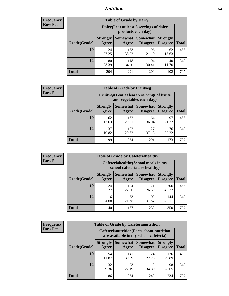### *Nutrition* **54**

| <b>Frequency</b><br>Row Pct |
|-----------------------------|
|                             |

| <b>Table of Grade by Dairy</b> |                                                                                                                                  |                                                                 |              |             |     |  |  |  |
|--------------------------------|----------------------------------------------------------------------------------------------------------------------------------|-----------------------------------------------------------------|--------------|-------------|-----|--|--|--|
|                                |                                                                                                                                  | Dairy (I eat at least 3 servings of dairy<br>products each day) |              |             |     |  |  |  |
| Grade(Grade)                   | <b>Somewhat</b><br><b>Somewhat</b><br><b>Strongly</b><br><b>Strongly</b><br><b>Disagree</b><br>Agree<br><b>Disagree</b><br>Agree |                                                                 |              |             |     |  |  |  |
| 10                             | 124<br>27.25                                                                                                                     | 173<br>38.02                                                    | 96<br>21.10  | 62<br>13.63 | 455 |  |  |  |
| 12                             | 80<br>23.39                                                                                                                      | 118<br>34.50                                                    | 104<br>30.41 | 40<br>11.70 | 342 |  |  |  |
| <b>Total</b>                   | 204                                                                                                                              | 291                                                             | 200          | 102         | 797 |  |  |  |

| <b>Frequency</b> |
|------------------|
| <b>Row Pct</b>   |

| <b>Table of Grade by Fruitveg</b>                                        |                          |              |                               |                                    |              |  |  |
|--------------------------------------------------------------------------|--------------------------|--------------|-------------------------------|------------------------------------|--------------|--|--|
| Fruitveg(I eat at least 5 servings of fruits<br>and vegetables each day) |                          |              |                               |                                    |              |  |  |
| Grade(Grade)                                                             | <b>Strongly</b><br>Agree | Agree        | Somewhat Somewhat<br>Disagree | <b>Strongly</b><br><b>Disagree</b> | <b>Total</b> |  |  |
| 10                                                                       | 62<br>13.63              | 132<br>29.01 | 164<br>36.04                  | 97<br>21.32                        | 455          |  |  |
| 12                                                                       | 37<br>10.82              | 102<br>29.82 | 127<br>37.13                  | 76<br>22.22                        | 342          |  |  |
| <b>Total</b>                                                             | 99                       | 234          | 291                           | 173                                | 797          |  |  |

| <b>Frequency</b> | <b>Table of Grade by Cafeteriahealthy</b> |                                                                       |                          |                                    |                                    |              |  |  |
|------------------|-------------------------------------------|-----------------------------------------------------------------------|--------------------------|------------------------------------|------------------------------------|--------------|--|--|
| <b>Row Pct</b>   |                                           | Cafeteriahealthy (School meals in my<br>school cafeteria are healthy) |                          |                                    |                                    |              |  |  |
|                  | Grade(Grade)                              | <b>Strongly</b><br>Agree                                              | <b>Somewhat</b><br>Agree | <b>Somewhat</b><br><b>Disagree</b> | <b>Strongly</b><br><b>Disagree</b> | <b>Total</b> |  |  |
|                  | 10                                        | 24<br>5.27                                                            | 104<br>22.86             | 121<br>26.59                       | 206<br>45.27                       | 455          |  |  |
|                  | 12                                        | 16<br>4.68                                                            | 73<br>21.35              | 109<br>31.87                       | 144<br>42.11                       | 342          |  |  |
|                  | <b>Total</b>                              | 40                                                                    | 177                      | 230                                | 350                                | 797          |  |  |

| <b>Frequency</b> |
|------------------|
| <b>Row Pct</b>   |

| <b>Table of Grade by Cafeterianutrition</b> |              |                          |                                                                                           |                             |                                    |              |  |  |  |
|---------------------------------------------|--------------|--------------------------|-------------------------------------------------------------------------------------------|-----------------------------|------------------------------------|--------------|--|--|--|
|                                             |              |                          | <b>Cafeterianutrition</b> (Facts about nutrition<br>are available in my school cafeteria) |                             |                                    |              |  |  |  |
|                                             | Grade(Grade) | <b>Strongly</b><br>Agree | Somewhat  <br>Agree                                                                       | <b>Somewhat</b><br>Disagree | <b>Strongly</b><br><b>Disagree</b> | <b>Total</b> |  |  |  |
|                                             | 10           | 54<br>11.87              | 141<br>30.99                                                                              | 124<br>27.25                | 136<br>29.89                       | 455          |  |  |  |
|                                             | 12           | 32<br>9.36               | 93<br>27.19                                                                               | 119<br>34.80                | 98<br>28.65                        | 342          |  |  |  |
|                                             | <b>Total</b> | 86                       | 234                                                                                       | 243                         | 234                                | 797          |  |  |  |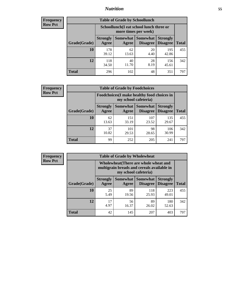### *Nutrition* **55**

| <b>Frequency</b> |
|------------------|
| <b>Row Pct</b>   |

| <b>Table of Grade by Schoollunch</b> |                                                                                                                      |                                                                 |            |              |     |  |  |  |  |
|--------------------------------------|----------------------------------------------------------------------------------------------------------------------|-----------------------------------------------------------------|------------|--------------|-----|--|--|--|--|
|                                      |                                                                                                                      | Schoollunch(I eat school lunch three or<br>more times per week) |            |              |     |  |  |  |  |
| Grade(Grade)                         | Somewhat  <br><b>Somewhat</b><br><b>Strongly</b><br><b>Strongly</b><br><b>Disagree</b><br>Disagree<br>Agree<br>Agree |                                                                 |            |              |     |  |  |  |  |
| 10                                   | 178<br>39.12                                                                                                         | 62<br>13.63                                                     | 20<br>4.40 | 195<br>42.86 | 455 |  |  |  |  |
| 12                                   | 118<br>34.50                                                                                                         | 40<br>11.70                                                     | 28<br>8.19 | 156<br>45.61 | 342 |  |  |  |  |
| <b>Total</b>                         | 296                                                                                                                  | 102                                                             | 48         | 351          | 797 |  |  |  |  |

| <b>Frequency</b> |  |
|------------------|--|
| <b>Row Pct</b>   |  |

| <b>Table of Grade by Foodchoices</b>                                |                          |              |                                 |                                    |              |  |  |
|---------------------------------------------------------------------|--------------------------|--------------|---------------------------------|------------------------------------|--------------|--|--|
| Foodchoices (I make healthy food choices in<br>my school cafeteria) |                          |              |                                 |                                    |              |  |  |
| Grade(Grade)                                                        | <b>Strongly</b><br>Agree | Agree        | Somewhat   Somewhat<br>Disagree | <b>Strongly</b><br><b>Disagree</b> | <b>Total</b> |  |  |
| 10                                                                  | 62<br>13.63              | 151<br>33.19 | 107<br>23.52                    | 135<br>29.67                       | 455          |  |  |
| 12                                                                  | 37<br>10.82              | 101<br>29.53 | 98<br>28.65                     | 106<br>30.99                       | 342          |  |  |
| <b>Total</b>                                                        | 99                       | 252          | 205                             | 241                                | 797          |  |  |

| <b>Frequency</b> | <b>Table of Grade by Wholewheat</b> |                                                                                                             |                     |                                    |                                    |              |  |  |
|------------------|-------------------------------------|-------------------------------------------------------------------------------------------------------------|---------------------|------------------------------------|------------------------------------|--------------|--|--|
| <b>Row Pct</b>   |                                     | Wholewheat (There are whole wheat and<br>multigrain breads and cereals available in<br>my school cafeteria) |                     |                                    |                                    |              |  |  |
|                  | Grade(Grade)                        | <b>Strongly</b><br>Agree                                                                                    | Somewhat  <br>Agree | <b>Somewhat</b><br><b>Disagree</b> | <b>Strongly</b><br><b>Disagree</b> | <b>Total</b> |  |  |
|                  | 10                                  | 25<br>5.49                                                                                                  | 89<br>19.56         | 118<br>25.93                       | 223<br>49.01                       | 455          |  |  |
|                  | 12                                  | 17<br>4.97                                                                                                  | 56<br>16.37         | 89<br>26.02                        | 180<br>52.63                       | 342          |  |  |
|                  | <b>Total</b>                        | 42                                                                                                          | 145                 | 207                                | 403                                | 797          |  |  |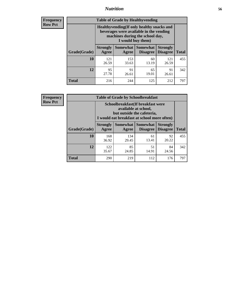### *Nutrition* **56**

**Frequency Row Pct**

| <b>Table of Grade by Healthyvending</b> |                                                                                                                                               |                          |                                    |                                    |              |  |
|-----------------------------------------|-----------------------------------------------------------------------------------------------------------------------------------------------|--------------------------|------------------------------------|------------------------------------|--------------|--|
|                                         | Healthyvending (If only healthy snacks and<br>beverages were available in the vending<br>machines during the school day,<br>I would buy them) |                          |                                    |                                    |              |  |
| Grade(Grade)                            | <b>Strongly</b><br>Agree                                                                                                                      | <b>Somewhat</b><br>Agree | <b>Somewhat</b><br><b>Disagree</b> | <b>Strongly</b><br><b>Disagree</b> | <b>Total</b> |  |
| 10                                      | 121<br>26.59                                                                                                                                  | 153<br>33.63             | 60<br>13.19                        | 121<br>26.59                       | 455          |  |
| 12                                      | 95<br>27.78                                                                                                                                   | 91<br>26.61              | 65<br>19.01                        | 91<br>26.61                        | 342          |  |
| Total                                   | 216                                                                                                                                           | 244                      | 125                                | 212                                | 797          |  |

**Frequency Row Pct**

| <b>Table of Grade by Schoolbreakfast</b> |                                                                                                                                         |                     |                                    |                                    |              |  |
|------------------------------------------|-----------------------------------------------------------------------------------------------------------------------------------------|---------------------|------------------------------------|------------------------------------|--------------|--|
|                                          | Schoolbreakfast (If breakfast were<br>available at school,<br>but outside the cafeteria,<br>I would eat breakfast at school more often) |                     |                                    |                                    |              |  |
| Grade(Grade)                             | <b>Strongly</b><br>Agree                                                                                                                | Somewhat  <br>Agree | <b>Somewhat</b><br><b>Disagree</b> | <b>Strongly</b><br><b>Disagree</b> | <b>Total</b> |  |
| 10                                       | 168<br>36.92                                                                                                                            | 134<br>29.45        | 61<br>13.41                        | 92<br>20.22                        | 455          |  |
| 12                                       | 85<br>122<br>51<br>84<br>14.91<br>35.67<br>24.85<br>24.56                                                                               |                     |                                    |                                    |              |  |
| <b>Total</b>                             | 290                                                                                                                                     | 219                 | 112                                | 176                                | 797          |  |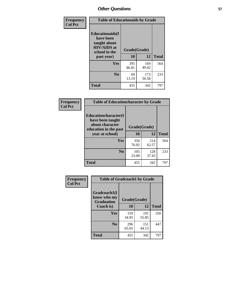| Frequency<br><b>Col Pct</b> | <b>Table of Educationaids by Grade</b>                                                                    |                    |              |              |
|-----------------------------|-----------------------------------------------------------------------------------------------------------|--------------------|--------------|--------------|
|                             | <b>Educationaids</b> (I<br>have been<br>taught about<br><b>HIV/AIDS</b> at<br>school in the<br>past year) | Grade(Grade)<br>10 | 12           | <b>Total</b> |
|                             | Yes                                                                                                       | 395<br>86.81       | 169<br>49.42 | 564          |
|                             | N <sub>0</sub>                                                                                            | 60<br>13.19        | 173<br>50.58 | 233          |
|                             | <b>Total</b>                                                                                              | 455                | 342          | 797          |

| Frequency      | <b>Table of Educationcharacter by Grade</b>                         |              |              |              |  |
|----------------|---------------------------------------------------------------------|--------------|--------------|--------------|--|
| <b>Col Pct</b> | <b>Educationcharacter(I)</b><br>have been taught<br>about character | Grade(Grade) |              |              |  |
|                | education in the past<br>year at school)                            | 10           | 12           | <b>Total</b> |  |
|                | Yes                                                                 | 350<br>76.92 | 214<br>62.57 | 564          |  |
|                | N <sub>0</sub>                                                      | 105<br>23.08 | 128<br>37.43 | 233          |  |
|                | <b>Total</b>                                                        | 455          | 342          | 797          |  |

| Frequency      | <b>Table of Gradcoach1 by Grade</b> |              |              |              |
|----------------|-------------------------------------|--------------|--------------|--------------|
| <b>Col Pct</b> | Gradcoach1(I                        |              |              |              |
|                | know who my<br><b>Graduation</b>    |              | Grade(Grade) |              |
|                | Coach is)                           | 10           | 12           | <b>Total</b> |
|                | Yes                                 | 159<br>34.95 | 191<br>55.85 | 350          |
|                | N <sub>0</sub>                      | 296<br>65.05 | 151<br>44.15 | 447          |
|                | <b>Total</b>                        | 455          | 342          | 797          |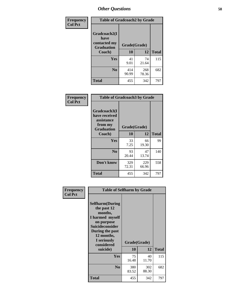| Frequency      | <b>Table of Gradcoach2 by Grade</b> |              |              |              |
|----------------|-------------------------------------|--------------|--------------|--------------|
| <b>Col Pct</b> |                                     |              |              |              |
|                | Gradcoach2(I<br>have                |              |              |              |
|                | contacted my<br><b>Graduation</b>   | Grade(Grade) |              |              |
|                | Coach)                              | 10           | 12           | <b>Total</b> |
|                | Yes                                 | 41<br>9.01   | 74<br>21.64  | 115          |
|                | N <sub>0</sub>                      | 414<br>90.99 | 268<br>78.36 | 682          |
|                | <b>Total</b>                        | 455          | 342          | 797          |

| Frequency<br><b>Col Pct</b> | <b>Table of Gradcoach3 by Grade</b>                                         |              |              |              |
|-----------------------------|-----------------------------------------------------------------------------|--------------|--------------|--------------|
|                             | Gradcoach3(I<br>have received<br>assistance<br>from my<br><b>Graduation</b> | Grade(Grade) |              |              |
|                             | Coach)                                                                      | 10           | 12           | <b>Total</b> |
|                             | Yes                                                                         | 33<br>7.25   | 66<br>19.30  | 99           |
|                             | N <sub>0</sub>                                                              | 93<br>20.44  | 47<br>13.74  | 140          |
|                             | Don't know                                                                  | 329<br>72.31 | 229<br>66.96 | 558          |
|                             | <b>Total</b>                                                                | 455          | 342          | 797          |

| Frequency      | <b>Table of Selfharm by Grade</b>                                                                                                                                                      |                    |              |              |
|----------------|----------------------------------------------------------------------------------------------------------------------------------------------------------------------------------------|--------------------|--------------|--------------|
| <b>Col Pct</b> | <b>Selfharm</b> (During<br>the past 12<br>months,<br>I harmed myself<br>on purpose<br><b>Suicideconsider</b><br>During the past<br>12 months,<br>I seriously<br>considered<br>suicide) | Grade(Grade)<br>10 | 12           | <b>Total</b> |
|                | <b>Yes</b>                                                                                                                                                                             | 75<br>16.48        | 40<br>11.70  | 115          |
|                | N <sub>0</sub>                                                                                                                                                                         | 380<br>83.52       | 302<br>88.30 | 682          |
|                | <b>Total</b>                                                                                                                                                                           | 455                | 342          | 797          |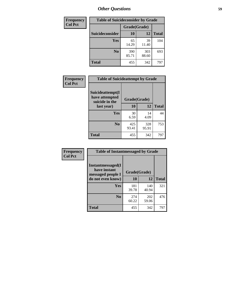| <b>Frequency</b> | <b>Table of Suicideconsider by Grade</b> |              |              |              |
|------------------|------------------------------------------|--------------|--------------|--------------|
| <b>Col Pct</b>   |                                          | Grade(Grade) |              |              |
|                  | <b>Suicideconsider</b>                   | <b>10</b>    | 12           | <b>Total</b> |
|                  | Yes                                      | 65<br>14.29  | 39<br>11.40  | 104          |
|                  | N <sub>0</sub>                           | 390<br>85.71 | 303<br>88.60 | 693          |
|                  | Total                                    | 455          | 342          | 797          |

| Frequency      | <b>Table of Suicideattempt by Grade</b>              |              |              |              |
|----------------|------------------------------------------------------|--------------|--------------|--------------|
| <b>Col Pct</b> | Suicideattempt(I<br>have attempted<br>suicide in the | Grade(Grade) |              |              |
|                | last year)                                           | 10           | 12           | <b>Total</b> |
|                | Yes                                                  | 30<br>6.59   | 14<br>4.09   | 44           |
|                | N <sub>0</sub>                                       | 425<br>93.41 | 328<br>95.91 | 753          |
|                | <b>Total</b>                                         | 455          | 342          | 797          |

| Frequency      | <b>Table of Instantmessaged by Grade</b>                |              |              |              |
|----------------|---------------------------------------------------------|--------------|--------------|--------------|
| <b>Col Pct</b> | Instantmessaged(I)<br>have instant<br>messaged people I | Grade(Grade) |              |              |
|                | do not even know)                                       | 10           | 12           | <b>Total</b> |
|                | Yes                                                     | 181<br>39.78 | 140<br>40.94 | 321          |
|                | N <sub>0</sub>                                          | 274<br>60.22 | 202<br>59.06 | 476          |
|                | <b>Total</b>                                            | 455          | 342          | 797          |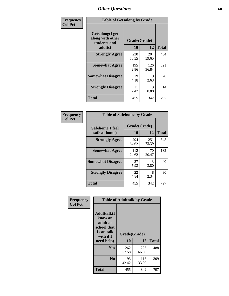| Frequency      | <b>Table of Getsalong by Grade</b>                          |              |              |              |
|----------------|-------------------------------------------------------------|--------------|--------------|--------------|
| <b>Col Pct</b> | <b>Getsalong</b> (I get<br>along with other<br>students and | Grade(Grade) |              |              |
|                | adults)                                                     | 10           | 12           | <b>Total</b> |
|                | <b>Strongly Agree</b>                                       | 230<br>50.55 | 204<br>59.65 | 434          |
|                | <b>Somewhat Agree</b>                                       | 195<br>42.86 | 126<br>36.84 | 321          |
|                | <b>Somewhat Disagree</b>                                    | 19<br>4.18   | 9<br>2.63    | 28           |
|                | <b>Strongly Disagree</b>                                    | 11<br>2.42   | 3<br>0.88    | 14           |
|                | <b>Total</b>                                                | 455          | 342          | 797          |

| <b>Frequency</b> |  |
|------------------|--|
| <b>Col Pct</b>   |  |

|              | <b>Table of Safehome by Grade</b> |              |                    |     |  |  |  |  |  |
|--------------|-----------------------------------|--------------|--------------------|-----|--|--|--|--|--|
|              | Safehome(I feel<br>safe at home)  | 10           | Grade(Grade)<br>12 |     |  |  |  |  |  |
|              | <b>Strongly Agree</b>             | 294<br>64.62 | 251<br>73.39       | 545 |  |  |  |  |  |
|              | <b>Somewhat Agree</b>             | 112<br>24.62 | 70<br>20.47        | 182 |  |  |  |  |  |
|              | <b>Somewhat Disagree</b>          | 27<br>5.93   | 13<br>3.80         | 40  |  |  |  |  |  |
|              | <b>Strongly Disagree</b>          | 22<br>4.84   | 8<br>2.34          | 30  |  |  |  |  |  |
| <b>Total</b> |                                   | 455          | 342                | 797 |  |  |  |  |  |

| Frequency      | <b>Table of Adulttalk by Grade</b>                                                   |              |              |              |  |  |  |  |
|----------------|--------------------------------------------------------------------------------------|--------------|--------------|--------------|--|--|--|--|
| <b>Col Pct</b> | <b>Adulttalk</b> (I<br>know an<br>adult at<br>school that<br>I can talk<br>with if I | Grade(Grade) |              |              |  |  |  |  |
|                | need help)                                                                           | 10           | 12           | <b>Total</b> |  |  |  |  |
|                | <b>Yes</b>                                                                           | 262<br>57.58 | 226<br>66.08 | 488          |  |  |  |  |
|                | N <sub>0</sub>                                                                       | 193<br>42.42 | 116<br>33.92 | 309          |  |  |  |  |
|                | <b>Total</b>                                                                         | 455          | 342          | 797          |  |  |  |  |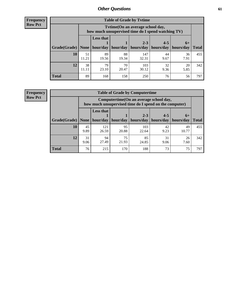**Frequency Row Pct**

| <b>Table of Grade by Tvtime</b> |             |                                                                                         |             |              |            |            |              |  |  |  |  |
|---------------------------------|-------------|-----------------------------------------------------------------------------------------|-------------|--------------|------------|------------|--------------|--|--|--|--|
|                                 |             | Tvtime (On an average school day,<br>how much unsupervised time do I spend watching TV) |             |              |            |            |              |  |  |  |  |
|                                 |             | <b>Less that</b>                                                                        |             | $2 - 3$      | $4 - 5$    | $6+$       |              |  |  |  |  |
| Grade(Grade)                    | None        | hour/day                                                                                | hour/day    | hours/day    | hours/day  | hours/day  | <b>Total</b> |  |  |  |  |
| 10                              | 51<br>11.21 | 89<br>19.56                                                                             | 88<br>19.34 | 147<br>32.31 | 44<br>9.67 | 36<br>7.91 | 455          |  |  |  |  |
| 12                              | 38<br>11.11 | 79<br>23.10                                                                             | 70<br>20.47 | 103<br>30.12 | 32<br>9.36 | 20<br>5.85 | 342          |  |  |  |  |
| <b>Total</b>                    | 89          | 168                                                                                     | 158         | 250          | 76         | 56         | 797          |  |  |  |  |

**Frequency Row Pct**

| <b>Table of Grade by Computertime</b> |            |                                                                                                   |             |                      |                      |                   |              |  |  |  |
|---------------------------------------|------------|---------------------------------------------------------------------------------------------------|-------------|----------------------|----------------------|-------------------|--------------|--|--|--|
|                                       |            | Computertime (On an average school day,<br>how much unsupervised time do I spend on the computer) |             |                      |                      |                   |              |  |  |  |
| Grade(Grade)                          | None $ $   | <b>Less that</b><br>hour/day                                                                      | hour/day    | $2 - 3$<br>hours/day | $4 - 5$<br>hours/day | $6+$<br>hours/day | <b>Total</b> |  |  |  |
| 10                                    | 45         | 121                                                                                               | 95          | 103                  | 42                   | 49                | 455          |  |  |  |
|                                       | 9.89       | 26.59                                                                                             | 20.88       | 22.64                | 9.23                 | 10.77             |              |  |  |  |
| 12                                    | 31<br>9.06 | 94<br>27.49                                                                                       | 75<br>21.93 | 85<br>24.85          | 31<br>9.06           | 26<br>7.60        | 342          |  |  |  |
| <b>Total</b>                          | 76         | 215                                                                                               | 170         | 188                  | 73                   | 75                | 797          |  |  |  |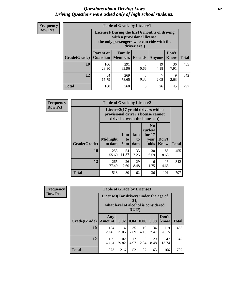#### *Questions about Driving Laws* **62** *Driving Questions were asked only of high school students.*

| <b>Frequency</b> |
|------------------|
| <b>Row Pct</b>   |

| <b>Table of Grade by License1</b> |                                     |                                                                                                                                           |                |            |                      |              |  |  |  |
|-----------------------------------|-------------------------------------|-------------------------------------------------------------------------------------------------------------------------------------------|----------------|------------|----------------------|--------------|--|--|--|
|                                   |                                     | License1(During the first 6 months of driving<br>with a provisional license,<br>the only passengers who can ride with the<br>driver are:) |                |            |                      |              |  |  |  |
| Grade(Grade)                      | <b>Parent or</b><br><b>Guardian</b> | Family<br><b>Members</b>                                                                                                                  | <b>Friends</b> | Anyone     | Don't<br><b>Know</b> | <b>Total</b> |  |  |  |
| 10                                | 106<br>23.30                        | 291<br>63.96                                                                                                                              | 3<br>0.66      | 19<br>4.18 | 36<br>7.91           | 455          |  |  |  |
| 12                                | 54<br>15.79                         | 269<br>78.65                                                                                                                              | 3<br>0.88      | 7<br>2.05  | 9<br>2.63            | 342          |  |  |  |
| <b>Total</b>                      | 160                                 | 560                                                                                                                                       | 6              | 26         | 45                   | 797          |  |  |  |

| Frequency      | <b>Table of Grade by License2</b>                                                                        |                           |                  |                  |                                                      |                      |              |  |
|----------------|----------------------------------------------------------------------------------------------------------|---------------------------|------------------|------------------|------------------------------------------------------|----------------------|--------------|--|
| <b>Row Pct</b> | License2(17 yr old drivers with a<br>provisional driver's license cannot<br>drive between the hours of:) |                           |                  |                  |                                                      |                      |              |  |
|                | Grade(Grade)                                                                                             | <b>Midnight</b><br>to 6am | 1am<br>to<br>5am | 1am<br>to<br>6am | N <sub>0</sub><br>curfew<br>for $17$<br>year<br>olds | Don't<br><b>Know</b> | <b>Total</b> |  |
|                | 10                                                                                                       | 253<br>55.60              | 54<br>11.87      | 33<br>7.25       | 30<br>6.59                                           | 85<br>18.68          | 455          |  |
|                | 12                                                                                                       | 265<br>77.49              | 26<br>7.60       | 29<br>8.48       | 6<br>1.75                                            | 16<br>4.68           | 342          |  |
|                | <b>Total</b>                                                                                             | 518                       | 80               | 62               | 36                                                   | 101                  | 797          |  |

| Frequency      | <b>Table of Grade by License3</b> |                                                                                                 |              |            |            |            |               |              |  |  |
|----------------|-----------------------------------|-------------------------------------------------------------------------------------------------|--------------|------------|------------|------------|---------------|--------------|--|--|
| <b>Row Pct</b> |                                   | License3(For drivers under the age of<br>21,<br>what level of alcohol is considered<br>$DUI$ ?) |              |            |            |            |               |              |  |  |
|                | Grade(Grade)                      | Any<br><b>Amount</b>                                                                            | 0.02         | 0.04       | 0.06       | 0.08       | Don't<br>know | <b>Total</b> |  |  |
|                | 10                                | 134<br>29.45                                                                                    | 114<br>25.05 | 35<br>7.69 | 19<br>4.18 | 34<br>7.47 | 119<br>26.15  | 455          |  |  |
|                | 12                                | 139<br>40.64                                                                                    | 102<br>29.82 | 17<br>4.97 | 8<br>2.34  | 29<br>8.48 | 47<br>13.74   | 342          |  |  |
|                | <b>Total</b>                      | 273                                                                                             | 216          | 52         | 27         | 63         | 166           | 797          |  |  |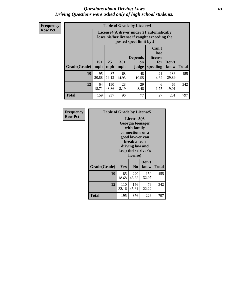#### *Questions about Driving Laws* **63** *Driving Questions were asked only of high school students.*

**Frequency Row Pct**

| <b>Table of Grade by License4</b> |              |                                                                                                                                                      |             |             |            |              |     |  |  |
|-----------------------------------|--------------|------------------------------------------------------------------------------------------------------------------------------------------------------|-------------|-------------|------------|--------------|-----|--|--|
|                                   |              | License4(A driver under 21 automatically<br>loses his/her license if caught exceeding the<br>posted speet limit by:)                                 |             |             |            |              |     |  |  |
| Grade(Grade)                      | $15+$<br>mph | Can't<br>lose<br><b>Depends</b><br>license<br>$25+$<br>$35+$<br>Don't<br>for<br><b>on</b><br><b>Total</b><br>mph<br>speeding<br>mph<br>judge<br>know |             |             |            |              |     |  |  |
| 10                                | 95<br>20.88  | 87<br>19.12                                                                                                                                          | 68<br>14.95 | 48<br>10.55 | 21<br>4.62 | 136<br>29.89 | 455 |  |  |
| 12                                | 64<br>18.71  | 150<br>43.86                                                                                                                                         | 28<br>8.19  | 29<br>8.48  | 6<br>1.75  | 65<br>19.01  | 342 |  |  |
| <b>Total</b>                      | 159          | 237                                                                                                                                                  | 96          | 77          | 27         | 201          | 797 |  |  |

| Frequency      | <b>Table of Grade by License5</b> |              |                                                                                                                                      |                     |       |  |
|----------------|-----------------------------------|--------------|--------------------------------------------------------------------------------------------------------------------------------------|---------------------|-------|--|
| <b>Row Pct</b> |                                   |              | License5(A)<br>Georgia teenager<br>with family<br>connections or a<br>good lawyer can<br>break a teen<br>driving law and<br>license) | keep their driver's |       |  |
|                | Grade(Grade)                      | <b>Yes</b>   | N <sub>0</sub>                                                                                                                       | Don't<br>know       | Total |  |
|                | 10                                | 85<br>18.68  | 220<br>48.35                                                                                                                         | 150<br>32.97        | 455   |  |
|                | 12                                | 110<br>32.16 | 156<br>45.61                                                                                                                         | 76<br>22.22         | 342   |  |
|                | Total                             | 195          | 376                                                                                                                                  | 226                 | 797   |  |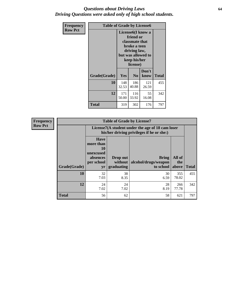#### *Questions about Driving Laws* **64** *Driving Questions were asked only of high school students.*

| <b>Frequency</b> | <b>Table of Grade by License6</b> |                                                                                                                                                 |                |               |              |  |
|------------------|-----------------------------------|-------------------------------------------------------------------------------------------------------------------------------------------------|----------------|---------------|--------------|--|
| <b>Row Pct</b>   |                                   | License <sub>6</sub> (I know a<br>friend or<br>classmate that<br>broke a teen<br>driving law,<br>but was allowed to<br>keep his/her<br>license) |                |               |              |  |
|                  | Grade(Grade)                      | <b>Yes</b>                                                                                                                                      | N <sub>0</sub> | Don't<br>know | <b>Total</b> |  |
|                  | 10                                | 148<br>32.53                                                                                                                                    | 186<br>40.88   | 121<br>26.59  | 455          |  |
|                  | 12                                | 171<br>50.00                                                                                                                                    | 116<br>33.92   | 55<br>16.08   | 342          |  |
|                  | <b>Total</b>                      | 319                                                                                                                                             | 302            | 176           | 797          |  |

| <b>Frequency</b> |              |                                                                             | <b>Table of Grade by License7</b>                                                             |                                                   |                        |              |  |
|------------------|--------------|-----------------------------------------------------------------------------|-----------------------------------------------------------------------------------------------|---------------------------------------------------|------------------------|--------------|--|
| <b>Row Pct</b>   |              |                                                                             | License7(A student under the age of 18 cam loser<br>his/her driving privileges if he or she:) |                                                   |                        |              |  |
|                  | Grade(Grade) | <b>Have</b><br>more than<br>10<br>unexcused<br>absences<br>per school<br>yr | Drop out<br>without  <br>graduating                                                           | <b>Bring</b><br>alcohol/drugs/weapon<br>to school | All of<br>the<br>above | <b>Total</b> |  |
|                  | 10           | 32<br>7.03                                                                  | 38<br>8.35                                                                                    | 30<br>6.59                                        | 355<br>78.02           | 455          |  |
|                  | 12           | 24<br>7.02                                                                  | 24<br>7.02                                                                                    | 28<br>8.19                                        | 266<br>77.78           | 342          |  |
|                  | <b>Total</b> | 56                                                                          | 62                                                                                            | 58                                                | 621                    | 797          |  |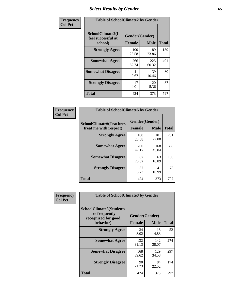# *Select Results by Gender* **65**

| Frequency      | <b>Table of SchoolClimate2 by Gender</b>          |                                 |              |              |
|----------------|---------------------------------------------------|---------------------------------|--------------|--------------|
| <b>Col Pct</b> | SchoolClimate2(I<br>feel successful at<br>school) | Gender(Gender)<br><b>Female</b> | <b>Male</b>  | <b>Total</b> |
|                | <b>Strongly Agree</b>                             | 100<br>23.58                    | 89<br>23.86  | 189          |
|                | <b>Somewhat Agree</b>                             | 266<br>62.74                    | 225<br>60.32 | 491          |
|                | <b>Somewhat Disagree</b>                          | 41<br>9.67                      | 39<br>10.46  | 80           |
|                | <b>Strongly Disagree</b>                          | 17<br>4.01                      | 20<br>5.36   | 37           |
|                | <b>Total</b>                                      | 424                             | 373          | 797          |

| <b>Frequency</b> | <b>Table of SchoolClimate6 by Gender</b>                 |                |              |              |  |
|------------------|----------------------------------------------------------|----------------|--------------|--------------|--|
| <b>Col Pct</b>   | <b>SchoolClimate6(Teachers</b><br>treat me with respect) | Gender(Gender) |              |              |  |
|                  |                                                          | <b>Female</b>  | <b>Male</b>  | <b>Total</b> |  |
|                  | <b>Strongly Agree</b>                                    | 100<br>23.58   | 101<br>27.08 | 201          |  |
|                  | <b>Somewhat Agree</b>                                    | 200<br>47.17   | 168<br>45.04 | 368          |  |
|                  | <b>Somewhat Disagree</b>                                 | 87<br>20.52    | 63<br>16.89  | 150          |  |
|                  | <b>Strongly Disagree</b>                                 | 37<br>8.73     | 41<br>10.99  | 78           |  |
|                  | <b>Total</b>                                             | 424            | 373          | 797          |  |

| <b>Frequency</b> | <b>Table of SchoolClimate8 by Gender</b>                                             |                                 |              |     |
|------------------|--------------------------------------------------------------------------------------|---------------------------------|--------------|-----|
| <b>Col Pct</b>   | <b>SchoolClimate8(Students</b><br>are frequently<br>recognized for good<br>behavior) | Gender(Gender)<br><b>Female</b> | <b>Total</b> |     |
|                  |                                                                                      |                                 | <b>Male</b>  |     |
|                  | <b>Strongly Agree</b>                                                                | 34<br>8.02                      | 18<br>4.83   | 52  |
|                  | <b>Somewhat Agree</b>                                                                | 132<br>31.13                    | 142<br>38.07 | 274 |
|                  | <b>Somewhat Disagree</b>                                                             | 168<br>39.62                    | 129<br>34.58 | 297 |
|                  | <b>Strongly Disagree</b>                                                             | 90<br>21.23                     | 84<br>22.52  | 174 |
|                  | Total                                                                                | 424                             | 373          | 797 |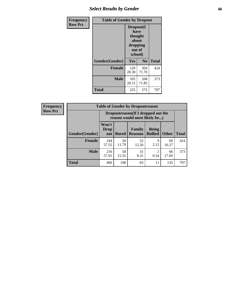## *Select Results by Gender* **66**

| <b>Frequency</b> | <b>Table of Gender by Dropout</b> |                                                                        |                |              |
|------------------|-----------------------------------|------------------------------------------------------------------------|----------------|--------------|
| <b>Row Pct</b>   |                                   | Dropout(I<br>have<br>thought<br>about<br>dropping<br>out of<br>school) |                |              |
|                  | Gender(Gender)                    | Yes                                                                    | N <sub>0</sub> | <b>Total</b> |
|                  | <b>Female</b>                     | 120<br>28.30                                                           | 304<br>71.70   | 424          |
|                  | <b>Male</b>                       | 105<br>28.15                                                           | 268<br>71.85   | 373          |
|                  | <b>Total</b>                      | 225                                                                    | 572            | 797          |

| <b>Frequency</b> | <b>Table of Gender by Dropoutreason</b> |                                                                    |              |                          |                                |              |              |
|------------------|-----------------------------------------|--------------------------------------------------------------------|--------------|--------------------------|--------------------------------|--------------|--------------|
| <b>Row Pct</b>   |                                         | Dropoutreason(If I dropped out the<br>reason would most likely be) |              |                          |                                |              |              |
|                  | Gender(Gender)                          | Won't<br><b>Drop</b><br>out                                        | <b>Bored</b> | Family<br><b>Reasons</b> | <b>Being</b><br><b>Bullied</b> | <b>Other</b> | <b>Total</b> |
|                  | Female                                  | 244<br>57.55                                                       | 50<br>11.79  | 52<br>12.26              | 9<br>2.12                      | 69<br>16.27  | 424          |
|                  | <b>Male</b>                             | 216<br>57.91                                                       | 58<br>15.55  | 31<br>8.31               | 2<br>0.54                      | 66<br>17.69  | 373          |
|                  | <b>Total</b>                            | 460                                                                | 108          | 83                       | 11                             | 135          | 797          |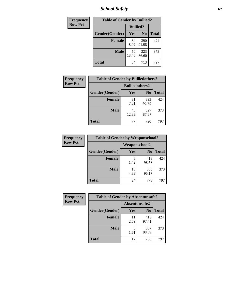*School Safety* **67**

| Frequency      | <b>Table of Gender by Bullied2</b> |                 |                |              |
|----------------|------------------------------------|-----------------|----------------|--------------|
| <b>Row Pct</b> |                                    | <b>Bullied2</b> |                |              |
|                | Gender(Gender)                     | <b>Yes</b>      | N <sub>0</sub> | <b>Total</b> |
|                | <b>Female</b>                      | 34<br>8.02      | 390<br>91.98   | 424          |
|                | <b>Male</b>                        | 50<br>13.40     | 323<br>86.60   | 373          |
|                | Total                              | 84              | 713            | 797          |

| Frequency      | <b>Table of Gender by Bulliedothers2</b> |                       |                |              |
|----------------|------------------------------------------|-----------------------|----------------|--------------|
| <b>Row Pct</b> |                                          | <b>Bulliedothers2</b> |                |              |
|                | Gender(Gender)                           | <b>Yes</b>            | N <sub>0</sub> | <b>Total</b> |
|                | <b>Female</b>                            | 31<br>7.31            | 393<br>92.69   | 424          |
|                | <b>Male</b>                              | 46<br>12.33           | 327<br>87.67   | 373          |
|                | <b>Total</b>                             | 77                    | 720            | 797          |

| Frequency      | <b>Table of Gender by Weaponschool2</b> |                      |                |              |
|----------------|-----------------------------------------|----------------------|----------------|--------------|
| <b>Row Pct</b> |                                         | <b>Weaponschool2</b> |                |              |
|                | Gender(Gender)                          | Yes                  | N <sub>0</sub> | <b>Total</b> |
|                | <b>Female</b>                           | 6<br>1.42            | 418<br>98.58   | 424          |
|                | <b>Male</b>                             | 18<br>4.83           | 355<br>95.17   | 373          |
|                | <b>Total</b>                            | 24                   | 773            | 797          |

| Frequency      | <b>Table of Gender by Absentunsafe2</b> |               |                |              |
|----------------|-----------------------------------------|---------------|----------------|--------------|
| <b>Row Pct</b> |                                         | Absentunsafe2 |                |              |
|                | Gender(Gender)                          | Yes           | N <sub>0</sub> | <b>Total</b> |
|                | <b>Female</b>                           | 11<br>2.59    | 413<br>97.41   | 424          |
|                | <b>Male</b>                             | 6<br>1.61     | 367<br>98.39   | 373          |
|                | <b>Total</b>                            | 17            | 780            | 797          |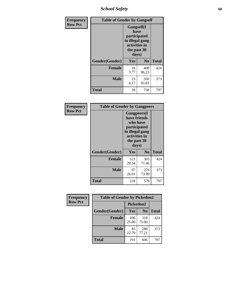*School Safety* **68**

| Frequency      | <b>Table of Gender by Gangself</b> |                                                                                                |                |              |
|----------------|------------------------------------|------------------------------------------------------------------------------------------------|----------------|--------------|
| <b>Row Pct</b> |                                    | Gangself(I<br>have<br>participated<br>in illegal gang<br>activities in<br>the past 30<br>days) |                |              |
|                | Gender(Gender)                     | Yes                                                                                            | N <sub>0</sub> | <b>Total</b> |
|                | <b>Female</b>                      | 16<br>3.77                                                                                     | 408<br>96.23   | 424          |
|                | <b>Male</b>                        | 23<br>6.17                                                                                     | 350<br>93.83   | 373          |
|                | <b>Total</b>                       | 39                                                                                             | 758            | 797          |

| Frequency      | <b>Table of Gender by Gangpeers</b> |                                                                                                                             |                |              |
|----------------|-------------------------------------|-----------------------------------------------------------------------------------------------------------------------------|----------------|--------------|
| <b>Row Pct</b> |                                     | <b>Gangpeers</b> (I<br>have friends<br>who have<br>participated<br>in illegal gang<br>activities in<br>the past 30<br>days) |                |              |
|                | Gender(Gender)                      | Yes                                                                                                                         | N <sub>0</sub> | <b>Total</b> |
|                | <b>Female</b>                       | 121<br>28.54                                                                                                                | 303<br>71.46   | 424          |
|                | <b>Male</b>                         | 97<br>26.01                                                                                                                 | 276<br>73.99   | 373          |
|                | Total                               | 218                                                                                                                         | 579            | 797          |

| Frequency      | <b>Table of Gender by Pickedon2</b> |              |                |              |
|----------------|-------------------------------------|--------------|----------------|--------------|
| <b>Row Pct</b> |                                     | Pickedon2    |                |              |
|                | Gender(Gender)                      | Yes          | N <sub>0</sub> | <b>Total</b> |
|                | <b>Female</b>                       | 106<br>25.00 | 318<br>75.00   | 424          |
|                | <b>Male</b>                         | 85<br>22.79  | 288<br>77.21   | 373          |
|                | <b>Total</b>                        | 191          | 606            | 797          |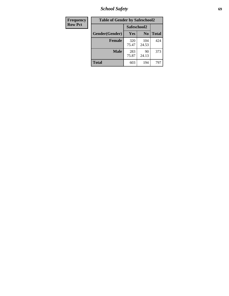*School Safety* **69**

| Frequency      | <b>Table of Gender by Safeschool2</b> |              |                |              |
|----------------|---------------------------------------|--------------|----------------|--------------|
| <b>Row Pct</b> |                                       | Safeschool2  |                |              |
|                | Gender(Gender)                        | <b>Yes</b>   | N <sub>0</sub> | <b>Total</b> |
|                | <b>Female</b>                         | 320<br>75.47 | 104<br>24.53   | 424          |
|                | <b>Male</b>                           | 283<br>75.87 | 90<br>24.13    | 373          |
|                | <b>Total</b>                          | 603          | 194            | 797          |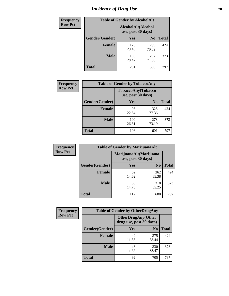# *Incidence of Drug Use* **70**

| <b>Frequency</b> | <b>Table of Gender by AlcoholAlt</b> |                                          |                |              |
|------------------|--------------------------------------|------------------------------------------|----------------|--------------|
| <b>Row Pct</b>   |                                      | AlcoholAlt(Alcohol<br>use, past 30 days) |                |              |
|                  | Gender(Gender)                       | <b>Yes</b>                               | N <sub>0</sub> | <b>Total</b> |
|                  | <b>Female</b>                        | 125<br>29.48                             | 299<br>70.52   | 424          |
|                  | <b>Male</b>                          | 106<br>28.42                             | 267<br>71.58   | 373          |
|                  | <b>Total</b>                         | 231                                      | 566            | 797          |

| Frequency      | <b>Table of Gender by TobaccoAny</b> |                                                  |                |              |  |
|----------------|--------------------------------------|--------------------------------------------------|----------------|--------------|--|
| <b>Row Pct</b> |                                      | <b>TobaccoAny</b> (Tobacco<br>use, past 30 days) |                |              |  |
|                | Gender(Gender)                       | Yes                                              | N <sub>0</sub> | <b>Total</b> |  |
|                | <b>Female</b>                        | 96<br>22.64                                      | 328<br>77.36   | 424          |  |
|                | <b>Male</b>                          | 100<br>26.81                                     | 273<br>73.19   | 373          |  |
|                | Total                                | 196                                              | 601            | 797          |  |

| <b>Frequency</b> | <b>Table of Gender by MarijuanaAlt</b> |             |                                              |              |
|------------------|----------------------------------------|-------------|----------------------------------------------|--------------|
| <b>Row Pct</b>   |                                        |             | MarijuanaAlt(Marijuana<br>use, past 30 days) |              |
|                  | Gender(Gender)                         | <b>Yes</b>  | N <sub>0</sub>                               | <b>Total</b> |
|                  | <b>Female</b>                          | 62<br>14.62 | 362<br>85.38                                 | 424          |
|                  | <b>Male</b>                            | 55<br>14.75 | 318<br>85.25                                 | 373          |
|                  | <b>Total</b>                           | 117         | 680                                          | 797          |

| <b>Frequency</b> | <b>Table of Gender by OtherDrugAny</b> |                                                      |                |              |
|------------------|----------------------------------------|------------------------------------------------------|----------------|--------------|
| <b>Row Pct</b>   |                                        | <b>OtherDrugAny(Other</b><br>drug use, past 30 days) |                |              |
|                  | Gender(Gender)                         | <b>Yes</b>                                           | N <sub>0</sub> | <b>Total</b> |
|                  | <b>Female</b>                          | 49<br>11.56                                          | 375<br>88.44   | 424          |
|                  | <b>Male</b>                            | 43<br>11.53                                          | 330<br>88.47   | 373          |
|                  | <b>Total</b>                           | 92                                                   | 705            | 797          |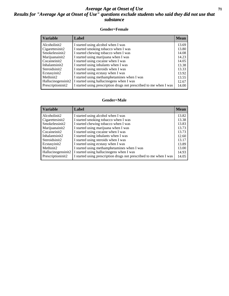#### *Average Age at Onset of Use* **71** *Results for "Average Age at Onset of Use" questions exclude students who said they did not use that substance*

#### **Gender=Female**

| Variable           | <b>Label</b>                                                       | <b>Mean</b> |
|--------------------|--------------------------------------------------------------------|-------------|
| Alcoholinit2       | I started using alcohol when I was                                 | 13.69       |
| Cigarettesinit2    | I started smoking tobacco when I was                               | 13.80       |
| Smokelessinit2     | I started chewing tobacco when I was                               | 14.08       |
| Marijuanainit2     | I started using marijuana when I was                               | 14.23       |
| Cocaineinit2       | I started using cocaine when I was                                 | 14.05       |
| Inhalantsinit2     | I started using inhalants when I was                               | 13.38       |
| Steroidsinit2      | I started using steroids when I was                                | 13.33       |
| Ecstasyinit2       | I started using ecstasy when I was                                 | 13.92       |
| Methinit2          | I started using methamphetamines when I was                        | 13.55       |
| Hallucinogensinit2 | I started using hallucinogens when I was                           | 12.67       |
| Prescription in t2 | I started using prescription drugs not prescribed to me when I was | 14.00       |

#### **Gender=Male**

| <b>Variable</b>                 | Label                                                              | <b>Mean</b> |
|---------------------------------|--------------------------------------------------------------------|-------------|
| Alcoholinit2                    | I started using alcohol when I was                                 | 13.82       |
| Cigarettesinit2                 | I started smoking tobacco when I was                               | 13.38       |
| Smokelessinit2                  | I started chewing tobacco when I was                               | 13.83       |
| Marijuanainit2                  | I started using marijuana when I was                               | 13.73       |
| Cocaineinit2                    | I started using cocaine when I was                                 | 13.73       |
| Inhalantsinit2                  | I started using inhalants when I was                               | 12.60       |
| Steroidsinit2                   | I started using steroids when I was                                | 13.17       |
| Ecstasyinit2                    | I started using ecstasy when I was                                 | 13.89       |
| Methinit2                       | I started using methamphetamines when I was                        | 13.00       |
| Hallucinogensinit2              | I started using hallucinogens when I was                           | 14.93       |
| Prescription in it <sub>2</sub> | I started using prescription drugs not prescribed to me when I was | 14.05       |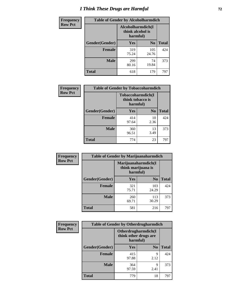# *I Think These Drugs are Harmful* **72**

| <b>Frequency</b> | <b>Table of Gender by Alcoholharmdich</b> |                                                   |                |              |
|------------------|-------------------------------------------|---------------------------------------------------|----------------|--------------|
| <b>Row Pct</b>   |                                           | Alcoholharmdich(I<br>think alcohol is<br>harmful) |                |              |
|                  | Gender(Gender)                            | <b>Yes</b>                                        | N <sub>0</sub> | <b>Total</b> |
|                  | <b>Female</b>                             | 319<br>75.24                                      | 105<br>24.76   | 424          |
|                  | <b>Male</b>                               | 299<br>80.16                                      | 74<br>19.84    | 373          |
|                  | <b>Total</b>                              | 618                                               | 179            | 797          |

| Frequency      | <b>Table of Gender by Tobaccoharmdich</b> |                              |                   |              |
|----------------|-------------------------------------------|------------------------------|-------------------|--------------|
| <b>Row Pct</b> |                                           | think tobacco is<br>harmful) | Tobaccoharmdich(I |              |
|                | Gender(Gender)                            | Yes                          | $\bf N_0$         | <b>Total</b> |
|                | <b>Female</b>                             | 414<br>97.64                 | 10<br>2.36        | 424          |
|                | <b>Male</b>                               | 360<br>96.51                 | 13<br>3.49        | 373          |
|                | <b>Total</b>                              | 774                          | 23                | 797          |

| Frequency      | <b>Table of Gender by Marijuanaharmdich</b> |                                                       |                |              |  |
|----------------|---------------------------------------------|-------------------------------------------------------|----------------|--------------|--|
| <b>Row Pct</b> |                                             | Marijuanaharmdich(I<br>think marijuana is<br>harmful) |                |              |  |
|                | Gender(Gender)                              | <b>Yes</b>                                            | N <sub>0</sub> | <b>Total</b> |  |
|                | <b>Female</b>                               | 321<br>75.71                                          | 103<br>24.29   | 424          |  |
|                | <b>Male</b>                                 | 260<br>69.71                                          | 113<br>30.29   | 373          |  |
|                | <b>Total</b>                                | 581                                                   | 216            | 797          |  |

| Frequency      | <b>Table of Gender by Otherdrugharmdich</b> |                                   |                     |              |  |
|----------------|---------------------------------------------|-----------------------------------|---------------------|--------------|--|
| <b>Row Pct</b> |                                             | think other drugs are<br>harmful) | Otherdrugharmdich(I |              |  |
|                | Gender(Gender)                              | <b>Yes</b>                        | N <sub>0</sub>      | <b>Total</b> |  |
|                | <b>Female</b>                               | 415<br>97.88                      | 9<br>2.12           | 424          |  |
|                | <b>Male</b>                                 | 364<br>97.59                      | 9<br>2.41           | 373          |  |
|                | <b>Total</b>                                | 779                               | 18                  | 797          |  |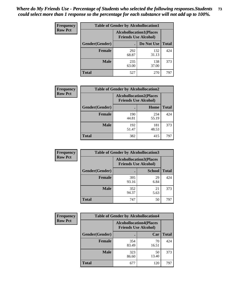| <b>Frequency</b> | <b>Table of Gender by Alcohollocation1</b> |                                                               |              |              |
|------------------|--------------------------------------------|---------------------------------------------------------------|--------------|--------------|
| <b>Row Pct</b>   |                                            | <b>Alcohollocation1(Places</b><br><b>Friends Use Alcohol)</b> |              |              |
|                  | Gender(Gender)                             |                                                               | Do Not Use   | <b>Total</b> |
|                  | <b>Female</b>                              | 292<br>68.87                                                  | 132<br>31.13 | 424          |
|                  | <b>Male</b>                                | 235<br>63.00                                                  | 138<br>37.00 | 373          |
|                  | <b>Total</b>                               | 527                                                           | 270          | 797          |

| <b>Frequency</b> | <b>Table of Gender by Alcohollocation2</b> |                                                               |              |              |
|------------------|--------------------------------------------|---------------------------------------------------------------|--------------|--------------|
| <b>Row Pct</b>   |                                            | <b>Alcohollocation2(Places</b><br><b>Friends Use Alcohol)</b> |              |              |
|                  | Gender(Gender)                             |                                                               | Home         | <b>Total</b> |
|                  | <b>Female</b>                              | 190<br>44.81                                                  | 234<br>55.19 | 424          |
|                  | <b>Male</b>                                | 192<br>51.47                                                  | 181<br>48.53 | 373          |
|                  | <b>Total</b>                               | 382                                                           | 415          | 797          |

| Frequency      | <b>Table of Gender by Alcohollocation3</b> |                                                               |               |              |
|----------------|--------------------------------------------|---------------------------------------------------------------|---------------|--------------|
| <b>Row Pct</b> |                                            | <b>Alcohollocation3(Places</b><br><b>Friends Use Alcohol)</b> |               |              |
|                | Gender(Gender)                             |                                                               | <b>School</b> | <b>Total</b> |
|                | <b>Female</b>                              | 395<br>93.16                                                  | 29<br>6.84    | 424          |
|                | <b>Male</b>                                | 352<br>94.37                                                  | 21<br>5.63    | 373          |
|                | <b>Total</b>                               | 747                                                           | 50            | 797          |

| <b>Frequency</b> | <b>Table of Gender by Alcohollocation4</b> |                                                               |             |              |  |
|------------------|--------------------------------------------|---------------------------------------------------------------|-------------|--------------|--|
| <b>Row Pct</b>   |                                            | <b>Alcohollocation4(Places</b><br><b>Friends Use Alcohol)</b> |             |              |  |
|                  | Gender(Gender)                             |                                                               | Car         | <b>Total</b> |  |
|                  | <b>Female</b>                              | 354<br>83.49                                                  | 70<br>16.51 | 424          |  |
|                  | <b>Male</b>                                | 323<br>86.60                                                  | 50<br>13.40 | 373          |  |
|                  | <b>Total</b>                               | 677                                                           | 120         | 797          |  |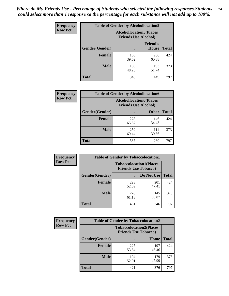| <b>Frequency</b> | <b>Table of Gender by Alcohollocation5</b> |                                                                |                                 |              |
|------------------|--------------------------------------------|----------------------------------------------------------------|---------------------------------|--------------|
| <b>Row Pct</b>   |                                            | <b>Alcohollocation5</b> (Places<br><b>Friends Use Alcohol)</b> |                                 |              |
|                  | Gender(Gender)                             |                                                                | <b>Friend's</b><br><b>House</b> | <b>Total</b> |
|                  | <b>Female</b>                              | 168<br>39.62                                                   | 256<br>60.38                    | 424          |
|                  | <b>Male</b>                                | 180<br>48.26                                                   | 193<br>51.74                    | 373          |
|                  | <b>Total</b>                               | 348                                                            | 449                             | 797          |

| Frequency      | <b>Table of Gender by Alcohollocation6</b> |                                                               |              |              |  |
|----------------|--------------------------------------------|---------------------------------------------------------------|--------------|--------------|--|
| <b>Row Pct</b> |                                            | <b>Alcohollocation6(Places</b><br><b>Friends Use Alcohol)</b> |              |              |  |
|                | Gender(Gender)                             |                                                               | <b>Other</b> | <b>Total</b> |  |
|                | <b>Female</b>                              | 278<br>65.57                                                  | 146<br>34.43 | 424          |  |
|                | <b>Male</b>                                | 259<br>69.44                                                  | 114<br>30.56 | 373          |  |
|                | <b>Total</b>                               | 537                                                           | 260          | 797          |  |

| Frequency      | <b>Table of Gender by Tobaccolocation1</b> |                                                               |              |              |  |
|----------------|--------------------------------------------|---------------------------------------------------------------|--------------|--------------|--|
| <b>Row Pct</b> |                                            | <b>Tobaccolocation1(Places</b><br><b>Friends Use Tobacco)</b> |              |              |  |
|                | Gender(Gender)                             |                                                               | Do Not Use   | <b>Total</b> |  |
|                | Female                                     | 223<br>52.59                                                  | 201<br>47.41 | 424          |  |
|                | <b>Male</b>                                | 228<br>61.13                                                  | 145<br>38.87 | 373          |  |
|                | <b>Total</b>                               | 451                                                           | 346          | 797          |  |

| <b>Frequency</b> | <b>Table of Gender by Tobaccolocation2</b> |                                                               |              |              |  |
|------------------|--------------------------------------------|---------------------------------------------------------------|--------------|--------------|--|
| <b>Row Pct</b>   |                                            | <b>Tobaccolocation2(Places</b><br><b>Friends Use Tobacco)</b> |              |              |  |
|                  | Gender(Gender)                             |                                                               | Home         | <b>Total</b> |  |
|                  | <b>Female</b>                              | 227<br>53.54                                                  | 197<br>46.46 | 424          |  |
|                  | <b>Male</b>                                | 194<br>52.01                                                  | 179<br>47.99 | 373          |  |
|                  | <b>Total</b>                               | 421                                                           | 376          | 797          |  |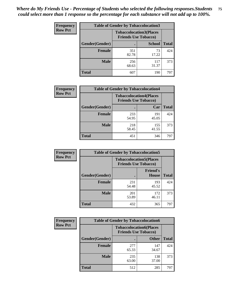| <b>Frequency</b> | <b>Table of Gender by Tobaccolocation3</b> |              |                                                               |              |  |
|------------------|--------------------------------------------|--------------|---------------------------------------------------------------|--------------|--|
| <b>Row Pct</b>   |                                            |              | <b>Tobaccolocation3(Places</b><br><b>Friends Use Tobacco)</b> |              |  |
|                  | Gender(Gender)                             |              | <b>School</b>                                                 | <b>Total</b> |  |
|                  | <b>Female</b>                              | 351<br>82.78 | 73<br>17.22                                                   | 424          |  |
|                  | <b>Male</b>                                | 256<br>68.63 | 117<br>31.37                                                  | 373          |  |
|                  | <b>Total</b>                               | 607          | 190                                                           | 797          |  |

| <b>Frequency</b> | <b>Table of Gender by Tobaccolocation4</b> |                                                               |              |              |
|------------------|--------------------------------------------|---------------------------------------------------------------|--------------|--------------|
| <b>Row Pct</b>   |                                            | <b>Tobaccolocation4(Places</b><br><b>Friends Use Tobacco)</b> |              |              |
|                  | Gender(Gender)                             |                                                               | Car          | <b>Total</b> |
|                  | <b>Female</b>                              | 233<br>54.95                                                  | 191<br>45.05 | 424          |
|                  | <b>Male</b>                                | 218<br>58.45                                                  | 155<br>41.55 | 373          |
|                  | <b>Total</b>                               | 451                                                           | 346          | 797          |

| <b>Frequency</b> | <b>Table of Gender by Tobaccolocation5</b> |                                                               |                                 |              |
|------------------|--------------------------------------------|---------------------------------------------------------------|---------------------------------|--------------|
| <b>Row Pct</b>   |                                            | <b>Tobaccolocation5(Places</b><br><b>Friends Use Tobacco)</b> |                                 |              |
|                  | Gender(Gender)                             |                                                               | <b>Friend's</b><br><b>House</b> | <b>Total</b> |
|                  | <b>Female</b>                              | 231<br>54.48                                                  | 193<br>45.52                    | 424          |
|                  | <b>Male</b>                                | 201<br>53.89                                                  | 172<br>46.11                    | 373          |
|                  | <b>Total</b>                               | 432                                                           | 365                             | 797          |

| <b>Frequency</b> | <b>Table of Gender by Tobaccolocation6</b> |                             |                                |              |  |
|------------------|--------------------------------------------|-----------------------------|--------------------------------|--------------|--|
| <b>Row Pct</b>   |                                            | <b>Friends Use Tobacco)</b> | <b>Tobaccolocation6(Places</b> |              |  |
|                  | Gender(Gender)                             |                             | <b>Other</b>                   | <b>Total</b> |  |
|                  | Female                                     | 277<br>65.33                | 147<br>34.67                   | 424          |  |
|                  | <b>Male</b>                                | 235<br>63.00                | 138<br>37.00                   | 373          |  |
|                  | <b>Total</b>                               | 512                         | 285                            | 797          |  |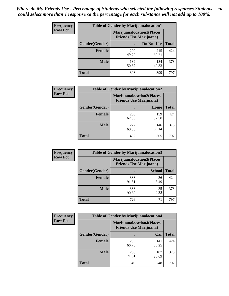| <b>Frequency</b> | <b>Table of Gender by Marijuanalocation1</b> |                                |                                  |              |
|------------------|----------------------------------------------|--------------------------------|----------------------------------|--------------|
| <b>Row Pct</b>   |                                              | <b>Friends Use Marijuana</b> ) | <b>Marijuanalocation1(Places</b> |              |
|                  | Gender(Gender)                               |                                | Do Not Use                       | <b>Total</b> |
|                  | <b>Female</b>                                | 209<br>49.29                   | 215<br>50.71                     | 424          |
|                  | <b>Male</b>                                  | 189<br>50.67                   | 184<br>49.33                     | 373          |
|                  | <b>Total</b>                                 | 398                            | 399                              | 797          |

| <b>Frequency</b> | <b>Table of Gender by Marijuanalocation2</b> |                                                                     |              |              |  |
|------------------|----------------------------------------------|---------------------------------------------------------------------|--------------|--------------|--|
| <b>Row Pct</b>   |                                              | <b>Marijuanalocation2(Places)</b><br><b>Friends Use Marijuana</b> ) |              |              |  |
|                  | Gender(Gender)                               |                                                                     | Home         | <b>Total</b> |  |
|                  | <b>Female</b>                                | 265<br>62.50                                                        | 159<br>37.50 | 424          |  |
|                  | <b>Male</b>                                  | 227<br>60.86                                                        | 146<br>39.14 | 373          |  |
|                  | <b>Total</b>                                 | 492                                                                 | 305          | 797          |  |

| Frequency      | <b>Table of Gender by Marijuanalocation3</b> |                                                                    |               |              |  |
|----------------|----------------------------------------------|--------------------------------------------------------------------|---------------|--------------|--|
| <b>Row Pct</b> |                                              | <b>Marijuanalocation3(Places</b><br><b>Friends Use Marijuana</b> ) |               |              |  |
|                | Gender(Gender)                               |                                                                    | <b>School</b> | <b>Total</b> |  |
|                | <b>Female</b>                                | 388<br>91.51                                                       | 36<br>8.49    | 424          |  |
|                | <b>Male</b>                                  | 338<br>90.62                                                       | 35<br>9.38    | 373          |  |
|                | <b>Total</b>                                 | 726                                                                | 71            | 797          |  |

| <b>Frequency</b> | <b>Table of Gender by Marijuanalocation4</b> |                                                                    |              |              |  |
|------------------|----------------------------------------------|--------------------------------------------------------------------|--------------|--------------|--|
| <b>Row Pct</b>   |                                              | <b>Marijuanalocation4(Places</b><br><b>Friends Use Marijuana</b> ) |              |              |  |
|                  | Gender(Gender)                               |                                                                    | Car          | <b>Total</b> |  |
|                  | <b>Female</b>                                | 283<br>66.75                                                       | 141<br>33.25 | 424          |  |
|                  | <b>Male</b>                                  | 266<br>71.31                                                       | 107<br>28.69 | 373          |  |
|                  | <b>Total</b>                                 | 549                                                                | 248          | 797          |  |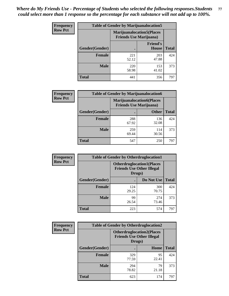| <b>Frequency</b> | <b>Table of Gender by Marijuanalocation5</b> |                                                                    |                                 |              |
|------------------|----------------------------------------------|--------------------------------------------------------------------|---------------------------------|--------------|
| <b>Row Pct</b>   |                                              | <b>Marijuanalocation5(Places</b><br><b>Friends Use Marijuana</b> ) |                                 |              |
|                  | Gender(Gender)                               |                                                                    | <b>Friend's</b><br><b>House</b> | <b>Total</b> |
|                  | Female                                       | 221<br>52.12                                                       | 203<br>47.88                    | 424          |
|                  | <b>Male</b>                                  | 220<br>58.98                                                       | 153<br>41.02                    | 373          |
|                  | <b>Total</b>                                 | 441                                                                | 356                             | 797          |

| <b>Frequency</b> | <b>Table of Gender by Marijuanalocation6</b> |                                |                                   |              |
|------------------|----------------------------------------------|--------------------------------|-----------------------------------|--------------|
| <b>Row Pct</b>   |                                              | <b>Friends Use Marijuana</b> ) | <b>Marijuanalocation6(Places)</b> |              |
|                  | <b>Gender</b> (Gender)                       |                                | <b>Other</b>                      | <b>Total</b> |
|                  | <b>Female</b>                                | 288<br>67.92                   | 136<br>32.08                      | 424          |
|                  | <b>Male</b>                                  | 259<br>69.44                   | 114<br>30.56                      | 373          |
|                  | <b>Total</b>                                 | 547                            | 250                               | 797          |

| <b>Frequency</b> | <b>Table of Gender by Otherdruglocation1</b> |                                                                                |              |              |
|------------------|----------------------------------------------|--------------------------------------------------------------------------------|--------------|--------------|
| <b>Row Pct</b>   |                                              | <b>Otherdruglocation1(Places</b><br><b>Friends Use Other Illegal</b><br>Drugs) |              |              |
|                  | Gender(Gender)                               |                                                                                | Do Not Use   | <b>Total</b> |
|                  | Female                                       | 124<br>29.25                                                                   | 300<br>70.75 | 424          |
|                  | <b>Male</b>                                  | 99<br>26.54                                                                    | 274<br>73.46 | 373          |
|                  | <b>Total</b>                                 | 223                                                                            | 574          | 797          |

| <b>Frequency</b> | <b>Table of Gender by Otherdruglocation2</b><br><b>Otherdruglocation2(Places</b><br><b>Friends Use Other Illegal</b><br>Drugs) |              |             |              |
|------------------|--------------------------------------------------------------------------------------------------------------------------------|--------------|-------------|--------------|
| <b>Row Pct</b>   |                                                                                                                                |              |             |              |
|                  | Gender(Gender)                                                                                                                 |              | Home        | <b>Total</b> |
|                  | <b>Female</b>                                                                                                                  | 329<br>77.59 | 95<br>22.41 | 424          |
|                  | <b>Male</b>                                                                                                                    | 294<br>78.82 | 79<br>21.18 | 373          |
|                  | <b>Total</b>                                                                                                                   | 623          | 174         | 797          |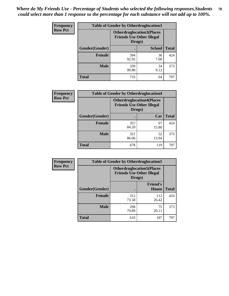| Frequency      | <b>Table of Gender by Otherdruglocation3</b> |                                                                                |               |              |
|----------------|----------------------------------------------|--------------------------------------------------------------------------------|---------------|--------------|
| <b>Row Pct</b> |                                              | <b>Otherdruglocation3(Places</b><br><b>Friends Use Other Illegal</b><br>Drugs) |               |              |
|                | Gender(Gender)                               |                                                                                | <b>School</b> | <b>Total</b> |
|                | <b>Female</b>                                | 394<br>92.92                                                                   | 30<br>7.08    | 424          |
|                | <b>Male</b>                                  | 339<br>90.88                                                                   | 34<br>9.12    | 373          |
|                | <b>Total</b>                                 | 733                                                                            | 64            | 797          |

| <b>Frequency</b> | <b>Table of Gender by Otherdruglocation4</b> |              |                                                                      |              |
|------------------|----------------------------------------------|--------------|----------------------------------------------------------------------|--------------|
| <b>Row Pct</b>   |                                              | Drugs)       | <b>Otherdruglocation4(Places</b><br><b>Friends Use Other Illegal</b> |              |
|                  | Gender(Gender)                               |              | Car                                                                  | <b>Total</b> |
|                  | <b>Female</b>                                | 357<br>84.20 | 67<br>15.80                                                          | 424          |
|                  | <b>Male</b>                                  | 321<br>86.06 | 52<br>13.94                                                          | 373          |
|                  | <b>Total</b>                                 | 678          | 119                                                                  | 797          |

| Frequency      | <b>Table of Gender by Otherdruglocation5</b>                                   |              |                                 |              |
|----------------|--------------------------------------------------------------------------------|--------------|---------------------------------|--------------|
| <b>Row Pct</b> | <b>Otherdruglocation5(Places</b><br><b>Friends Use Other Illegal</b><br>Drugs) |              |                                 |              |
|                | Gender(Gender)                                                                 |              | <b>Friend's</b><br><b>House</b> | <b>Total</b> |
|                | <b>Female</b>                                                                  | 312<br>73.58 | 112<br>26.42                    | 424          |
|                | <b>Male</b>                                                                    | 298<br>79.89 | 75<br>20.11                     | 373          |
|                | <b>Total</b>                                                                   | 610          | 187                             | 797          |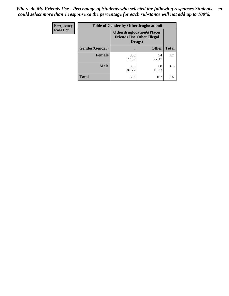| Frequency      | <b>Table of Gender by Otherdruglocation6</b> |                                                                                |              |              |
|----------------|----------------------------------------------|--------------------------------------------------------------------------------|--------------|--------------|
| <b>Row Pct</b> |                                              | <b>Otherdruglocation6(Places</b><br><b>Friends Use Other Illegal</b><br>Drugs) |              |              |
|                | Gender(Gender)                               |                                                                                | <b>Other</b> | <b>Total</b> |
|                | <b>Female</b>                                | 330<br>77.83                                                                   | 94<br>22.17  | 424          |
|                | <b>Male</b>                                  | 305<br>81.77                                                                   | 68<br>18.23  | 373          |
|                | <b>Total</b>                                 | 635                                                                            | 162          | 797          |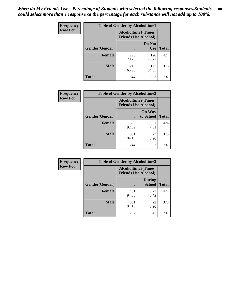| <b>Frequency</b> | <b>Table of Gender by Alcoholtime1</b> |                                                          |                      |              |
|------------------|----------------------------------------|----------------------------------------------------------|----------------------|--------------|
| <b>Row Pct</b>   |                                        | <b>Alcoholtime1(Times</b><br><b>Friends Use Alcohol)</b> |                      |              |
|                  | Gender(Gender)                         | ٠                                                        | Do Not<br><b>Use</b> | <b>Total</b> |
|                  | <b>Female</b>                          | 298<br>70.28                                             | 126<br>29.72         | 424          |
|                  | <b>Male</b>                            | 246<br>65.95                                             | 127<br>34.05         | 373          |
|                  | <b>Total</b>                           | 544                                                      | 253                  | 797          |

| Frequency      | <b>Table of Gender by Alcoholtime2</b> |                                                          |                            |              |
|----------------|----------------------------------------|----------------------------------------------------------|----------------------------|--------------|
| <b>Row Pct</b> |                                        | <b>Alcoholtime2(Times</b><br><b>Friends Use Alcohol)</b> |                            |              |
|                | Gender(Gender)                         |                                                          | <b>On Way</b><br>to School | <b>Total</b> |
|                | <b>Female</b>                          | 393<br>92.69                                             | 31<br>7.31                 | 424          |
|                | <b>Male</b>                            | 351<br>94.10                                             | 22<br>5.90                 | 373          |
|                | <b>Total</b>                           | 744                                                      | 53                         | 797          |

| <b>Frequency</b> | <b>Table of Gender by Alcoholtime3</b> |                                                   |                                |              |
|------------------|----------------------------------------|---------------------------------------------------|--------------------------------|--------------|
| <b>Row Pct</b>   |                                        | Alcoholtime3(Times<br><b>Friends Use Alcohol)</b> |                                |              |
|                  | Gender(Gender)                         |                                                   | <b>During</b><br><b>School</b> | <b>Total</b> |
|                  | Female                                 | 401<br>94.58                                      | 23<br>5.42                     | 424          |
|                  | <b>Male</b>                            | 351<br>94.10                                      | 22<br>5.90                     | 373          |
|                  | <b>Total</b>                           | 752                                               | 45                             | 797          |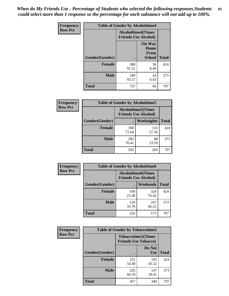*When do My Friends Use - Percentage of Students who selected the following responses.Students could select more than 1 response so the percentage for each substance will not add up to 100%.* **81**

| <b>Frequency</b> | <b>Table of Gender by Alcoholtime4</b> |                                                          |                                                |              |
|------------------|----------------------------------------|----------------------------------------------------------|------------------------------------------------|--------------|
| <b>Row Pct</b>   |                                        | <b>Alcoholtime4(Times</b><br><b>Friends Use Alcohol)</b> |                                                |              |
|                  | Gender(Gender)                         |                                                          | <b>On Way</b><br>Home<br>From<br><b>School</b> | <b>Total</b> |
|                  | <b>Female</b>                          | 388<br>91.51                                             | 36<br>8.49                                     | 424          |
|                  | <b>Male</b>                            | 349<br>93.57                                             | 24<br>6.43                                     | 373          |
|                  | <b>Total</b>                           | 737                                                      | 60                                             | 797          |

| <b>Frequency</b> | <b>Table of Gender by Alcoholtime5</b> |                                                           |              |              |
|------------------|----------------------------------------|-----------------------------------------------------------|--------------|--------------|
| <b>Row Pct</b>   |                                        | <b>Alcoholtime5</b> (Times<br><b>Friends Use Alcohol)</b> |              |              |
|                  | Gender(Gender)                         |                                                           | Weeknights   | <b>Total</b> |
|                  | <b>Female</b>                          | 308<br>72.64                                              | 116<br>27.36 | 424          |
|                  | <b>Male</b>                            | 285<br>76.41                                              | 88<br>23.59  | 373          |
|                  | <b>Total</b>                           | 593                                                       | 204          | 797          |

| <b>Frequency</b> | <b>Table of Gender by Alcoholtime6</b> |                                                          |              |              |
|------------------|----------------------------------------|----------------------------------------------------------|--------------|--------------|
| <b>Row Pct</b>   |                                        | <b>Alcoholtime6(Times</b><br><b>Friends Use Alcohol)</b> |              |              |
|                  | Gender(Gender)                         |                                                          | Weekends     | <b>Total</b> |
|                  | <b>Female</b>                          | 100<br>23.58                                             | 324<br>76.42 | 424          |
|                  | <b>Male</b>                            | 126<br>33.78                                             | 247<br>66.22 | 373          |
|                  | <b>Total</b>                           | 226                                                      | 571          | 797          |

| Frequency      | <b>Table of Gender by Tobaccotime1</b> |                                                          |                      |              |
|----------------|----------------------------------------|----------------------------------------------------------|----------------------|--------------|
| <b>Row Pct</b> |                                        | <b>Tobaccotime1(Times</b><br><b>Friends Use Tobacco)</b> |                      |              |
|                | Gender(Gender)                         |                                                          | Do Not<br><b>Use</b> | <b>Total</b> |
|                | <b>Female</b>                          | 231<br>54.48                                             | 193<br>45.52         | 424          |
|                | <b>Male</b>                            | 226<br>60.59                                             | 147<br>39.41         | 373          |
|                | <b>Total</b>                           | 457                                                      | 340                  | 797          |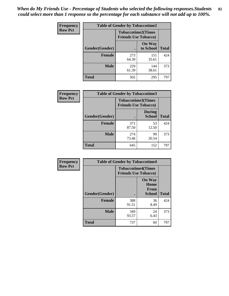*When do My Friends Use - Percentage of Students who selected the following responses.Students could select more than 1 response so the percentage for each substance will not add up to 100%.* **82**

| <b>Frequency</b> | <b>Table of Gender by Tobaccotime2</b> |                                                          |                            |              |
|------------------|----------------------------------------|----------------------------------------------------------|----------------------------|--------------|
| <b>Row Pct</b>   |                                        | <b>Tobaccotime2(Times</b><br><b>Friends Use Tobacco)</b> |                            |              |
|                  | Gender(Gender)                         |                                                          | <b>On Way</b><br>to School | <b>Total</b> |
|                  | <b>Female</b>                          | 273<br>64.39                                             | 151<br>35.61               | 424          |
|                  | <b>Male</b>                            | 229<br>61.39                                             | 144<br>38.61               | 373          |
|                  | <b>Total</b>                           | 502                                                      | 295                        | 797          |

| Frequency      | <b>Table of Gender by Tobaccotime3</b> |                                                          |                                |              |
|----------------|----------------------------------------|----------------------------------------------------------|--------------------------------|--------------|
| <b>Row Pct</b> |                                        | <b>Tobaccotime3(Times</b><br><b>Friends Use Tobacco)</b> |                                |              |
|                | Gender(Gender)                         |                                                          | <b>During</b><br><b>School</b> | <b>Total</b> |
|                | <b>Female</b>                          | 371<br>87.50                                             | 53<br>12.50                    | 424          |
|                | <b>Male</b>                            | 274<br>73.46                                             | 99<br>26.54                    | 373          |
|                | <b>Total</b>                           | 645                                                      | 152                            | 797          |

| <b>Frequency</b> | <b>Table of Gender by Tobaccotime4</b> |                                                          |                                         |              |
|------------------|----------------------------------------|----------------------------------------------------------|-----------------------------------------|--------------|
| <b>Row Pct</b>   |                                        | <b>Tobaccotime4(Times</b><br><b>Friends Use Tobacco)</b> |                                         |              |
|                  | Gender(Gender)                         |                                                          | <b>On Way</b><br>Home<br>From<br>School | <b>Total</b> |
|                  | <b>Female</b>                          | 388<br>91.51                                             | 36<br>8.49                              | 424          |
|                  | <b>Male</b>                            | 349<br>93.57                                             | 24<br>6.43                              | 373          |
|                  | <b>Total</b>                           | 737                                                      | 60                                      | 797          |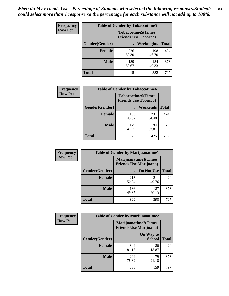| <b>Frequency</b> | <b>Table of Gender by Tobaccotime5</b> |              |                                                          |              |  |
|------------------|----------------------------------------|--------------|----------------------------------------------------------|--------------|--|
| <b>Row Pct</b>   |                                        |              | <b>Tobaccotime5(Times</b><br><b>Friends Use Tobacco)</b> |              |  |
|                  | Gender(Gender)                         |              | <b>Weeknights</b>                                        | <b>Total</b> |  |
|                  | <b>Female</b>                          | 226<br>53.30 | 198<br>46.70                                             | 424          |  |
|                  | <b>Male</b>                            | 189<br>50.67 | 184<br>49.33                                             | 373          |  |
|                  | Total                                  | 415          | 382                                                      | 797          |  |

| Frequency      | <b>Table of Gender by Tobaccotime6</b> |                                                          |              |              |
|----------------|----------------------------------------|----------------------------------------------------------|--------------|--------------|
| <b>Row Pct</b> |                                        | <b>Tobaccotime6(Times</b><br><b>Friends Use Tobacco)</b> |              |              |
|                | Gender(Gender)                         |                                                          | Weekends     | <b>Total</b> |
|                | Female                                 | 193<br>45.52                                             | 231<br>54.48 | 424          |
|                | <b>Male</b>                            | 179<br>47.99                                             | 194<br>52.01 | 373          |
|                | <b>Total</b>                           | 372                                                      | 425          | 797          |

| <b>Frequency</b> | <b>Table of Gender by Marijuanatime1</b> |                                                               |              |              |  |
|------------------|------------------------------------------|---------------------------------------------------------------|--------------|--------------|--|
| <b>Row Pct</b>   |                                          | <b>Marijuanatime1(Times</b><br><b>Friends Use Marijuana</b> ) |              |              |  |
|                  | Gender(Gender)                           |                                                               | Do Not Use   | <b>Total</b> |  |
|                  | <b>Female</b>                            | 213<br>50.24                                                  | 211<br>49.76 | 424          |  |
|                  | <b>Male</b>                              | 186<br>49.87                                                  | 187<br>50.13 | 373          |  |
|                  | <b>Total</b>                             | 399                                                           | 398          | 797          |  |

| <b>Frequency</b> | <b>Table of Gender by Marijuanatime2</b> |                                                               |                            |              |
|------------------|------------------------------------------|---------------------------------------------------------------|----------------------------|--------------|
| <b>Row Pct</b>   |                                          | <b>Marijuanatime2(Times</b><br><b>Friends Use Marijuana</b> ) |                            |              |
|                  | Gender(Gender)                           |                                                               | On Way to<br><b>School</b> | <b>Total</b> |
|                  | <b>Female</b>                            | 344<br>81.13                                                  | 80<br>18.87                | 424          |
|                  | <b>Male</b>                              | 294<br>78.82                                                  | 79<br>21.18                | 373          |
|                  | <b>Total</b>                             | 638                                                           | 159                        | 797          |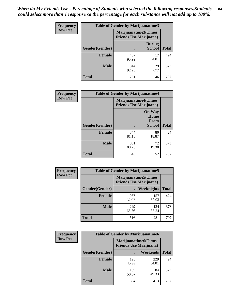*When do My Friends Use - Percentage of Students who selected the following responses.Students could select more than 1 response so the percentage for each substance will not add up to 100%.* **84**

| <b>Frequency</b> | Table of Gender by Marijuanatime3 |                                                        |                                |              |
|------------------|-----------------------------------|--------------------------------------------------------|--------------------------------|--------------|
| <b>Row Pct</b>   |                                   | Marijuanatime3(Times<br><b>Friends Use Marijuana</b> ) |                                |              |
|                  | Gender(Gender)                    |                                                        | <b>During</b><br><b>School</b> | <b>Total</b> |
|                  | <b>Female</b>                     | 407<br>95.99                                           | 17<br>4.01                     | 424          |
|                  | <b>Male</b>                       | 344<br>92.23                                           | 29<br>7.77                     | 373          |
|                  | <b>Total</b>                      | 751                                                    | 46                             | 797          |

| Frequency      | <b>Table of Gender by Marijuanatime4</b> |                                                               |                                                       |              |
|----------------|------------------------------------------|---------------------------------------------------------------|-------------------------------------------------------|--------------|
| <b>Row Pct</b> |                                          | <b>Marijuanatime4(Times</b><br><b>Friends Use Marijuana</b> ) |                                                       |              |
|                | Gender(Gender)                           |                                                               | <b>On Way</b><br>Home<br><b>From</b><br><b>School</b> | <b>Total</b> |
|                | <b>Female</b>                            | 344<br>81.13                                                  | 80<br>18.87                                           | 424          |
|                | <b>Male</b>                              | 301<br>80.70                                                  | 72<br>19.30                                           | 373          |
|                | <b>Total</b>                             | 645                                                           | 152                                                   | 797          |

| Frequency      | <b>Table of Gender by Marijuanatime5</b> |              |                                                                |              |  |
|----------------|------------------------------------------|--------------|----------------------------------------------------------------|--------------|--|
| <b>Row Pct</b> |                                          |              | <b>Marijuanatime5</b> (Times<br><b>Friends Use Marijuana</b> ) |              |  |
|                | Gender(Gender)                           | ٠            | Weeknights                                                     | <b>Total</b> |  |
|                | <b>Female</b>                            | 267<br>62.97 | 157<br>37.03                                                   | 424          |  |
|                | <b>Male</b>                              | 249<br>66.76 | 124<br>33.24                                                   | 373          |  |
|                | <b>Total</b>                             | 516          | 281                                                            | 797          |  |

| <b>Frequency</b> | <b>Table of Gender by Marijuanatime6</b> |                                                               |              |              |  |
|------------------|------------------------------------------|---------------------------------------------------------------|--------------|--------------|--|
| <b>Row Pct</b>   |                                          | <b>Marijuanatime6(Times</b><br><b>Friends Use Marijuana</b> ) |              |              |  |
|                  | Gender(Gender)                           |                                                               | Weekends     | <b>Total</b> |  |
|                  | <b>Female</b>                            | 195<br>45.99                                                  | 229<br>54.01 | 424          |  |
|                  | <b>Male</b>                              | 189<br>50.67                                                  | 184<br>49.33 | 373          |  |
|                  | <b>Total</b>                             | 384                                                           | 413          | 797          |  |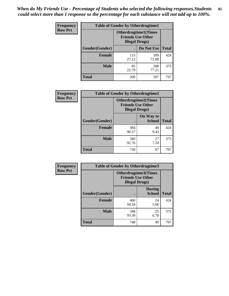*When do My Friends Use - Percentage of Students who selected the following responses.Students could select more than 1 response so the percentage for each substance will not add up to 100%.* **85**

| <b>Frequency</b> | <b>Table of Gender by Otherdrugtime1</b> |                                                                                    |              |              |  |
|------------------|------------------------------------------|------------------------------------------------------------------------------------|--------------|--------------|--|
| <b>Row Pct</b>   |                                          | <b>Otherdrugtime1</b> (Times<br><b>Friends Use Other</b><br><b>Illegal Drugs</b> ) |              |              |  |
|                  | Gender(Gender)                           |                                                                                    | Do Not Use   | <b>Total</b> |  |
|                  | <b>Female</b>                            | 115<br>27.12                                                                       | 309<br>72.88 | 424          |  |
|                  | <b>Male</b>                              | 85<br>22.79                                                                        | 288<br>77.21 | 373          |  |
|                  | <b>Total</b>                             | 200                                                                                | 597          | 797          |  |

| Frequency      |                        | <b>Table of Gender by Otherdrugtime2</b>                                          |                            |              |
|----------------|------------------------|-----------------------------------------------------------------------------------|----------------------------|--------------|
| <b>Row Pct</b> |                        | <b>Otherdrugtime2(Times</b><br><b>Friends Use Other</b><br><b>Illegal Drugs</b> ) |                            |              |
|                | <b>Gender</b> (Gender) |                                                                                   | On Way to<br><b>School</b> | <b>Total</b> |
|                | <b>Female</b>          | 384<br>90.57                                                                      | 40<br>9.43                 | 424          |
|                | <b>Male</b>            | 346<br>92.76                                                                      | 27<br>7.24                 | 373          |
|                | <b>Total</b>           | 730                                                                               | 67                         | 797          |

| Frequency      | <b>Table of Gender by Otherdrugtime3</b> |                        |                                                         |              |  |
|----------------|------------------------------------------|------------------------|---------------------------------------------------------|--------------|--|
| <b>Row Pct</b> |                                          | <b>Illegal Drugs</b> ) | <b>Otherdrugtime3(Times</b><br><b>Friends Use Other</b> |              |  |
|                | Gender(Gender)                           |                        | <b>During</b><br><b>School</b>                          | <b>Total</b> |  |
|                | <b>Female</b>                            | 400<br>94.34           | 24<br>5.66                                              | 424          |  |
|                | <b>Male</b>                              | 348<br>93.30           | 25<br>6.70                                              | 373          |  |
|                | <b>Total</b>                             | 748                    | 49                                                      | 797          |  |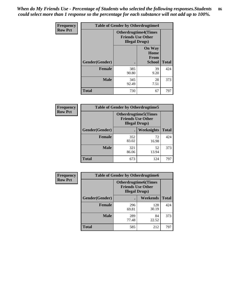*When do My Friends Use - Percentage of Students who selected the following responses.Students could select more than 1 response so the percentage for each substance will not add up to 100%.* **86**

| <b>Frequency</b> | <b>Table of Gender by Otherdrugtime4</b> |                                                    |                                                |              |
|------------------|------------------------------------------|----------------------------------------------------|------------------------------------------------|--------------|
| <b>Row Pct</b>   |                                          | <b>Friends Use Other</b><br><b>Illegal Drugs</b> ) | <b>Otherdrugtime4(Times</b>                    |              |
|                  | Gender(Gender)                           |                                                    | <b>On Way</b><br>Home<br><b>From</b><br>School | <b>Total</b> |
|                  | <b>Female</b>                            | 385<br>90.80                                       | 39<br>9.20                                     | 424          |
|                  | <b>Male</b>                              | 345<br>92.49                                       | 28<br>7.51                                     | 373          |
|                  | <b>Total</b>                             | 730                                                | 67                                             | 797          |

| Frequency      | <b>Table of Gender by Otherdrugtime5</b> |                                                                                    |             |              |
|----------------|------------------------------------------|------------------------------------------------------------------------------------|-------------|--------------|
| <b>Row Pct</b> |                                          | <b>Otherdrugtime5</b> (Times<br><b>Friends Use Other</b><br><b>Illegal Drugs</b> ) |             |              |
|                | Gender(Gender)                           |                                                                                    | Weeknights  | <b>Total</b> |
|                | <b>Female</b>                            | 352<br>83.02                                                                       | 72<br>16.98 | 424          |
|                | <b>Male</b>                              | 321<br>86.06                                                                       | 52<br>13.94 | 373          |
|                | <b>Total</b>                             | 673                                                                                | 124         | 797          |

| <b>Frequency</b> | <b>Table of Gender by Otherdrugtime6</b> |                                                                                   |              |              |
|------------------|------------------------------------------|-----------------------------------------------------------------------------------|--------------|--------------|
| <b>Row Pct</b>   |                                          | <b>Otherdrugtime6(Times</b><br><b>Friends Use Other</b><br><b>Illegal Drugs</b> ) |              |              |
|                  | Gender(Gender)                           |                                                                                   | Weekends     | <b>Total</b> |
|                  | <b>Female</b>                            | 296<br>69.81                                                                      | 128<br>30.19 | 424          |
|                  | Male                                     | 289<br>77.48                                                                      | 84<br>22.52  | 373          |
|                  | <b>Total</b>                             | 585                                                                               | 212          | 797          |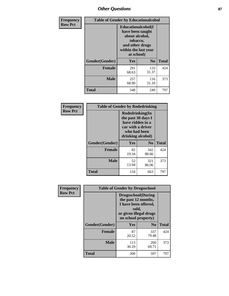# *Other Questions* **87**

| <b>Frequency</b> | <b>Table of Gender by Educationalcohol</b> |                                                                                                                                       |                |              |  |
|------------------|--------------------------------------------|---------------------------------------------------------------------------------------------------------------------------------------|----------------|--------------|--|
| <b>Row Pct</b>   |                                            | <b>Educationalcohol</b> (I<br>have been taught<br>about alcohol,<br>tobacco,<br>and other drugs<br>within the last year<br>at school) |                |              |  |
|                  | Gender(Gender)                             | <b>Yes</b>                                                                                                                            | N <sub>0</sub> | <b>Total</b> |  |
|                  | <b>Female</b>                              | 291<br>68.63                                                                                                                          | 133<br>31.37   | 424          |  |
|                  | <b>Male</b>                                | 257<br>68.90                                                                                                                          | 116<br>31.10   | 373          |  |
|                  | <b>Total</b>                               | 548                                                                                                                                   | 249            | 797          |  |

| Frequency      | <b>Table of Gender by Rodedrinking</b> |                                                                                                                     |                |              |  |
|----------------|----------------------------------------|---------------------------------------------------------------------------------------------------------------------|----------------|--------------|--|
| <b>Row Pct</b> |                                        | Rodedrinking(In<br>the past 30 days I<br>have ridden in a<br>car with a driver<br>who had been<br>drinking alcohol) |                |              |  |
|                | Gender(Gender)                         | Yes                                                                                                                 | N <sub>0</sub> | <b>Total</b> |  |
|                | <b>Female</b>                          | 82<br>19.34                                                                                                         | 342<br>80.66   | 424          |  |
|                | <b>Male</b>                            | 52<br>13.94                                                                                                         | 321<br>86.06   | 373          |  |
|                | <b>Total</b>                           | 134                                                                                                                 | 663            | 797          |  |

| Frequency      | <b>Table of Gender by Drugsschool</b> |                                                                                                                                     |                |              |  |
|----------------|---------------------------------------|-------------------------------------------------------------------------------------------------------------------------------------|----------------|--------------|--|
| <b>Row Pct</b> |                                       | <b>Drugsschool</b> (During<br>the past 12 months,<br>I have been offered,<br>sold,<br>or given illegal drugs<br>on school property) |                |              |  |
|                | Gender(Gender)                        | Yes                                                                                                                                 | N <sub>0</sub> | <b>Total</b> |  |
|                | <b>Female</b>                         | 87<br>20.52                                                                                                                         | 337<br>79.48   | 424          |  |
|                | <b>Male</b>                           | 113<br>30.29                                                                                                                        | 260<br>69.71   | 373          |  |
|                | <b>Total</b>                          | 200                                                                                                                                 | 597            | 797          |  |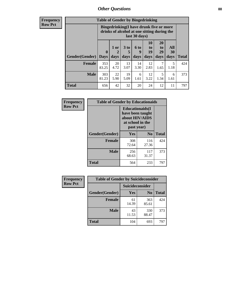## *Other Questions* **88**

**Frequency Row Pct**

| <b>Table of Gender by Bingedrinking</b> |                            |                                                                                                         |                   |                   |                        |                               |                   |              |
|-----------------------------------------|----------------------------|---------------------------------------------------------------------------------------------------------|-------------------|-------------------|------------------------|-------------------------------|-------------------|--------------|
|                                         |                            | Bingedrinking(I have drunk five or more<br>drinks of alcohol at one sitting during the<br>last 30 days) |                   |                   |                        |                               |                   |              |
| <b>Gender</b> (Gender)                  | $\mathbf 0$<br><b>Days</b> | 1 or<br>days                                                                                            | 3 to<br>5<br>days | 6 to<br>9<br>days | 10<br>to<br>19<br>days | <b>20</b><br>to<br>29<br>days | All<br>30<br>days | <b>Total</b> |
| <b>Female</b>                           | 353<br>83.25               | 20<br>4.72                                                                                              | 13<br>3.07        | 14<br>3.30        | 12<br>2.83             | 7<br>1.65                     | 5<br>1.18         | 424          |
| <b>Male</b>                             | 303<br>81.23               | 22<br>5.90                                                                                              | 19<br>5.09        | 6<br>1.61         | 12<br>3.22             | 5<br>1.34                     | 6<br>1.61         | 373          |
| <b>Total</b>                            | 656                        | 42                                                                                                      | 32                | 20                | 24                     | 12                            | 11                | 797          |

| Frequency      | <b>Table of Gender by Educationaids</b> |                                                                                                 |              |              |  |  |
|----------------|-----------------------------------------|-------------------------------------------------------------------------------------------------|--------------|--------------|--|--|
| <b>Row Pct</b> |                                         | <b>Educationaids</b> (I<br>have been taught<br>about HIV/AIDS<br>at school in the<br>past year) |              |              |  |  |
|                | Gender(Gender)                          | Yes                                                                                             | $\bf N_0$    | <b>Total</b> |  |  |
|                | <b>Female</b>                           | 308<br>72.64                                                                                    | 116<br>27.36 | 424          |  |  |
|                | <b>Male</b>                             | 256<br>68.63                                                                                    | 117<br>31.37 | 373          |  |  |
|                | <b>Total</b>                            | 564                                                                                             | 233          | 797          |  |  |

| <b>Frequency</b> | <b>Table of Gender by Suicideconsider</b> |                 |                |              |  |
|------------------|-------------------------------------------|-----------------|----------------|--------------|--|
| <b>Row Pct</b>   |                                           | Suicideconsider |                |              |  |
|                  | Gender(Gender)                            | Yes             | N <sub>0</sub> | <b>Total</b> |  |
|                  | <b>Female</b>                             | 61<br>14.39     | 363<br>85.61   | 424          |  |
|                  | <b>Male</b>                               | 43<br>11.53     | 330<br>88.47   | 373          |  |
|                  | <b>Total</b>                              | 104             | 693            | 797          |  |